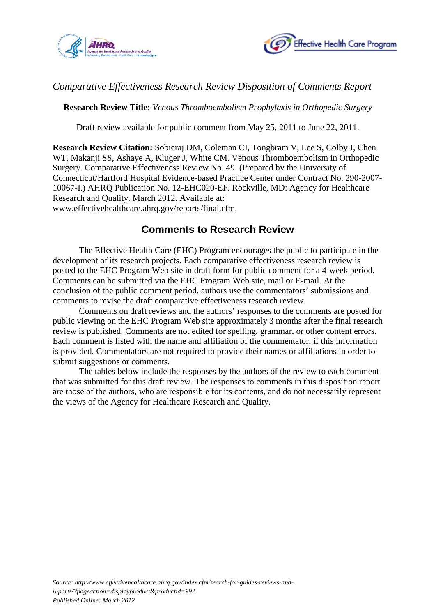



## *Comparative Effectiveness Research Review Disposition of Comments Report*

**Research Review Title:** *Venous Thromboembolism Prophylaxis in Orthopedic Surgery* 

Draft review available for public comment from May 25, 2011 to June 22, 2011.

**Research Review Citation:** Sobieraj DM, Coleman CI, Tongbram V, Lee S, Colby J, Chen WT, Makanji SS, Ashaye A, Kluger J, White CM. Venous Thromboembolism in Orthopedic Surgery. Comparative Effectiveness Review No. 49. (Prepared by the University of Connecticut/Hartford Hospital Evidence-based Practice Center under Contract No. 290-2007- 10067-I.) AHRQ Publication No. 12-EHC020-EF. Rockville, MD: Agency for Healthcare Research and Quality. March 2012. Available at: www.effectivehealthcare.ahrq.gov/reports/final.cfm.

## **Comments to Research Review**

The Effective Health Care (EHC) Program encourages the public to participate in the development of its research projects. Each comparative effectiveness research review is posted to the EHC Program Web site in draft form for public comment for a 4-week period. Comments can be submitted via the EHC Program Web site, mail or E-mail. At the conclusion of the public comment period, authors use the commentators' submissions and comments to revise the draft comparative effectiveness research review.

Comments on draft reviews and the authors' responses to the comments are posted for public viewing on the EHC Program Web site approximately 3 months after the final research review is published. Comments are not edited for spelling, grammar, or other content errors. Each comment is listed with the name and affiliation of the commentator, if this information is provided*.* Commentators are not required to provide their names or affiliations in order to submit suggestions or comments.

The tables below include the responses by the authors of the review to each comment that was submitted for this draft review. The responses to comments in this disposition report are those of the authors, who are responsible for its contents, and do not necessarily represent the views of the Agency for Healthcare Research and Quality.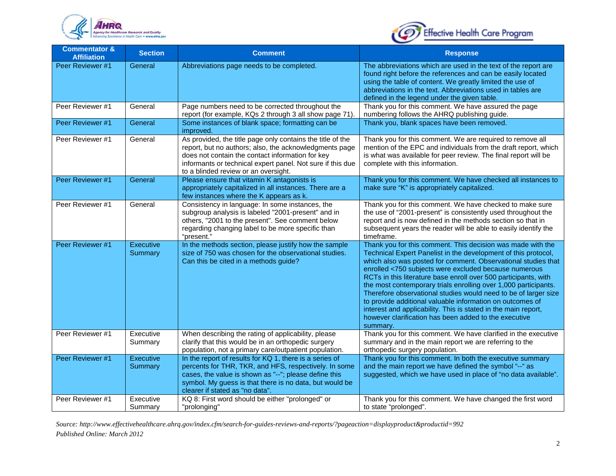



| <b>Commentator &amp;</b><br><b>Affiliation</b> | <b>Section</b>              | <b>Comment</b>                                                                                                                                                                                                                                                                 | <b>Response</b>                                                                                                                                                                                                                                                                                                                                                                                                                                                                                                                                                                                                                                                      |
|------------------------------------------------|-----------------------------|--------------------------------------------------------------------------------------------------------------------------------------------------------------------------------------------------------------------------------------------------------------------------------|----------------------------------------------------------------------------------------------------------------------------------------------------------------------------------------------------------------------------------------------------------------------------------------------------------------------------------------------------------------------------------------------------------------------------------------------------------------------------------------------------------------------------------------------------------------------------------------------------------------------------------------------------------------------|
| Peer Reviewer #1                               | General                     | Abbreviations page needs to be completed.                                                                                                                                                                                                                                      | The abbreviations which are used in the text of the report are<br>found right before the references and can be easily located<br>using the table of content. We greatly limited the use of<br>abbreviations in the text. Abbreviations used in tables are<br>defined in the legend under the given table.                                                                                                                                                                                                                                                                                                                                                            |
| Peer Reviewer #1                               | General                     | Page numbers need to be corrected throughout the<br>report (for example, KQs 2 through 3 all show page 71).                                                                                                                                                                    | Thank you for this comment. We have assured the page<br>numbering follows the AHRQ publishing guide.                                                                                                                                                                                                                                                                                                                                                                                                                                                                                                                                                                 |
| Peer Reviewer #1                               | General                     | Some instances of blank space; formatting can be<br>improved.                                                                                                                                                                                                                  | Thank you, blank spaces have been removed.                                                                                                                                                                                                                                                                                                                                                                                                                                                                                                                                                                                                                           |
| Peer Reviewer #1                               | General                     | As provided, the title page only contains the title of the<br>report, but no authors; also, the acknowledgments page<br>does not contain the contact information for key<br>informants or technical expert panel. Not sure if this due<br>to a blinded review or an oversight. | Thank you for this comment. We are required to remove all<br>mention of the EPC and individuals from the draft report, which<br>is what was available for peer review. The final report will be<br>complete with this information.                                                                                                                                                                                                                                                                                                                                                                                                                                   |
| Peer Reviewer #1                               | General                     | Please ensure that vitamin K antagonists is<br>appropriately capitalized in all instances. There are a<br>few instances where the K appears as k.                                                                                                                              | Thank you for this comment. We have checked all instances to<br>make sure "K" is appropriately capitalized.                                                                                                                                                                                                                                                                                                                                                                                                                                                                                                                                                          |
| Peer Reviewer #1                               | General                     | Consistency in language: In some instances, the<br>subgroup analysis is labeled "2001-present" and in<br>others, "2001 to the present". See comment below<br>regarding changing label to be more specific than<br>"present."                                                   | Thank you for this comment. We have checked to make sure<br>the use of "2001-present" is consistently used throughout the<br>report and is now defined in the methods section so that in<br>subsequent years the reader will be able to easily identify the<br>timeframe.                                                                                                                                                                                                                                                                                                                                                                                            |
| Peer Reviewer #1                               | Executive<br>Summary        | In the methods section, please justify how the sample<br>size of 750 was chosen for the observational studies.<br>Can this be cited in a methods guide?                                                                                                                        | Thank you for this comment. This decision was made with the<br>Technical Expert Panelist in the development of this protocol,<br>which also was posted for comment. Observational studies that<br>enrolled <750 subjects were excluded because numerous<br>RCTs in this literature base enroll over 500 participants, with<br>the most contemporary trials enrolling over 1,000 participants.<br>Therefore observational studies would need to be of larger size<br>to provide additional valuable information on outcomes of<br>interest and applicability. This is stated in the main report,<br>however clarification has been added to the executive<br>summary. |
| Peer Reviewer #1                               | Executive<br>Summary        | When describing the rating of applicability, please<br>clarify that this would be in an orthopedic surgery<br>population, not a primary care/outpatient population.                                                                                                            | Thank you for this comment. We have clarified in the executive<br>summary and in the main report we are referring to the<br>orthopedic surgery population.                                                                                                                                                                                                                                                                                                                                                                                                                                                                                                           |
| Peer Reviewer #1                               | <b>Executive</b><br>Summary | In the report of results for KQ 1, there is a series of<br>percents for THR, TKR, and HFS, respectively. In some<br>cases, the value is shown as "--"; please define this<br>symbol. My guess is that there is no data, but would be<br>clearer if stated as "no data".        | Thank you for this comment. In both the executive summary<br>and the main report we have defined the symbol "--" as<br>suggested, which we have used in place of "no data available".                                                                                                                                                                                                                                                                                                                                                                                                                                                                                |
| Peer Reviewer #1                               | Executive<br>Summary        | KQ 8: First word should be either "prolonged" or<br>"prolonging"                                                                                                                                                                                                               | Thank you for this comment. We have changed the first word<br>to state "prolonged".                                                                                                                                                                                                                                                                                                                                                                                                                                                                                                                                                                                  |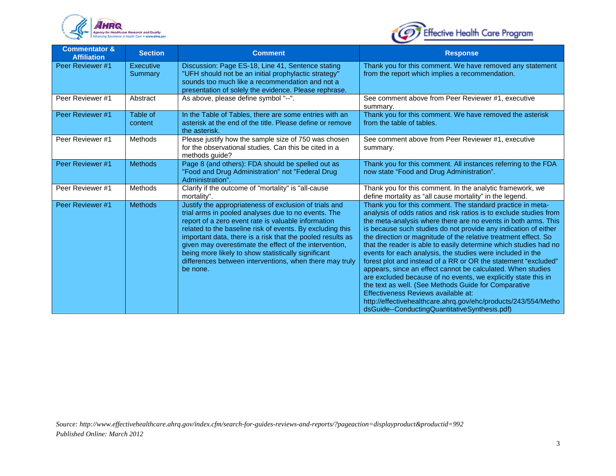



| <b>Commentator &amp;</b><br><b>Affiliation</b> | <b>Section</b>              | <b>Comment</b>                                                                                                                                                                                                                                                                                                                                                                                                                                                                          | <b>Response</b>                                                                                                                                                                                                                                                                                                                                                                                                                                                                                                                                                                                                                                                                                                                                                                                                                                                                                 |
|------------------------------------------------|-----------------------------|-----------------------------------------------------------------------------------------------------------------------------------------------------------------------------------------------------------------------------------------------------------------------------------------------------------------------------------------------------------------------------------------------------------------------------------------------------------------------------------------|-------------------------------------------------------------------------------------------------------------------------------------------------------------------------------------------------------------------------------------------------------------------------------------------------------------------------------------------------------------------------------------------------------------------------------------------------------------------------------------------------------------------------------------------------------------------------------------------------------------------------------------------------------------------------------------------------------------------------------------------------------------------------------------------------------------------------------------------------------------------------------------------------|
| Peer Reviewer #1                               | <b>Executive</b><br>Summary | Discussion: Page ES-18, Line 41, Sentence stating<br>"UFH should not be an initial prophylactic strategy"<br>sounds too much like a recommendation and not a<br>presentation of solely the evidence. Please rephrase.                                                                                                                                                                                                                                                                   | Thank you for this comment. We have removed any statement<br>from the report which implies a recommendation.                                                                                                                                                                                                                                                                                                                                                                                                                                                                                                                                                                                                                                                                                                                                                                                    |
| Peer Reviewer #1                               | Abstract                    | As above, please define symbol "--".                                                                                                                                                                                                                                                                                                                                                                                                                                                    | See comment above from Peer Reviewer #1, executive<br>summary.                                                                                                                                                                                                                                                                                                                                                                                                                                                                                                                                                                                                                                                                                                                                                                                                                                  |
| Peer Reviewer #1                               | Table of<br>content         | In the Table of Tables, there are some entries with an<br>asterisk at the end of the title. Please define or remove<br>the asterisk.                                                                                                                                                                                                                                                                                                                                                    | Thank you for this comment. We have removed the asterisk<br>from the table of tables.                                                                                                                                                                                                                                                                                                                                                                                                                                                                                                                                                                                                                                                                                                                                                                                                           |
| Peer Reviewer #1                               | <b>Methods</b>              | Please justify how the sample size of 750 was chosen<br>for the observational studies. Can this be cited in a<br>methods quide?                                                                                                                                                                                                                                                                                                                                                         | See comment above from Peer Reviewer #1, executive<br>summary.                                                                                                                                                                                                                                                                                                                                                                                                                                                                                                                                                                                                                                                                                                                                                                                                                                  |
| Peer Reviewer #1                               | <b>Methods</b>              | Page 8 (and others): FDA should be spelled out as<br>"Food and Drug Administration" not "Federal Drug<br>Administration".                                                                                                                                                                                                                                                                                                                                                               | Thank you for this comment. All instances referring to the FDA<br>now state "Food and Drug Administration".                                                                                                                                                                                                                                                                                                                                                                                                                                                                                                                                                                                                                                                                                                                                                                                     |
| Peer Reviewer #1                               | <b>Methods</b>              | Clarify if the outcome of "mortality" is "all-cause<br>mortality".                                                                                                                                                                                                                                                                                                                                                                                                                      | Thank you for this comment. In the analytic framework, we<br>define mortality as "all cause mortality" in the legend.                                                                                                                                                                                                                                                                                                                                                                                                                                                                                                                                                                                                                                                                                                                                                                           |
| Peer Reviewer #1                               | <b>Methods</b>              | Justify the appropriateness of exclusion of trials and<br>trial arms in pooled analyses due to no events. The<br>report of a zero event rate is valuable information<br>related to the baseline risk of events. By excluding this<br>important data, there is a risk that the pooled results as<br>given may overestimate the effect of the intervention,<br>being more likely to show statistically significant<br>differences between interventions, when there may truly<br>be none. | Thank you for this comment. The standard practice in meta-<br>analysis of odds ratios and risk ratios is to exclude studies from<br>the meta-analysis where there are no events in both arms. This<br>is because such studies do not provide any indication of either<br>the direction or magnitude of the relative treatment effect. So<br>that the reader is able to easily determine which studies had no<br>events for each analysis, the studies were included in the<br>forest plot and instead of a RR or OR the statement "excluded"<br>appears, since an effect cannot be calculated. When studies<br>are excluded because of no events, we explicitly state this in<br>the text as well. (See Methods Guide for Comparative<br>Effectiveness Reviews available at:<br>http://effectivehealthcare.ahrq.gov/ehc/products/243/554/Metho<br>dsGuide--ConductingQuantitativeSynthesis.pdf) |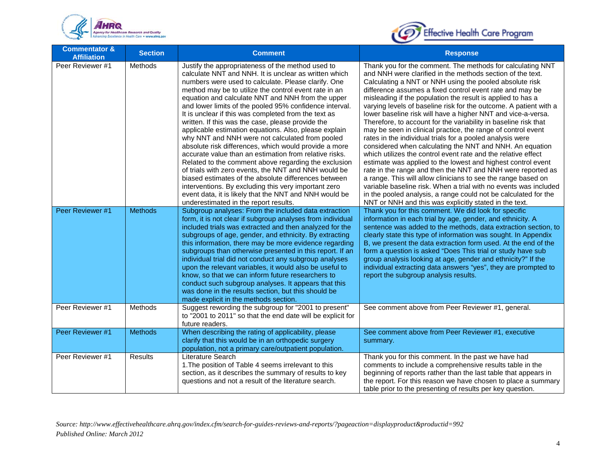



| <b>Commentator &amp;</b><br><b>Affiliation</b> | <b>Section</b> | <b>Comment</b>                                                                                                                                                                                                                                                                                                                                                                                                                                                                                                                                                                                                                                                                                                                                                                                                                                                                                                                                                                                                            | <b>Response</b>                                                                                                                                                                                                                                                                                                                                                                                                                                                                                                                                                                                                                                                                                                                                                                                                                                                                                                                                                                                                                                                                                                                                                                   |
|------------------------------------------------|----------------|---------------------------------------------------------------------------------------------------------------------------------------------------------------------------------------------------------------------------------------------------------------------------------------------------------------------------------------------------------------------------------------------------------------------------------------------------------------------------------------------------------------------------------------------------------------------------------------------------------------------------------------------------------------------------------------------------------------------------------------------------------------------------------------------------------------------------------------------------------------------------------------------------------------------------------------------------------------------------------------------------------------------------|-----------------------------------------------------------------------------------------------------------------------------------------------------------------------------------------------------------------------------------------------------------------------------------------------------------------------------------------------------------------------------------------------------------------------------------------------------------------------------------------------------------------------------------------------------------------------------------------------------------------------------------------------------------------------------------------------------------------------------------------------------------------------------------------------------------------------------------------------------------------------------------------------------------------------------------------------------------------------------------------------------------------------------------------------------------------------------------------------------------------------------------------------------------------------------------|
| Peer Reviewer #1                               | Methods        | Justify the appropriateness of the method used to<br>calculate NNT and NNH. It is unclear as written which<br>numbers were used to calculate. Please clarify. One<br>method may be to utilize the control event rate in an<br>equation and calculate NNT and NNH from the upper<br>and lower limits of the pooled 95% confidence interval.<br>It is unclear if this was completed from the text as<br>written. If this was the case, please provide the<br>applicable estimation equations. Also, please explain<br>why NNT and NNH were not calculated from pooled<br>absolute risk differences, which would provide a more<br>accurate value than an estimation from relative risks.<br>Related to the comment above regarding the exclusion<br>of trials with zero events, the NNT and NNH would be<br>biased estimates of the absolute differences between<br>interventions. By excluding this very important zero<br>event data, it is likely that the NNT and NNH would be<br>underestimated in the report results. | Thank you for the comment. The methods for calculating NNT<br>and NNH were clarified in the methods section of the text.<br>Calculating a NNT or NNH using the pooled absolute risk<br>difference assumes a fixed control event rate and may be<br>misleading if the population the result is applied to has a<br>varying levels of baseline risk for the outcome. A patient with a<br>lower baseline risk will have a higher NNT and vice-a-versa.<br>Therefore, to account for the variability in baseline risk that<br>may be seen in clinical practice, the range of control event<br>rates in the individual trials for a pooled analysis were<br>considered when calculating the NNT and NNH. An equation<br>which utilizes the control event rate and the relative effect<br>estimate was applied to the lowest and highest control event<br>rate in the range and then the NNT and NNH were reported as<br>a range. This will allow clinicians to see the range based on<br>variable baseline risk. When a trial with no events was included<br>in the pooled analysis, a range could not be calculated for the<br>NNT or NNH and this was explicitly stated in the text. |
| Peer Reviewer #1                               | <b>Methods</b> | Subgroup analyses: From the included data extraction<br>form, it is not clear if subgroup analyses from individual<br>included trials was extracted and then analyzed for the<br>subgroups of age, gender, and ethnicity. By extracting<br>this information, there may be more evidence regarding<br>subgroups than otherwise presented in this report. If an<br>individual trial did not conduct any subgroup analyses<br>upon the relevant variables, it would also be useful to<br>know, so that we can inform future researchers to<br>conduct such subgroup analyses. It appears that this<br>was done in the results section, but this should be<br>made explicit in the methods section.                                                                                                                                                                                                                                                                                                                           | Thank you for this comment. We did look for specific<br>information in each trial by age, gender, and ethnicity. A<br>sentence was added to the methods, data extraction section, to<br>clearly state this type of information was sought. In Appendix<br>B, we present the data extraction form used. At the end of the<br>form a question is asked "Does This trial or study have sub<br>group analysis looking at age, gender and ethnicity?" If the<br>individual extracting data answers "yes", they are prompted to<br>report the subgroup analysis results.                                                                                                                                                                                                                                                                                                                                                                                                                                                                                                                                                                                                                |
| Peer Reviewer #1                               | Methods        | Suggest rewording the subgroup for "2001 to present"<br>to "2001 to 2011" so that the end date will be explicit for<br>future readers.                                                                                                                                                                                                                                                                                                                                                                                                                                                                                                                                                                                                                                                                                                                                                                                                                                                                                    | See comment above from Peer Reviewer #1, general.                                                                                                                                                                                                                                                                                                                                                                                                                                                                                                                                                                                                                                                                                                                                                                                                                                                                                                                                                                                                                                                                                                                                 |
| Peer Reviewer #1                               | <b>Methods</b> | When describing the rating of applicability, please<br>clarify that this would be in an orthopedic surgery<br>population, not a primary care/outpatient population.                                                                                                                                                                                                                                                                                                                                                                                                                                                                                                                                                                                                                                                                                                                                                                                                                                                       | See comment above from Peer Reviewer #1, executive<br>summary.                                                                                                                                                                                                                                                                                                                                                                                                                                                                                                                                                                                                                                                                                                                                                                                                                                                                                                                                                                                                                                                                                                                    |
| Peer Reviewer #1                               | Results        | Literature Search<br>1. The position of Table 4 seems irrelevant to this<br>section, as it describes the summary of results to key<br>questions and not a result of the literature search.                                                                                                                                                                                                                                                                                                                                                                                                                                                                                                                                                                                                                                                                                                                                                                                                                                | Thank you for this comment. In the past we have had<br>comments to include a comprehensive results table in the<br>beginning of reports rather than the last table that appears in<br>the report. For this reason we have chosen to place a summary<br>table prior to the presenting of results per key question.                                                                                                                                                                                                                                                                                                                                                                                                                                                                                                                                                                                                                                                                                                                                                                                                                                                                 |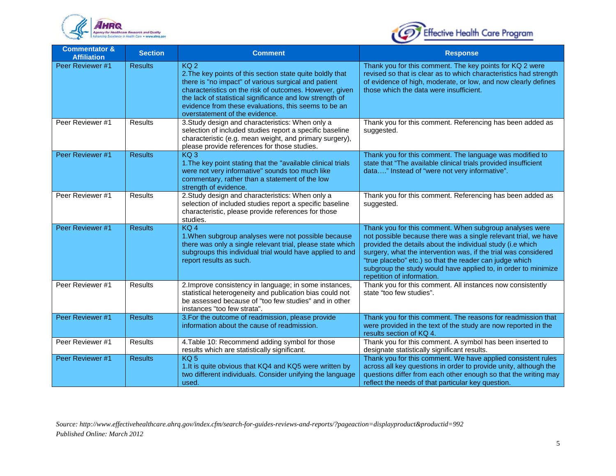



| <b>Commentator &amp;</b><br><b>Affiliation</b> | <b>Section</b> | <b>Comment</b>                                                                                                                                                                                                                                                                                                                                        | <b>Response</b>                                                                                                                                                                                                                                                                                                                                                                                                        |
|------------------------------------------------|----------------|-------------------------------------------------------------------------------------------------------------------------------------------------------------------------------------------------------------------------------------------------------------------------------------------------------------------------------------------------------|------------------------------------------------------------------------------------------------------------------------------------------------------------------------------------------------------------------------------------------------------------------------------------------------------------------------------------------------------------------------------------------------------------------------|
| Peer Reviewer #1                               | <b>Results</b> | KQ <sub>2</sub><br>2. The key points of this section state quite boldly that<br>there is "no impact" of various surgical and patient<br>characteristics on the risk of outcomes. However, given<br>the lack of statistical significance and low strength of<br>evidence from these evaluations, this seems to be an<br>overstatement of the evidence. | Thank you for this comment. The key points for KQ 2 were<br>revised so that is clear as to which characteristics had strength<br>of evidence of high, moderate, or low, and now clearly defines<br>those which the data were insufficient.                                                                                                                                                                             |
| Peer Reviewer #1                               | <b>Results</b> | 3. Study design and characteristics: When only a<br>selection of included studies report a specific baseline<br>characteristic (e.g. mean weight, and primary surgery),<br>please provide references for those studies.                                                                                                                               | Thank you for this comment. Referencing has been added as<br>suggested.                                                                                                                                                                                                                                                                                                                                                |
| Peer Reviewer #1                               | <b>Results</b> | $KQ_3$<br>1. The key point stating that the "available clinical trials"<br>were not very informative" sounds too much like<br>commentary, rather than a statement of the low<br>strength of evidence.                                                                                                                                                 | Thank you for this comment. The language was modified to<br>state that "The available clinical trials provided insufficient<br>data" Instead of "were not very informative".                                                                                                                                                                                                                                           |
| Peer Reviewer #1                               | Results        | 2. Study design and characteristics: When only a<br>selection of included studies report a specific baseline<br>characteristic, please provide references for those<br>studies.                                                                                                                                                                       | Thank you for this comment. Referencing has been added as<br>suggested.                                                                                                                                                                                                                                                                                                                                                |
| Peer Reviewer #1                               | <b>Results</b> | $KQ$ 4<br>1. When subgroup analyses were not possible because<br>there was only a single relevant trial, please state which<br>subgroups this individual trial would have applied to and<br>report results as such.                                                                                                                                   | Thank you for this comment. When subgroup analyses were<br>not possible because there was a single relevant trial, we have<br>provided the details about the individual study (i.e which<br>surgery, what the intervention was, if the trial was considered<br>"true placebo" etc.) so that the reader can judge which<br>subgroup the study would have applied to, in order to minimize<br>repetition of information. |
| Peer Reviewer #1                               | <b>Results</b> | 2. Improve consistency in language; in some instances,<br>statistical heterogeneity and publication bias could not<br>be assessed because of "too few studies" and in other<br>instances "too few strata".                                                                                                                                            | Thank you for this comment. All instances now consistently<br>state "too few studies".                                                                                                                                                                                                                                                                                                                                 |
| Peer Reviewer #1                               | <b>Results</b> | 3. For the outcome of readmission, please provide<br>information about the cause of readmission.                                                                                                                                                                                                                                                      | Thank you for this comment. The reasons for readmission that<br>were provided in the text of the study are now reported in the<br>results section of KQ 4.                                                                                                                                                                                                                                                             |
| Peer Reviewer #1                               | <b>Results</b> | 4. Table 10: Recommend adding symbol for those<br>results which are statistically significant.                                                                                                                                                                                                                                                        | Thank you for this comment. A symbol has been inserted to<br>designate statistically significant results.                                                                                                                                                                                                                                                                                                              |
| Peer Reviewer #1                               | <b>Results</b> | KQ <sub>5</sub><br>1. It is quite obvious that KQ4 and KQ5 were written by<br>two different individuals. Consider unifying the language<br>used.                                                                                                                                                                                                      | Thank you for this comment. We have applied consistent rules<br>across all key questions in order to provide unity, although the<br>questions differ from each other enough so that the writing may<br>reflect the needs of that particular key question.                                                                                                                                                              |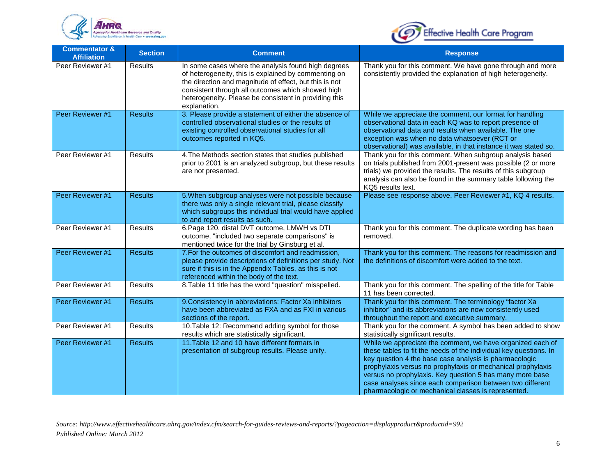



| <b>Commentator &amp;</b><br><b>Affiliation</b> | <b>Section</b> | <b>Comment</b>                                                                                                                                                                                                                                                                                      | <b>Response</b>                                                                                                                                                                                                                                                                                                                                                                                                                          |
|------------------------------------------------|----------------|-----------------------------------------------------------------------------------------------------------------------------------------------------------------------------------------------------------------------------------------------------------------------------------------------------|------------------------------------------------------------------------------------------------------------------------------------------------------------------------------------------------------------------------------------------------------------------------------------------------------------------------------------------------------------------------------------------------------------------------------------------|
| Peer Reviewer #1                               | Results        | In some cases where the analysis found high degrees<br>of heterogeneity, this is explained by commenting on<br>the direction and magnitude of effect, but this is not<br>consistent through all outcomes which showed high<br>heterogeneity. Please be consistent in providing this<br>explanation. | Thank you for this comment. We have gone through and more<br>consistently provided the explanation of high heterogeneity.                                                                                                                                                                                                                                                                                                                |
| Peer Reviewer #1                               | <b>Results</b> | 3. Please provide a statement of either the absence of<br>controlled observational studies or the results of<br>existing controlled observational studies for all<br>outcomes reported in KQ5.                                                                                                      | While we appreciate the comment, our format for handling<br>observational data in each KQ was to report presence of<br>observational data and results when available. The one<br>exception was when no data whatsoever (RCT or<br>observational) was available, in that instance it was stated so.                                                                                                                                       |
| Peer Reviewer #1                               | <b>Results</b> | 4. The Methods section states that studies published<br>prior to 2001 is an analyzed subgroup, but these results<br>are not presented.                                                                                                                                                              | Thank you for this comment. When subgroup analysis based<br>on trials published from 2001-present was possible (2 or more<br>trials) we provided the results. The results of this subgroup<br>analysis can also be found in the summary table following the<br>KQ5 results text.                                                                                                                                                         |
| Peer Reviewer #1                               | <b>Results</b> | 5. When subgroup analyses were not possible because<br>there was only a single relevant trial, please classify<br>which subgroups this individual trial would have applied<br>to and report results as such.                                                                                        | Please see response above, Peer Reviewer #1, KQ 4 results.                                                                                                                                                                                                                                                                                                                                                                               |
| Peer Reviewer #1                               | <b>Results</b> | 6. Page 120, distal DVT outcome, LMWH vs DTI<br>outcome, "included two separate comparisons" is<br>mentioned twice for the trial by Ginsburg et al.                                                                                                                                                 | Thank you for this comment. The duplicate wording has been<br>removed.                                                                                                                                                                                                                                                                                                                                                                   |
| Peer Reviewer #1                               | <b>Results</b> | 7. For the outcomes of discomfort and readmission,<br>please provide descriptions of definitions per study. Not<br>sure if this is in the Appendix Tables, as this is not<br>referenced within the body of the text.                                                                                | Thank you for this comment. The reasons for readmission and<br>the definitions of discomfort were added to the text.                                                                                                                                                                                                                                                                                                                     |
| Peer Reviewer #1                               | Results        | 8. Table 11 title has the word "question" misspelled.                                                                                                                                                                                                                                               | Thank you for this comment. The spelling of the title for Table<br>11 has been corrected.                                                                                                                                                                                                                                                                                                                                                |
| Peer Reviewer #1                               | <b>Results</b> | 9. Consistency in abbreviations: Factor Xa inhibitors<br>have been abbreviated as FXA and as FXI in various<br>sections of the report.                                                                                                                                                              | Thank you for this comment. The terminology "factor Xa<br>inhibitor" and its abbreviations are now consistently used<br>throughout the report and executive summary.                                                                                                                                                                                                                                                                     |
| Peer Reviewer #1                               | Results        | 10. Table 12: Recommend adding symbol for those<br>results which are statistically significant.                                                                                                                                                                                                     | Thank you for the comment. A symbol has been added to show<br>statistically significant results.                                                                                                                                                                                                                                                                                                                                         |
| Peer Reviewer #1                               | <b>Results</b> | 11. Table 12 and 10 have different formats in<br>presentation of subgroup results. Please unify.                                                                                                                                                                                                    | While we appreciate the comment, we have organized each of<br>these tables to fit the needs of the individual key questions. In<br>key question 4 the base case analysis is pharmacologic<br>prophylaxis versus no prophylaxis or mechanical prophylaxis<br>versus no prophylaxis. Key question 5 has many more base<br>case analyses since each comparison between two different<br>pharmacologic or mechanical classes is represented. |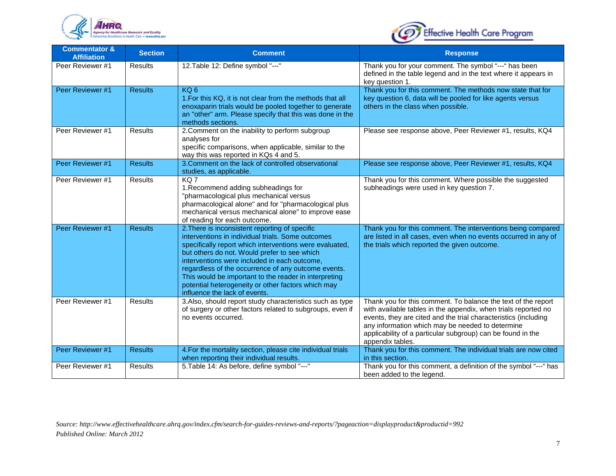



| <b>Commentator &amp;</b><br><b>Affiliation</b> | <b>Section</b> | <b>Comment</b>                                                                                                                                                                                                                                                                                                                                                                                                                                                        | <b>Response</b>                                                                                                                                                                                                                                                                                                                           |
|------------------------------------------------|----------------|-----------------------------------------------------------------------------------------------------------------------------------------------------------------------------------------------------------------------------------------------------------------------------------------------------------------------------------------------------------------------------------------------------------------------------------------------------------------------|-------------------------------------------------------------------------------------------------------------------------------------------------------------------------------------------------------------------------------------------------------------------------------------------------------------------------------------------|
| Peer Reviewer #1                               | <b>Results</b> | 12. Table 12: Define symbol "---"                                                                                                                                                                                                                                                                                                                                                                                                                                     | Thank you for your comment. The symbol "---" has been<br>defined in the table legend and in the text where it appears in<br>key question 1.                                                                                                                                                                                               |
| Peer Reviewer #1                               | <b>Results</b> | KQ <sub>6</sub><br>1. For this KQ, it is not clear from the methods that all<br>enoxaparin trials would be pooled together to generate<br>an "other" arm. Please specify that this was done in the<br>methods sections.                                                                                                                                                                                                                                               | Thank you for this comment. The methods now state that for<br>key question 6, data will be pooled for like agents versus<br>others in the class when possible.                                                                                                                                                                            |
| Peer Reviewer #1                               | <b>Results</b> | 2. Comment on the inability to perform subgroup<br>analyses for<br>specific comparisons, when applicable, similar to the<br>way this was reported in KQs 4 and 5.                                                                                                                                                                                                                                                                                                     | Please see response above, Peer Reviewer #1, results, KQ4                                                                                                                                                                                                                                                                                 |
| Peer Reviewer #1                               | <b>Results</b> | 3. Comment on the lack of controlled observational<br>studies, as applicable.                                                                                                                                                                                                                                                                                                                                                                                         | Please see response above, Peer Reviewer #1, results, KQ4                                                                                                                                                                                                                                                                                 |
| Peer Reviewer #1                               | <b>Results</b> | KQ7<br>1. Recommend adding subheadings for<br>"pharmacological plus mechanical versus<br>pharmacological alone" and for "pharmacological plus<br>mechanical versus mechanical alone" to improve ease<br>of reading for each outcome.                                                                                                                                                                                                                                  | Thank you for this comment. Where possible the suggested<br>subheadings were used in key question 7.                                                                                                                                                                                                                                      |
| Peer Reviewer #1                               | <b>Results</b> | 2. There is inconsistent reporting of specific<br>interventions in individual trials. Some outcomes<br>specifically report which interventions were evaluated,<br>but others do not. Would prefer to see which<br>interventions were included in each outcome,<br>regardless of the occurrence of any outcome events.<br>This would be important to the reader in interpreting<br>potential heterogeneity or other factors which may<br>influence the lack of events. | Thank you for this comment. The interventions being compared<br>are listed in all cases, even when no events occurred in any of<br>the trials which reported the given outcome.                                                                                                                                                           |
| Peer Reviewer #1                               | <b>Results</b> | 3.Also, should report study characteristics such as type<br>of surgery or other factors related to subgroups, even if<br>no events occurred.                                                                                                                                                                                                                                                                                                                          | Thank you for this comment. To balance the text of the report<br>with available tables in the appendix, when trials reported no<br>events, they are cited and the trial characteristics (including<br>any information which may be needed to determine<br>applicability of a particular subgroup) can be found in the<br>appendix tables. |
| Peer Reviewer #1                               | <b>Results</b> | 4. For the mortality section, please cite individual trials<br>when reporting their individual results.                                                                                                                                                                                                                                                                                                                                                               | Thank you for this comment. The individual trials are now cited<br>in this section.                                                                                                                                                                                                                                                       |
| Peer Reviewer #1                               | <b>Results</b> | 5. Table 14: As before, define symbol "---"                                                                                                                                                                                                                                                                                                                                                                                                                           | Thank you for this comment, a definition of the symbol "---" has<br>been added to the legend.                                                                                                                                                                                                                                             |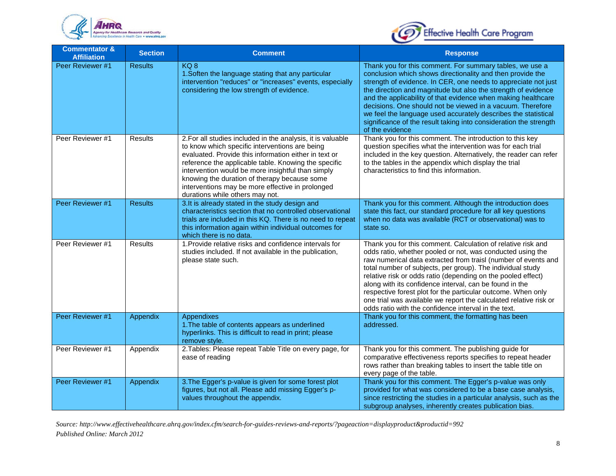



| <b>Commentator &amp;</b><br><b>Affiliation</b> | <b>Section</b> | <b>Comment</b>                                                                                                                                                                                                                                                                                                                                                                                                             | <b>Response</b>                                                                                                                                                                                                                                                                                                                                                                                                                                                                                                                                                                    |
|------------------------------------------------|----------------|----------------------------------------------------------------------------------------------------------------------------------------------------------------------------------------------------------------------------------------------------------------------------------------------------------------------------------------------------------------------------------------------------------------------------|------------------------------------------------------------------------------------------------------------------------------------------------------------------------------------------------------------------------------------------------------------------------------------------------------------------------------------------------------------------------------------------------------------------------------------------------------------------------------------------------------------------------------------------------------------------------------------|
| Peer Reviewer #1                               | <b>Results</b> | KQ8<br>1. Soften the language stating that any particular<br>intervention "reduces" or "increases" events, especially<br>considering the low strength of evidence.                                                                                                                                                                                                                                                         | Thank you for this comment. For summary tables, we use a<br>conclusion which shows directionality and then provide the<br>strength of evidence. In CER, one needs to appreciate not just<br>the direction and magnitude but also the strength of evidence<br>and the applicability of that evidence when making healthcare<br>decisions. One should not be viewed in a vacuum. Therefore<br>we feel the language used accurately describes the statistical<br>significance of the result taking into consideration the strength<br>of the evidence                                 |
| Peer Reviewer #1                               | Results        | 2. For all studies included in the analysis, it is valuable<br>to know which specific interventions are being<br>evaluated. Provide this information either in text or<br>reference the applicable table. Knowing the specific<br>intervention would be more insightful than simply<br>knowing the duration of therapy because some<br>interventions may be more effective in prolonged<br>durations while others may not. | Thank you for this comment. The introduction to this key<br>question specifies what the intervention was for each trial<br>included in the key question. Alternatively, the reader can refer<br>to the tables in the appendix which display the trial<br>characteristics to find this information.                                                                                                                                                                                                                                                                                 |
| Peer Reviewer #1                               | <b>Results</b> | 3. It is already stated in the study design and<br>characteristics section that no controlled observational<br>trials are included in this KQ. There is no need to repeat<br>this information again within individual outcomes for<br>which there is no data.                                                                                                                                                              | Thank you for this comment. Although the introduction does<br>state this fact, our standard procedure for all key questions<br>when no data was available (RCT or observational) was to<br>state so.                                                                                                                                                                                                                                                                                                                                                                               |
| Peer Reviewer #1                               | Results        | 1. Provide relative risks and confidence intervals for<br>studies included. If not available in the publication,<br>please state such.                                                                                                                                                                                                                                                                                     | Thank you for this comment. Calculation of relative risk and<br>odds ratio, whether pooled or not, was conducted using the<br>raw numerical data extracted from traisl (number of events and<br>total number of subjects, per group). The individual study<br>relative risk or odds ratio (depending on the pooled effect)<br>along with its confidence interval, can be found in the<br>respective forest plot for the particular outcome. When only<br>one trial was available we report the calculated relative risk or<br>odds ratio with the confidence interval in the text. |
| Peer Reviewer #1                               | Appendix       | Appendixes<br>1. The table of contents appears as underlined<br>hyperlinks. This is difficult to read in print; please<br>remove style.                                                                                                                                                                                                                                                                                    | Thank you for this comment, the formatting has been<br>addressed.                                                                                                                                                                                                                                                                                                                                                                                                                                                                                                                  |
| Peer Reviewer #1                               | Appendix       | 2. Tables: Please repeat Table Title on every page, for<br>ease of reading                                                                                                                                                                                                                                                                                                                                                 | Thank you for this comment. The publishing guide for<br>comparative effectiveness reports specifies to repeat header<br>rows rather than breaking tables to insert the table title on<br>every page of the table.                                                                                                                                                                                                                                                                                                                                                                  |
| Peer Reviewer #1                               | Appendix       | 3. The Egger's p-value is given for some forest plot<br>figures, but not all. Please add missing Egger's p-<br>values throughout the appendix.                                                                                                                                                                                                                                                                             | Thank you for this comment. The Egger's p-value was only<br>provided for what was considered to be a base case analysis,<br>since restricting the studies in a particular analysis, such as the<br>subgroup analyses, inherently creates publication bias.                                                                                                                                                                                                                                                                                                                         |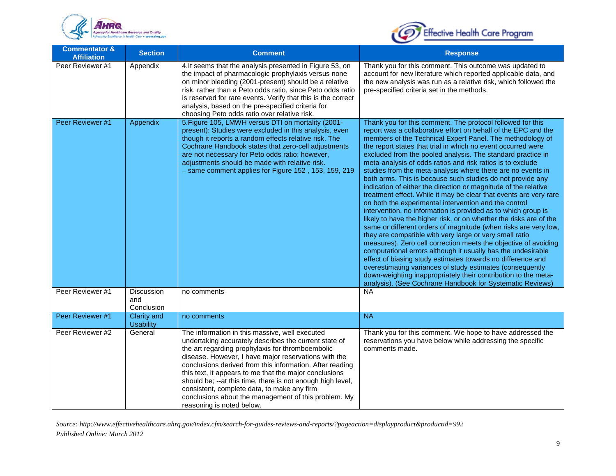



| <b>Commentator &amp;</b><br><b>Affiliation</b> | <b>Section</b>                         | <b>Comment</b>                                                                                                                                                                                                                                                                                                                                                                                                                                                                                                                               | <b>Response</b>                                                                                                                                                                                                                                                                                                                                                                                                                                                                                                                                                                                                                                                                                                                                                                                                                                                                                                                                                                                                                                                                                                                                                                                                                                                                                                                                                                         |
|------------------------------------------------|----------------------------------------|----------------------------------------------------------------------------------------------------------------------------------------------------------------------------------------------------------------------------------------------------------------------------------------------------------------------------------------------------------------------------------------------------------------------------------------------------------------------------------------------------------------------------------------------|-----------------------------------------------------------------------------------------------------------------------------------------------------------------------------------------------------------------------------------------------------------------------------------------------------------------------------------------------------------------------------------------------------------------------------------------------------------------------------------------------------------------------------------------------------------------------------------------------------------------------------------------------------------------------------------------------------------------------------------------------------------------------------------------------------------------------------------------------------------------------------------------------------------------------------------------------------------------------------------------------------------------------------------------------------------------------------------------------------------------------------------------------------------------------------------------------------------------------------------------------------------------------------------------------------------------------------------------------------------------------------------------|
| Peer Reviewer #1                               | Appendix                               | 4. It seems that the analysis presented in Figure 53, on<br>the impact of pharmacologic prophylaxis versus none<br>on minor bleeding (2001-present) should be a relative<br>risk, rather than a Peto odds ratio, since Peto odds ratio<br>is reserved for rare events. Verify that this is the correct<br>analysis, based on the pre-specified criteria for<br>choosing Peto odds ratio over relative risk.                                                                                                                                  | Thank you for this comment. This outcome was updated to<br>account for new literature which reported applicable data, and<br>the new analysis was run as a relative risk, which followed the<br>pre-specified criteria set in the methods.                                                                                                                                                                                                                                                                                                                                                                                                                                                                                                                                                                                                                                                                                                                                                                                                                                                                                                                                                                                                                                                                                                                                              |
| Peer Reviewer #1                               | Appendix                               | 5. Figure 105, LMWH versus DTI on mortality (2001-<br>present): Studies were excluded in this analysis, even<br>though it reports a random effects relative risk. The<br>Cochrane Handbook states that zero-cell adjustments<br>are not necessary for Peto odds ratio; however,<br>adjustments should be made with relative risk.<br>- same comment applies for Figure 152, 153, 159, 219                                                                                                                                                    | Thank you for this comment. The protocol followed for this<br>report was a collaborative effort on behalf of the EPC and the<br>members of the Technical Expert Panel. The methodology of<br>the report states that trial in which no event occurred were<br>excluded from the pooled analysis. The standard practice in<br>meta-analysis of odds ratios and risk ratios is to exclude<br>studies from the meta-analysis where there are no events in<br>both arms. This is because such studies do not provide any<br>indication of either the direction or magnitude of the relative<br>treatment effect. While it may be clear that events are very rare<br>on both the experimental intervention and the control<br>intervention, no information is provided as to which group is<br>likely to have the higher risk, or on whether the risks are of the<br>same or different orders of magnitude (when risks are very low,<br>they are compatible with very large or very small ratio<br>measures). Zero cell correction meets the objective of avoiding<br>computational errors although it usually has the undesirable<br>effect of biasing study estimates towards no difference and<br>overestimating variances of study estimates (consequently<br>down-weighting inappropriately their contribution to the meta-<br>analysis). (See Cochrane Handbook for Systematic Reviews) |
| Peer Reviewer #1                               | Discussion<br>and<br>Conclusion        | no comments                                                                                                                                                                                                                                                                                                                                                                                                                                                                                                                                  | <b>NA</b>                                                                                                                                                                                                                                                                                                                                                                                                                                                                                                                                                                                                                                                                                                                                                                                                                                                                                                                                                                                                                                                                                                                                                                                                                                                                                                                                                                               |
| Peer Reviewer #1                               | <b>Clarity and</b><br><b>Usability</b> | no comments                                                                                                                                                                                                                                                                                                                                                                                                                                                                                                                                  | <b>NA</b>                                                                                                                                                                                                                                                                                                                                                                                                                                                                                                                                                                                                                                                                                                                                                                                                                                                                                                                                                                                                                                                                                                                                                                                                                                                                                                                                                                               |
| Peer Reviewer #2                               | General                                | The information in this massive, well executed<br>undertaking accurately describes the current state of<br>the art regarding prophylaxis for thromboembolic<br>disease. However, I have major reservations with the<br>conclusions derived from this information. After reading<br>this text, it appears to me that the major conclusions<br>should be; -- at this time, there is not enough high level,<br>consistent, complete data, to make any firm<br>conclusions about the management of this problem. My<br>reasoning is noted below. | Thank you for this comment. We hope to have addressed the<br>reservations you have below while addressing the specific<br>comments made.                                                                                                                                                                                                                                                                                                                                                                                                                                                                                                                                                                                                                                                                                                                                                                                                                                                                                                                                                                                                                                                                                                                                                                                                                                                |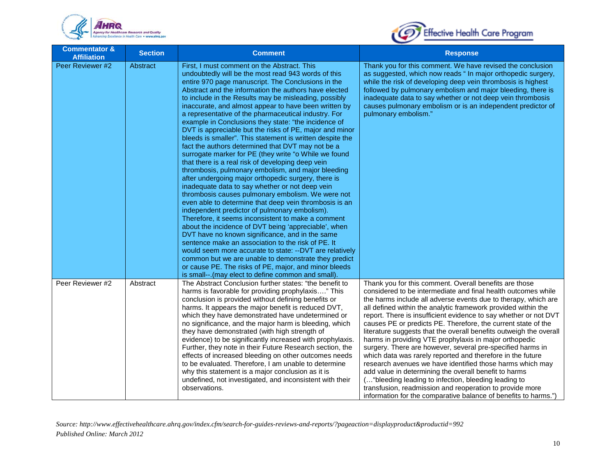



| <b>Commentator &amp;</b><br><b>Affiliation</b> | <b>Section</b> | <b>Comment</b>                                                                                                                                                                                                                                                                                                                                                                                                                                                                                                                                                                                                                                                                                                                                                                                                                                                                                                                                                                                                                                                                                                                                                                                                                                                                                                                                                                                                                                                                                                                           | <b>Response</b>                                                                                                                                                                                                                                                                                                                                                                                                                                                                                                                                                                                                                                                                                                                                                                                                                                                                                                                                                           |
|------------------------------------------------|----------------|------------------------------------------------------------------------------------------------------------------------------------------------------------------------------------------------------------------------------------------------------------------------------------------------------------------------------------------------------------------------------------------------------------------------------------------------------------------------------------------------------------------------------------------------------------------------------------------------------------------------------------------------------------------------------------------------------------------------------------------------------------------------------------------------------------------------------------------------------------------------------------------------------------------------------------------------------------------------------------------------------------------------------------------------------------------------------------------------------------------------------------------------------------------------------------------------------------------------------------------------------------------------------------------------------------------------------------------------------------------------------------------------------------------------------------------------------------------------------------------------------------------------------------------|---------------------------------------------------------------------------------------------------------------------------------------------------------------------------------------------------------------------------------------------------------------------------------------------------------------------------------------------------------------------------------------------------------------------------------------------------------------------------------------------------------------------------------------------------------------------------------------------------------------------------------------------------------------------------------------------------------------------------------------------------------------------------------------------------------------------------------------------------------------------------------------------------------------------------------------------------------------------------|
| Peer Reviewer #2                               | Abstract       | First, I must comment on the Abstract. This<br>undoubtedly will be the most read 943 words of this<br>entire 970 page manuscript. The Conclusions in the<br>Abstract and the information the authors have elected<br>to include in the Results may be misleading, possibly<br>inaccurate, and almost appear to have been written by<br>a representative of the pharmaceutical industry. For<br>example in Conclusions they state: "the incidence of<br>DVT is appreciable but the risks of PE, major and minor<br>bleeds is smaller". This statement is written despite the<br>fact the authors determined that DVT may not be a<br>surrogate marker for PE (they write "o While we found<br>that there is a real risk of developing deep vein<br>thrombosis, pulmonary embolism, and major bleeding<br>after undergoing major orthopedic surgery, there is<br>inadequate data to say whether or not deep vein<br>thrombosis causes pulmonary embolism. We were not<br>even able to determine that deep vein thrombosis is an<br>independent predictor of pulmonary embolism).<br>Therefore, it seems inconsistent to make a comment<br>about the incidence of DVT being 'appreciable', when<br>DVT have no known significance, and in the same<br>sentence make an association to the risk of PE. It<br>would seem more accurate to state: --DVT are relatively<br>common but we are unable to demonstrate they predict<br>or cause PE. The risks of PE, major, and minor bleeds<br>is small--. (may elect to define common and small). | Thank you for this comment. We have revised the conclusion<br>as suggested, which now reads " In major orthopedic surgery,<br>while the risk of developing deep vein thrombosis is highest<br>followed by pulmonary embolism and major bleeding, there is<br>inadequate data to say whether or not deep vein thrombosis<br>causes pulmonary embolism or is an independent predictor of<br>pulmonary embolism."                                                                                                                                                                                                                                                                                                                                                                                                                                                                                                                                                            |
| Peer Reviewer #2                               | Abstract       | The Abstract Conclusion further states: "the benefit to<br>harms is favorable for providing prophylaxis" This<br>conclusion is provided without defining benefits or<br>harms. It appears the major benefit is reduced DVT,<br>which they have demonstrated have undetermined or<br>no significance, and the major harm is bleeding, which<br>they have demonstrated (with high strength of<br>evidence) to be significantly increased with prophylaxis.<br>Further, they note in their Future Research section, the<br>effects of increased bleeding on other outcomes needs<br>to be evaluated. Therefore, I am unable to determine<br>why this statement is a major conclusion as it is<br>undefined, not investigated, and inconsistent with their<br>observations.                                                                                                                                                                                                                                                                                                                                                                                                                                                                                                                                                                                                                                                                                                                                                                  | Thank you for this comment. Overall benefits are those<br>considered to be intermediate and final health outcomes while<br>the harms include all adverse events due to therapy, which are<br>all defined within the analytic framework provided within the<br>report. There is insufficient evidence to say whether or not DVT<br>causes PE or predicts PE. Therefore, the current state of the<br>literature suggests that the overall benefits outweigh the overall<br>harms in providing VTE prophylaxis in major orthopedic<br>surgery. There are however, several pre-specified harms in<br>which data was rarely reported and therefore in the future<br>research avenues we have identified those harms which may<br>add value in determining the overall benefit to harms<br>( "bleeding leading to infection, bleeding leading to<br>transfusion, readmission and reoperation to provide more<br>information for the comparative balance of benefits to harms.") |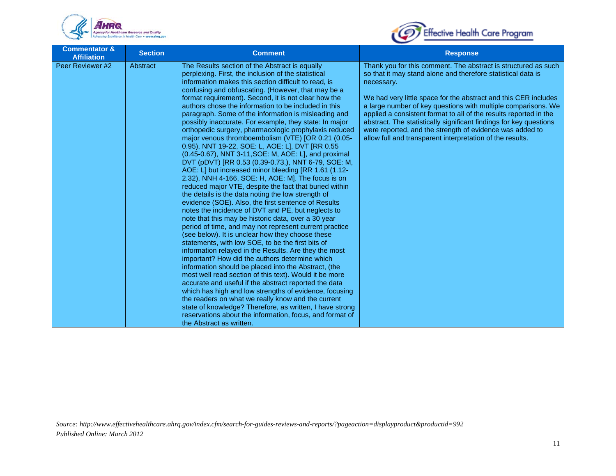



| <b>Commentator &amp;</b><br><b>Affiliation</b> | <b>Section</b> | <b>Comment</b>                                                                                                                                                                                                                                                                                                                                                                                                                                                                                                                                                                                                                                                                                                                                                                                                                                                                                                                                                                                                                                                                                                                                                                                                                                                                                                                                                                                                                                                                                                                                                                                                                                                                                                                                                                                                                                                        | <b>Response</b>                                                                                                                                                                                                                                                                                                                                                                                                                                                                                                                                      |
|------------------------------------------------|----------------|-----------------------------------------------------------------------------------------------------------------------------------------------------------------------------------------------------------------------------------------------------------------------------------------------------------------------------------------------------------------------------------------------------------------------------------------------------------------------------------------------------------------------------------------------------------------------------------------------------------------------------------------------------------------------------------------------------------------------------------------------------------------------------------------------------------------------------------------------------------------------------------------------------------------------------------------------------------------------------------------------------------------------------------------------------------------------------------------------------------------------------------------------------------------------------------------------------------------------------------------------------------------------------------------------------------------------------------------------------------------------------------------------------------------------------------------------------------------------------------------------------------------------------------------------------------------------------------------------------------------------------------------------------------------------------------------------------------------------------------------------------------------------------------------------------------------------------------------------------------------------|------------------------------------------------------------------------------------------------------------------------------------------------------------------------------------------------------------------------------------------------------------------------------------------------------------------------------------------------------------------------------------------------------------------------------------------------------------------------------------------------------------------------------------------------------|
| Peer Reviewer #2                               | Abstract       | The Results section of the Abstract is equally<br>perplexing. First, the inclusion of the statistical<br>information makes this section difficult to read, is<br>confusing and obfuscating. (However, that may be a<br>format requirement). Second, it is not clear how the<br>authors chose the information to be included in this<br>paragraph. Some of the information is misleading and<br>possibly inaccurate. For example, they state: In major<br>orthopedic surgery, pharmacologic prophylaxis reduced<br>major venous thromboembolism (VTE) [OR 0.21 (0.05-<br>0.95), NNT 19-22, SOE: L, AOE: L], DVT [RR 0.55<br>(0.45-0.67), NNT 3-11, SOE: M, AOE: L], and proximal<br>DVT (pDVT) [RR 0.53 (0.39-0.73,), NNT 6-79, SOE: M,<br>AOE: L] but increased minor bleeding [RR 1.61 (1.12-<br>2.32), NNH 4-166, SOE: H, AOE: M]. The focus is on<br>reduced major VTE, despite the fact that buried within<br>the details is the data noting the low strength of<br>evidence (SOE). Also, the first sentence of Results<br>notes the incidence of DVT and PE, but neglects to<br>note that this may be historic data, over a 30 year<br>period of time, and may not represent current practice<br>(see below). It is unclear how they choose these<br>statements, with low SOE, to be the first bits of<br>information relayed in the Results. Are they the most<br>important? How did the authors determine which<br>information should be placed into the Abstract, (the<br>most well read section of this text). Would it be more<br>accurate and useful if the abstract reported the data<br>which has high and low strengths of evidence, focusing<br>the readers on what we really know and the current<br>state of knowledge? Therefore, as written, I have strong<br>reservations about the information, focus, and format of<br>the Abstract as written. | Thank you for this comment. The abstract is structured as such<br>so that it may stand alone and therefore statistical data is<br>necessary.<br>We had very little space for the abstract and this CER includes<br>a large number of key questions with multiple comparisons. We<br>applied a consistent format to all of the results reported in the<br>abstract. The statistically significant findings for key questions<br>were reported, and the strength of evidence was added to<br>allow full and transparent interpretation of the results. |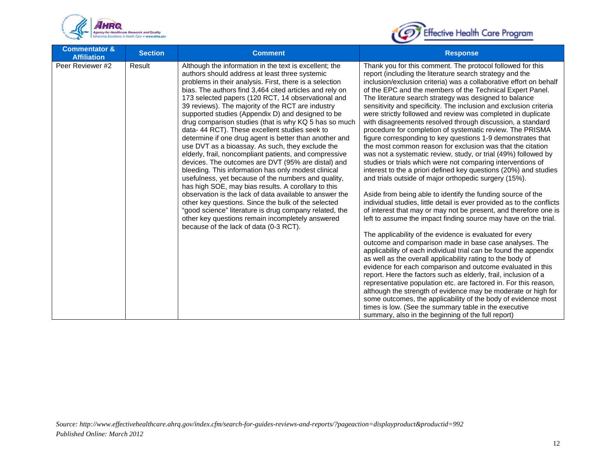



| <b>Commentator &amp;</b><br><b>Affiliation</b> | <b>Section</b> | <b>Comment</b>                                                                                                                                                                                                                                                                                                                                                                                                                                                                                                                                                                                                                                                                                                                                                                                                                                                                                                                                                                                                                                                                                                                              | <b>Response</b>                                                                                                                                                                                                                                                                                                                                                                                                                                                                                                                                                                                                                                                                                                                                                                                                                                                                                                                                                                                                                                                                                                                                                                                                                                                |
|------------------------------------------------|----------------|---------------------------------------------------------------------------------------------------------------------------------------------------------------------------------------------------------------------------------------------------------------------------------------------------------------------------------------------------------------------------------------------------------------------------------------------------------------------------------------------------------------------------------------------------------------------------------------------------------------------------------------------------------------------------------------------------------------------------------------------------------------------------------------------------------------------------------------------------------------------------------------------------------------------------------------------------------------------------------------------------------------------------------------------------------------------------------------------------------------------------------------------|----------------------------------------------------------------------------------------------------------------------------------------------------------------------------------------------------------------------------------------------------------------------------------------------------------------------------------------------------------------------------------------------------------------------------------------------------------------------------------------------------------------------------------------------------------------------------------------------------------------------------------------------------------------------------------------------------------------------------------------------------------------------------------------------------------------------------------------------------------------------------------------------------------------------------------------------------------------------------------------------------------------------------------------------------------------------------------------------------------------------------------------------------------------------------------------------------------------------------------------------------------------|
| Peer Reviewer #2                               | Result         | Although the information in the text is excellent; the<br>authors should address at least three systemic<br>problems in their analysis. First, there is a selection<br>bias. The authors find 3,464 cited articles and rely on<br>173 selected papers (120 RCT, 14 observational and<br>39 reviews). The majority of the RCT are industry<br>supported studies (Appendix D) and designed to be<br>drug comparison studies (that is why KQ 5 has so much<br>data-44 RCT). These excellent studies seek to<br>determine if one drug agent is better than another and<br>use DVT as a bioassay. As such, they exclude the<br>elderly, frail, noncompliant patients, and compressive<br>devices. The outcomes are DVT (95% are distal) and<br>bleeding. This information has only modest clinical<br>usefulness, yet because of the numbers and quality,<br>has high SOE, may bias results. A corollary to this<br>observation is the lack of data available to answer the<br>other key questions. Since the bulk of the selected<br>"good science" literature is drug company related, the<br>other key questions remain incompletely answered | Thank you for this comment. The protocol followed for this<br>report (including the literature search strategy and the<br>inclusion/exclusion criteria) was a collaborative effort on behalf<br>of the EPC and the members of the Technical Expert Panel.<br>The literature search strategy was designed to balance<br>sensitivity and specificity. The inclusion and exclusion criteria<br>were strictly followed and review was completed in duplicate<br>with disagreements resolved through discussion, a standard<br>procedure for completion of systematic review. The PRISMA<br>figure corresponding to key questions 1-9 demonstrates that<br>the most common reason for exclusion was that the citation<br>was not a systematic review, study, or trial (49%) followed by<br>studies or trials which were not comparing interventions of<br>interest to the a priori defined key questions (20%) and studies<br>and trials outside of major orthopedic surgery (15%).<br>Aside from being able to identify the funding source of the<br>individual studies, little detail is ever provided as to the conflicts<br>of interest that may or may not be present, and therefore one is<br>left to assume the impact finding source may have on the trial. |
|                                                |                | because of the lack of data (0-3 RCT).                                                                                                                                                                                                                                                                                                                                                                                                                                                                                                                                                                                                                                                                                                                                                                                                                                                                                                                                                                                                                                                                                                      | The applicability of the evidence is evaluated for every<br>outcome and comparison made in base case analyses. The<br>applicability of each individual trial can be found the appendix<br>as well as the overall applicability rating to the body of<br>evidence for each comparison and outcome evaluated in this<br>report. Here the factors such as elderly, frail, inclusion of a<br>representative population etc. are factored in. For this reason,<br>although the strength of evidence may be moderate or high for<br>some outcomes, the applicability of the body of evidence most<br>times is low. (See the summary table in the executive<br>summary, also in the beginning of the full report)                                                                                                                                                                                                                                                                                                                                                                                                                                                                                                                                                     |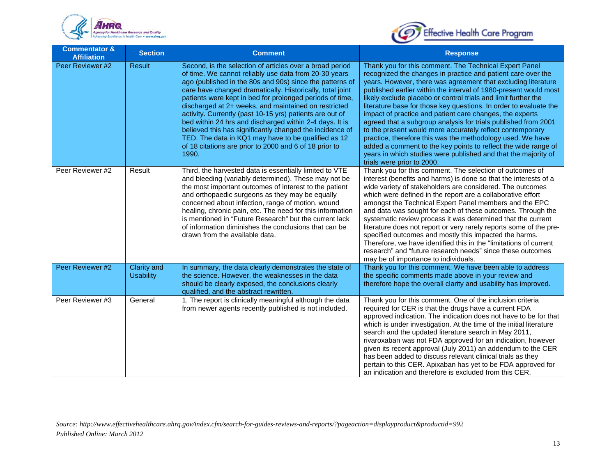



| <b>Commentator &amp;</b><br><b>Affiliation</b> | <b>Section</b>                  | <b>Comment</b>                                                                                                                                                                                                                                                                                                                                                                                                                                                                                                                                                                                                                                                              | <b>Response</b>                                                                                                                                                                                                                                                                                                                                                                                                                                                                                                                                                                                                                                                                                                                                                                                                               |
|------------------------------------------------|---------------------------------|-----------------------------------------------------------------------------------------------------------------------------------------------------------------------------------------------------------------------------------------------------------------------------------------------------------------------------------------------------------------------------------------------------------------------------------------------------------------------------------------------------------------------------------------------------------------------------------------------------------------------------------------------------------------------------|-------------------------------------------------------------------------------------------------------------------------------------------------------------------------------------------------------------------------------------------------------------------------------------------------------------------------------------------------------------------------------------------------------------------------------------------------------------------------------------------------------------------------------------------------------------------------------------------------------------------------------------------------------------------------------------------------------------------------------------------------------------------------------------------------------------------------------|
| Peer Reviewer #2                               | <b>Result</b>                   | Second, is the selection of articles over a broad period<br>of time. We cannot reliably use data from 20-30 years<br>ago (published in the 80s and 90s) since the patterns of<br>care have changed dramatically. Historically, total joint<br>patients were kept in bed for prolonged periods of time,<br>discharged at 2+ weeks, and maintained on restricted<br>activity. Currently (past 10-15 yrs) patients are out of<br>bed within 24 hrs and discharged within 2-4 days. It is<br>believed this has significantly changed the incidence of<br>TED. The data in KQ1 may have to be qualified as 12<br>of 18 citations are prior to 2000 and 6 of 18 prior to<br>1990. | Thank you for this comment. The Technical Expert Panel<br>recognized the changes in practice and patient care over the<br>years. However, there was agreement that excluding literature<br>published earlier within the interval of 1980-present would most<br>likely exclude placebo or control trials and limit further the<br>literature base for those key questions. In order to evaluate the<br>impact of practice and patient care changes, the experts<br>agreed that a subgroup analysis for trials published from 2001<br>to the present would more accurately reflect contemporary<br>practice, therefore this was the methodology used. We have<br>added a comment to the key points to reflect the wide range of<br>years in which studies were published and that the majority of<br>trials were prior to 2000. |
| Peer Reviewer #2                               | Result                          | Third, the harvested data is essentially limited to VTE<br>and bleeding (variably determined). These may not be<br>the most important outcomes of interest to the patient<br>and orthopaedic surgeons as they may be equally<br>concerned about infection, range of motion, wound<br>healing, chronic pain, etc. The need for this information<br>is mentioned in "Future Research" but the current lack<br>of information diminishes the conclusions that can be<br>drawn from the available data.                                                                                                                                                                         | Thank you for this comment. The selection of outcomes of<br>interest (benefits and harms) is done so that the interests of a<br>wide variety of stakeholders are considered. The outcomes<br>which were defined in the report are a collaborative effort<br>amongst the Technical Expert Panel members and the EPC<br>and data was sought for each of these outcomes. Through the<br>systematic review process it was determined that the current<br>literature does not report or very rarely reports some of the pre-<br>specified outcomes and mostly this impacted the harms.<br>Therefore, we have identified this in the "limitations of current<br>research" and "future research needs" since these outcomes<br>may be of importance to individuals.                                                                  |
| Peer Reviewer #2                               | Clarity and<br><b>Usability</b> | In summary, the data clearly demonstrates the state of<br>the science. However, the weaknesses in the data<br>should be clearly exposed, the conclusions clearly<br>qualified, and the abstract rewritten.                                                                                                                                                                                                                                                                                                                                                                                                                                                                  | Thank you for this comment. We have been able to address<br>the specific comments made above in your review and<br>therefore hope the overall clarity and usability has improved.                                                                                                                                                                                                                                                                                                                                                                                                                                                                                                                                                                                                                                             |
| Peer Reviewer #3                               | General                         | 1. The report is clinically meaningful although the data<br>from newer agents recently published is not included.                                                                                                                                                                                                                                                                                                                                                                                                                                                                                                                                                           | Thank you for this comment. One of the inclusion criteria<br>required for CER is that the drugs have a current FDA<br>approved indication. The indication does not have to be for that<br>which is under investigation. At the time of the initial literature<br>search and the updated literature search in May 2011,<br>rivaroxaban was not FDA approved for an indication, however<br>given its recent approval (July 2011) an addendum to the CER<br>has been added to discuss relevant clinical trials as they<br>pertain to this CER. Apixaban has yet to be FDA approved for<br>an indication and therefore is excluded from this CER.                                                                                                                                                                                 |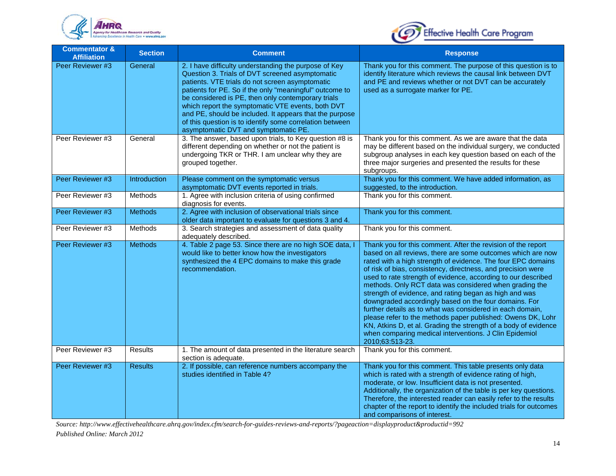



| <b>Commentator &amp;</b><br><b>Affiliation</b> | <b>Section</b> | <b>Comment</b>                                                                                                                                                                                                                                                                                                                                                                                                                                                                                   | <b>Response</b>                                                                                                                                                                                                                                                                                                                                                                                                                                                                                                                                                                                                                                                                                                                                                                       |
|------------------------------------------------|----------------|--------------------------------------------------------------------------------------------------------------------------------------------------------------------------------------------------------------------------------------------------------------------------------------------------------------------------------------------------------------------------------------------------------------------------------------------------------------------------------------------------|---------------------------------------------------------------------------------------------------------------------------------------------------------------------------------------------------------------------------------------------------------------------------------------------------------------------------------------------------------------------------------------------------------------------------------------------------------------------------------------------------------------------------------------------------------------------------------------------------------------------------------------------------------------------------------------------------------------------------------------------------------------------------------------|
| Peer Reviewer #3                               | General        | 2. I have difficulty understanding the purpose of Key<br>Question 3. Trials of DVT screened asymptomatic<br>patients. VTE trials do not screen asymptomatic<br>patients for PE. So if the only "meaningful" outcome to<br>be considered is PE, then only contemporary trials<br>which report the symptomatic VTE events, both DVT<br>and PE, should be included. It appears that the purpose<br>of this question is to identify some correlation between<br>asymptomatic DVT and symptomatic PE. | Thank you for this comment. The purpose of this question is to<br>identify literature which reviews the causal link between DVT<br>and PE and reviews whether or not DVT can be accurately<br>used as a surrogate marker for PE.                                                                                                                                                                                                                                                                                                                                                                                                                                                                                                                                                      |
| Peer Reviewer #3                               | General        | 3. The answer, based upon trials, to Key question #8 is<br>different depending on whether or not the patient is<br>undergoing TKR or THR. I am unclear why they are<br>grouped together.                                                                                                                                                                                                                                                                                                         | Thank you for this comment. As we are aware that the data<br>may be different based on the individual surgery, we conducted<br>subgroup analyses in each key question based on each of the<br>three major surgeries and presented the results for these<br>subgroups.                                                                                                                                                                                                                                                                                                                                                                                                                                                                                                                 |
| Peer Reviewer #3                               | Introduction   | Please comment on the symptomatic versus<br>asymptomatic DVT events reported in trials.                                                                                                                                                                                                                                                                                                                                                                                                          | Thank you for this comment. We have added information, as<br>suggested, to the introduction.                                                                                                                                                                                                                                                                                                                                                                                                                                                                                                                                                                                                                                                                                          |
| Peer Reviewer #3                               | <b>Methods</b> | 1. Agree with inclusion criteria of using confirmed<br>diagnosis for events.                                                                                                                                                                                                                                                                                                                                                                                                                     | Thank you for this comment.                                                                                                                                                                                                                                                                                                                                                                                                                                                                                                                                                                                                                                                                                                                                                           |
| Peer Reviewer #3                               | <b>Methods</b> | 2. Agree with inclusion of observational trials since<br>older data important to evaluate for questions 3 and 4.                                                                                                                                                                                                                                                                                                                                                                                 | Thank you for this comment.                                                                                                                                                                                                                                                                                                                                                                                                                                                                                                                                                                                                                                                                                                                                                           |
| Peer Reviewer #3                               | Methods        | 3. Search strategies and assessment of data quality<br>adequately described.                                                                                                                                                                                                                                                                                                                                                                                                                     | Thank you for this comment.                                                                                                                                                                                                                                                                                                                                                                                                                                                                                                                                                                                                                                                                                                                                                           |
| Peer Reviewer #3                               | <b>Methods</b> | 4. Table 2 page 53. Since there are no high SOE data, I<br>would like to better know how the investigators<br>synthesized the 4 EPC domains to make this grade<br>recommendation.                                                                                                                                                                                                                                                                                                                | Thank you for this comment. After the revision of the report<br>based on all reviews, there are some outcomes which are now<br>rated with a high strength of evidence. The four EPC domains<br>of risk of bias, consistency, directness, and precision were<br>used to rate strength of evidence, according to our described<br>methods. Only RCT data was considered when grading the<br>strength of evidence, and rating began as high and was<br>downgraded accordingly based on the four domains. For<br>further details as to what was considered in each domain,<br>please refer to the methods paper published: Owens DK, Lohr<br>KN, Atkins D, et al. Grading the strength of a body of evidence<br>when comparing medical interventions. J Clin Epidemiol<br>2010;63:513-23. |
| Peer Reviewer #3                               | <b>Results</b> | 1. The amount of data presented in the literature search<br>section is adequate.                                                                                                                                                                                                                                                                                                                                                                                                                 | Thank you for this comment.                                                                                                                                                                                                                                                                                                                                                                                                                                                                                                                                                                                                                                                                                                                                                           |
| Peer Reviewer #3                               | <b>Results</b> | 2. If possible, can reference numbers accompany the<br>studies identified in Table 4?                                                                                                                                                                                                                                                                                                                                                                                                            | Thank you for this comment. This table presents only data<br>which is rated with a strength of evidence rating of high,<br>moderate, or low. Insufficient data is not presented.<br>Additionally, the organization of the table is per key questions.<br>Therefore, the interested reader can easily refer to the results<br>chapter of the report to identify the included trials for outcomes<br>and comparisons of interest.                                                                                                                                                                                                                                                                                                                                                       |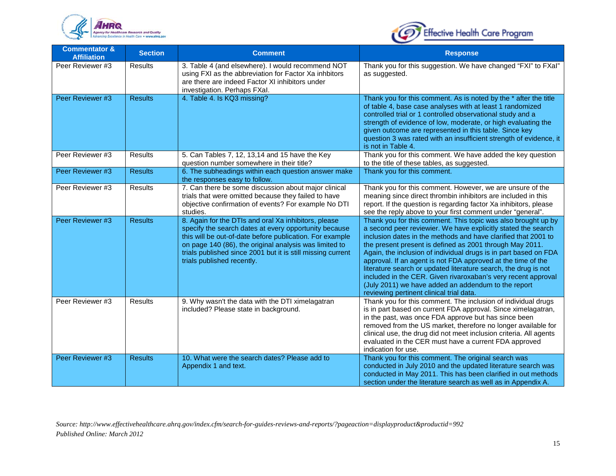



| <b>Commentator &amp;</b><br><b>Affiliation</b> | <b>Section</b> | <b>Comment</b>                                                                                                                                                                                                                                                                                                                   | <b>Response</b>                                                                                                                                                                                                                                                                                                                                                                                                                                                                                                                                                                                                                         |
|------------------------------------------------|----------------|----------------------------------------------------------------------------------------------------------------------------------------------------------------------------------------------------------------------------------------------------------------------------------------------------------------------------------|-----------------------------------------------------------------------------------------------------------------------------------------------------------------------------------------------------------------------------------------------------------------------------------------------------------------------------------------------------------------------------------------------------------------------------------------------------------------------------------------------------------------------------------------------------------------------------------------------------------------------------------------|
| Peer Reviewer #3                               | <b>Results</b> | 3. Table 4 (and elsewhere). I would recommend NOT<br>using FXI as the abbreviation for Factor Xa inhbitors<br>are there are indeed Factor XI inhibitors under<br>investigation. Perhaps FXal.                                                                                                                                    | Thank you for this suggestion. We have changed "FXI" to FXaI"<br>as suggested.                                                                                                                                                                                                                                                                                                                                                                                                                                                                                                                                                          |
| Peer Reviewer #3                               | <b>Results</b> | 4. Table 4. Is KQ3 missing?                                                                                                                                                                                                                                                                                                      | Thank you for this comment. As is noted by the * after the title<br>of table 4, base case analyses with at least 1 randomized<br>controlled trial or 1 controlled observational study and a<br>strength of evidence of low, moderate, or high evaluating the<br>given outcome are represented in this table. Since key<br>question 3 was rated with an insufficient strength of evidence, it<br>is not in Table 4.                                                                                                                                                                                                                      |
| Peer Reviewer #3                               | <b>Results</b> | 5. Can Tables 7, 12, 13,14 and 15 have the Key<br>question number somewhere in their title?                                                                                                                                                                                                                                      | Thank you for this comment. We have added the key question<br>to the title of these tables, as suggested.                                                                                                                                                                                                                                                                                                                                                                                                                                                                                                                               |
| Peer Reviewer #3                               | <b>Results</b> | 6. The subheadings within each question answer make<br>the responses easy to follow.                                                                                                                                                                                                                                             | Thank you for this comment.                                                                                                                                                                                                                                                                                                                                                                                                                                                                                                                                                                                                             |
| Peer Reviewer #3                               | Results        | 7. Can there be some discussion about major clinical<br>trials that were omitted because they failed to have<br>objective confirmation of events? For example No DTI<br>studies.                                                                                                                                                 | Thank you for this comment. However, we are unsure of the<br>meaning since direct thrombin inhibitors are included in this<br>report. If the question is regarding factor Xa inhibitors, please<br>see the reply above to your first comment under "general".                                                                                                                                                                                                                                                                                                                                                                           |
| Peer Reviewer #3                               | <b>Results</b> | 8. Again for the DTIs and oral Xa inhibitors, please<br>specify the search dates at every opportunity because<br>this will be out-of-date before publication. For example<br>on page 140 (86), the original analysis was limited to<br>trials published since 2001 but it is still missing current<br>trials published recently. | Thank you for this comment. This topic was also brought up by<br>a second peer reviewier. We have explicitly stated the search<br>inclusion dates in the methods and have clarified that 2001 to<br>the present present is defined as 2001 through May 2011.<br>Again, the inclusion of individual drugs is in part based on FDA<br>approval. If an agent is not FDA approved at the time of the<br>literature search or updated literature search, the drug is not<br>included in the CER. Given rivaroxaban's very recent approval<br>(July 2011) we have added an addendum to the report<br>reviewing pertinent clinical trial data. |
| Peer Reviewer #3                               | <b>Results</b> | 9. Why wasn't the data with the DTI ximelagatran<br>included? Please state in background.                                                                                                                                                                                                                                        | Thank you for this comment. The inclusion of individual drugs<br>is in part based on current FDA approval. Since ximelagatran,<br>in the past, was once FDA approve but has since been<br>removed from the US market, therefore no longer available for<br>clinical use, the drug did not meet inclusion criteria. All agents<br>evaluated in the CER must have a current FDA approved<br>indication for use.                                                                                                                                                                                                                           |
| Peer Reviewer #3                               | <b>Results</b> | 10. What were the search dates? Please add to<br>Appendix 1 and text.                                                                                                                                                                                                                                                            | Thank you for this comment. The original search was<br>conducted in July 2010 and the updated literature search was<br>conducted in May 2011. This has been clarified in out methods<br>section under the literature search as well as in Appendix A.                                                                                                                                                                                                                                                                                                                                                                                   |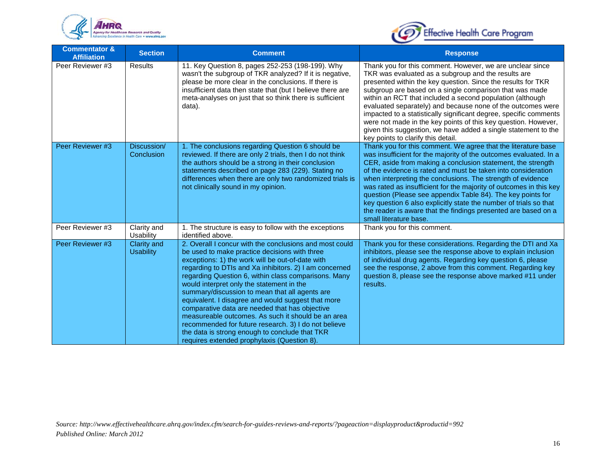



| <b>Commentator &amp;</b><br><b>Affiliation</b> | <b>Section</b>                  | <b>Comment</b>                                                                                                                                                                                                                                                                                                                                                                                                                                                                                                                                                                                                                                                                                       | <b>Response</b>                                                                                                                                                                                                                                                                                                                                                                                                                                                                                                                                                                                                                         |
|------------------------------------------------|---------------------------------|------------------------------------------------------------------------------------------------------------------------------------------------------------------------------------------------------------------------------------------------------------------------------------------------------------------------------------------------------------------------------------------------------------------------------------------------------------------------------------------------------------------------------------------------------------------------------------------------------------------------------------------------------------------------------------------------------|-----------------------------------------------------------------------------------------------------------------------------------------------------------------------------------------------------------------------------------------------------------------------------------------------------------------------------------------------------------------------------------------------------------------------------------------------------------------------------------------------------------------------------------------------------------------------------------------------------------------------------------------|
| Peer Reviewer #3                               | <b>Results</b>                  | 11. Key Question 8, pages 252-253 (198-199). Why<br>wasn't the subgroup of TKR analyzed? If it is negative,<br>please be more clear in the conclusions. If there is<br>insufficient data then state that (but I believe there are<br>meta-analyses on just that so think there is sufficient<br>data).                                                                                                                                                                                                                                                                                                                                                                                               | Thank you for this comment. However, we are unclear since<br>TKR was evaluated as a subgroup and the results are<br>presented within the key question. Since the results for TKR<br>subgroup are based on a single comparison that was made<br>within an RCT that included a second population (although<br>evaluated separately) and because none of the outcomes were<br>impacted to a statistically significant degree, specific comments<br>were not made in the key points of this key question. However,<br>given this suggestion, we have added a single statement to the<br>key points to clarify this detail.                  |
| Peer Reviewer #3                               | Discussion/<br>Conclusion       | 1. The conclusions regarding Question 6 should be<br>reviewed. If there are only 2 trials, then I do not think<br>the authors should be a strong in their conclusion<br>statements described on page 283 (229). Stating no<br>differences when there are only two randomized trials is<br>not clinically sound in my opinion.                                                                                                                                                                                                                                                                                                                                                                        | Thank you for this comment. We agree that the literature base<br>was insufficient for the majority of the outcomes evaluated. In a<br>CER, aside from making a conclusion statement, the strength<br>of the evidence is rated and must be taken into consideration<br>when interpreting the conclusions. The strength of evidence<br>was rated as insufficient for the majority of outcomes in this key<br>question (Please see appendix Table 84). The key points for<br>key question 6 also explicitly state the number of trials so that<br>the reader is aware that the findings presented are based on a<br>small literature base. |
| Peer Reviewer #3                               | Clarity and<br>Usability        | 1. The structure is easy to follow with the exceptions<br>identified above.                                                                                                                                                                                                                                                                                                                                                                                                                                                                                                                                                                                                                          | Thank you for this comment.                                                                                                                                                                                                                                                                                                                                                                                                                                                                                                                                                                                                             |
| Peer Reviewer #3                               | Clarity and<br><b>Usability</b> | 2. Overall I concur with the conclusions and most could<br>be used to make practice decisions with three<br>exceptions: 1) the work will be out-of-date with<br>regarding to DTIs and Xa inhibitors. 2) I am concerned<br>regarding Question 6, within class comparisons. Many<br>would interpret only the statement in the<br>summary/discussion to mean that all agents are<br>equivalent. I disagree and would suggest that more<br>comparative data are needed that has objective<br>measureable outcomes. As such it should be an area<br>recommended for future research. 3) I do not believe<br>the data is strong enough to conclude that TKR<br>requires extended prophylaxis (Question 8). | Thank you for these considerations. Regarding the DTI and Xa<br>inhibitors, please see the response above to explain inclusion<br>of individual drug agents. Regarding key question 6, please<br>see the response, 2 above from this comment. Regarding key<br>question 8, please see the response above marked #11 under<br>results.                                                                                                                                                                                                                                                                                                   |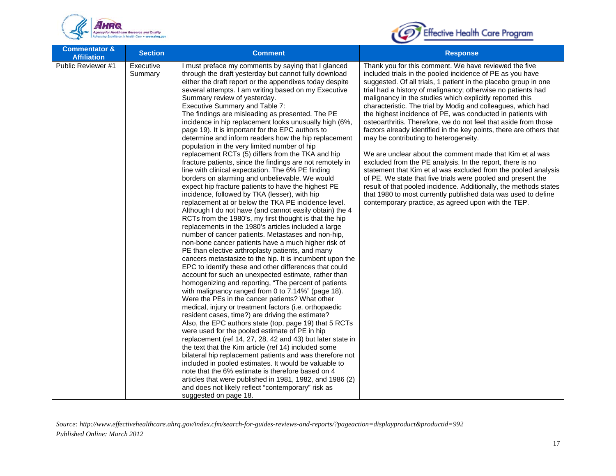



| <b>Commentator &amp;</b><br><b>Affiliation</b> | <b>Section</b>       | <b>Comment</b>                                                                                                                                                                                                                                                                                                                                                                                                                                                                                                                                                                                                                                                                                                                                                                                                                                                                                                                                                                                                                                                                                                                                                                                                                                                                                                                                                                                                                                                                                                                                                                                                                                                                                                                                                                                                                                                                                                                                                                                                                                                                                                                                                                                                                                                                                                                        | <b>Response</b>                                                                                                                                                                                                                                                                                                                                                                                                                                                                                                                                                                                                                                                                                                                                                                                                                                                                                                                                                                                                                                                                             |
|------------------------------------------------|----------------------|---------------------------------------------------------------------------------------------------------------------------------------------------------------------------------------------------------------------------------------------------------------------------------------------------------------------------------------------------------------------------------------------------------------------------------------------------------------------------------------------------------------------------------------------------------------------------------------------------------------------------------------------------------------------------------------------------------------------------------------------------------------------------------------------------------------------------------------------------------------------------------------------------------------------------------------------------------------------------------------------------------------------------------------------------------------------------------------------------------------------------------------------------------------------------------------------------------------------------------------------------------------------------------------------------------------------------------------------------------------------------------------------------------------------------------------------------------------------------------------------------------------------------------------------------------------------------------------------------------------------------------------------------------------------------------------------------------------------------------------------------------------------------------------------------------------------------------------------------------------------------------------------------------------------------------------------------------------------------------------------------------------------------------------------------------------------------------------------------------------------------------------------------------------------------------------------------------------------------------------------------------------------------------------------------------------------------------------|---------------------------------------------------------------------------------------------------------------------------------------------------------------------------------------------------------------------------------------------------------------------------------------------------------------------------------------------------------------------------------------------------------------------------------------------------------------------------------------------------------------------------------------------------------------------------------------------------------------------------------------------------------------------------------------------------------------------------------------------------------------------------------------------------------------------------------------------------------------------------------------------------------------------------------------------------------------------------------------------------------------------------------------------------------------------------------------------|
| Public Reviewer #1                             | Executive<br>Summary | I must preface my comments by saying that I glanced<br>through the draft yesterday but cannot fully download<br>either the draft report or the appendixes today despite<br>several attempts. I am writing based on my Executive<br>Summary review of yesterday.<br>Executive Summary and Table 7:<br>The findings are misleading as presented. The PE<br>incidence in hip replacement looks unusually high (6%,<br>page 19). It is important for the EPC authors to<br>determine and inform readers how the hip replacement<br>population in the very limited number of hip<br>replacement RCTs (5) differs from the TKA and hip<br>fracture patients, since the findings are not remotely in<br>line with clinical expectation. The 6% PE finding<br>borders on alarming and unbelievable. We would<br>expect hip fracture patients to have the highest PE<br>incidence, followed by TKA (lesser), with hip<br>replacement at or below the TKA PE incidence level.<br>Although I do not have (and cannot easily obtain) the 4<br>RCTs from the 1980's, my first thought is that the hip<br>replacements in the 1980's articles included a large<br>number of cancer patients. Metastases and non-hip,<br>non-bone cancer patients have a much higher risk of<br>PE than elective arthroplasty patients, and many<br>cancers metastasize to the hip. It is incumbent upon the<br>EPC to identify these and other differences that could<br>account for such an unexpected estimate, rather than<br>homogenizing and reporting, "The percent of patients<br>with malignancy ranged from 0 to 7.14%" (page 18).<br>Were the PEs in the cancer patients? What other<br>medical, injury or treatment factors (i.e. orthopaedic<br>resident cases, time?) are driving the estimate?<br>Also, the EPC authors state (top, page 19) that 5 RCTs<br>were used for the pooled estimate of PE in hip<br>replacement (ref 14, 27, 28, 42 and 43) but later state in<br>the text that the Kim article (ref 14) included some<br>bilateral hip replacement patients and was therefore not<br>included in pooled estimates. It would be valuable to<br>note that the 6% estimate is therefore based on 4<br>articles that were published in 1981, 1982, and 1986 (2)<br>and does not likely reflect "contemporary" risk as<br>suggested on page 18. | Thank you for this comment. We have reviewed the five<br>included trials in the pooled incidence of PE as you have<br>suggested. Of all trials, 1 patient in the placebo group in one<br>trial had a history of malignancy; otherwise no patients had<br>malignancy in the studies which explicitly reported this<br>characteristic. The trial by Modig and colleagues, which had<br>the highest incidence of PE, was conducted in patients with<br>osteoarthritis. Therefore, we do not feel that aside from those<br>factors already identified in the key points, there are others that<br>may be contributing to heterogeneity.<br>We are unclear about the comment made that Kim et al was<br>excluded from the PE analysis. In the report, there is no<br>statement that Kim et al was excluded from the pooled analysis<br>of PE. We state that five trials were pooled and present the<br>result of that pooled incidence. Additionally, the methods states<br>that 1980 to most currently published data was used to define<br>contemporary practice, as agreed upon with the TEP. |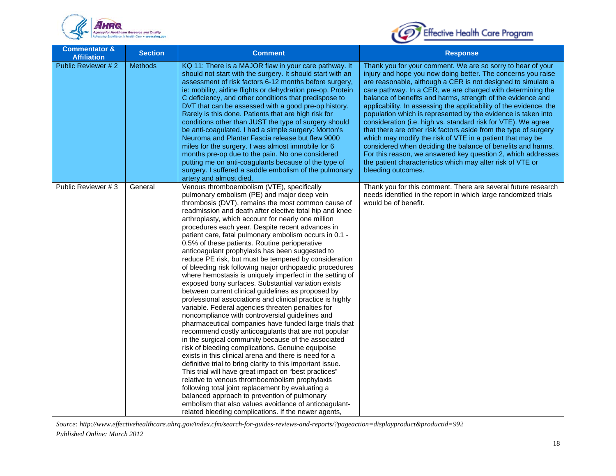



| <b>Commentator &amp;</b><br><b>Affiliation</b> | <b>Section</b> | <b>Comment</b>                                                                                                                                                                                                                                                                                                                                                                                                                                                                                                                                                                                                                                                                                                                                                                                                                                                                                                                                                                                                                                                                                                                                                                                                                                                                                                                                                                                                                                                                                                                                                                                                                             | <b>Response</b>                                                                                                                                                                                                                                                                                                                                                                                                                                                                                                                                                                                                                                                                                                                                                                                                                                                                       |
|------------------------------------------------|----------------|--------------------------------------------------------------------------------------------------------------------------------------------------------------------------------------------------------------------------------------------------------------------------------------------------------------------------------------------------------------------------------------------------------------------------------------------------------------------------------------------------------------------------------------------------------------------------------------------------------------------------------------------------------------------------------------------------------------------------------------------------------------------------------------------------------------------------------------------------------------------------------------------------------------------------------------------------------------------------------------------------------------------------------------------------------------------------------------------------------------------------------------------------------------------------------------------------------------------------------------------------------------------------------------------------------------------------------------------------------------------------------------------------------------------------------------------------------------------------------------------------------------------------------------------------------------------------------------------------------------------------------------------|---------------------------------------------------------------------------------------------------------------------------------------------------------------------------------------------------------------------------------------------------------------------------------------------------------------------------------------------------------------------------------------------------------------------------------------------------------------------------------------------------------------------------------------------------------------------------------------------------------------------------------------------------------------------------------------------------------------------------------------------------------------------------------------------------------------------------------------------------------------------------------------|
| Public Reviewer # 2                            | <b>Methods</b> | KQ 11: There is a MAJOR flaw in your care pathway. It<br>should not start with the surgery. It should start with an<br>assessment of risk factors 6-12 months before surgery,<br>ie: mobility, airline flights or dehydration pre-op, Protein<br>C deficiency, and other conditions that predispose to<br>DVT that can be assessed with a good pre-op history.<br>Rarely is this done. Patients that are high risk for<br>conditions other than JUST the type of surgery should<br>be anti-coagulated. I had a simple surgery: Morton's<br>Neuroma and Plantar Fascia release but flew 9000<br>miles for the surgery. I was almost immobile for 6<br>months pre-op due to the pain. No one considered<br>putting me on anti-coagulants because of the type of<br>surgery. I suffered a saddle embolism of the pulmonary<br>artery and almost died.                                                                                                                                                                                                                                                                                                                                                                                                                                                                                                                                                                                                                                                                                                                                                                                         | Thank you for your comment. We are so sorry to hear of your<br>injury and hope you now doing better. The concerns you raise<br>are reasonable, although a CER is not designed to simulate a<br>care pathway. In a CER, we are charged with determining the<br>balance of benefits and harms, strength of the evidence and<br>applicability. In assessing the applicability of the evidence, the<br>population which is represented by the evidence is taken into<br>consideration (i.e. high vs. standard risk for VTE). We agree<br>that there are other risk factors aside from the type of surgery<br>which may modify the risk of VTE in a patient that may be<br>considered when deciding the balance of benefits and harms.<br>For this reason, we answered key question 2, which addresses<br>the patient characteristics which may alter risk of VTE or<br>bleeding outcomes. |
| Public Reviewer #3                             | General        | Venous thromboembolism (VTE), specifically<br>pulmonary embolism (PE) and major deep vein<br>thrombosis (DVT), remains the most common cause of<br>readmission and death after elective total hip and knee<br>arthroplasty, which account for nearly one million<br>procedures each year. Despite recent advances in<br>patient care, fatal pulmonary embolism occurs in 0.1 -<br>0.5% of these patients. Routine perioperative<br>anticoagulant prophylaxis has been suggested to<br>reduce PE risk, but must be tempered by consideration<br>of bleeding risk following major orthopaedic procedures<br>where hemostasis is uniquely imperfect in the setting of<br>exposed bony surfaces. Substantial variation exists<br>between current clinical guidelines as proposed by<br>professional associations and clinical practice is highly<br>variable. Federal agencies threaten penalties for<br>noncompliance with controversial guidelines and<br>pharmaceutical companies have funded large trials that<br>recommend costly anticoagulants that are not popular<br>in the surgical community because of the associated<br>risk of bleeding complications. Genuine equipoise<br>exists in this clinical arena and there is need for a<br>definitive trial to bring clarity to this important issue.<br>This trial will have great impact on "best practices"<br>relative to venous thromboembolism prophylaxis<br>following total joint replacement by evaluating a<br>balanced approach to prevention of pulmonary<br>embolism that also values avoidance of anticoagulant-<br>related bleeding complications. If the newer agents, | Thank you for this comment. There are several future research<br>needs identified in the report in which large randomized trials<br>would be of benefit.                                                                                                                                                                                                                                                                                                                                                                                                                                                                                                                                                                                                                                                                                                                              |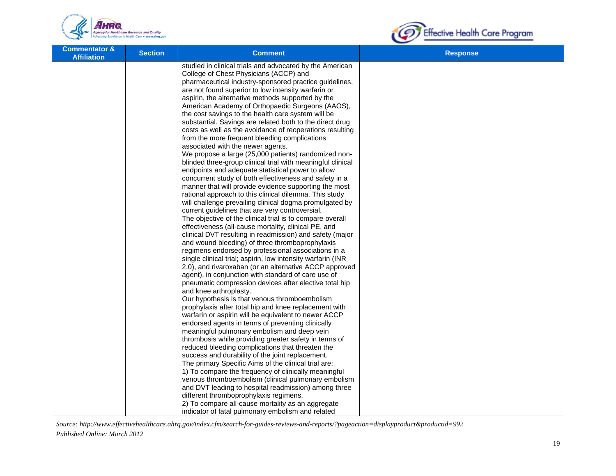



| <b>Commentator &amp;</b><br><b>Affiliation</b> | <b>Section</b> | <b>Comment</b>                                                                                                    | <b>Response</b> |
|------------------------------------------------|----------------|-------------------------------------------------------------------------------------------------------------------|-----------------|
|                                                |                | studied in clinical trials and advocated by the American                                                          |                 |
|                                                |                | College of Chest Physicians (ACCP) and                                                                            |                 |
|                                                |                | pharmaceutical industry-sponsored practice guidelines,<br>are not found superior to low intensity warfarin or     |                 |
|                                                |                | aspirin, the alternative methods supported by the                                                                 |                 |
|                                                |                | American Academy of Orthopaedic Surgeons (AAOS),                                                                  |                 |
|                                                |                | the cost savings to the health care system will be                                                                |                 |
|                                                |                | substantial. Savings are related both to the direct drug                                                          |                 |
|                                                |                | costs as well as the avoidance of reoperations resulting                                                          |                 |
|                                                |                | from the more frequent bleeding complications                                                                     |                 |
|                                                |                | associated with the newer agents.                                                                                 |                 |
|                                                |                | We propose a large (25,000 patients) randomized non-                                                              |                 |
|                                                |                | blinded three-group clinical trial with meaningful clinical                                                       |                 |
|                                                |                | endpoints and adequate statistical power to allow                                                                 |                 |
|                                                |                | concurrent study of both effectiveness and safety in a                                                            |                 |
|                                                |                | manner that will provide evidence supporting the most                                                             |                 |
|                                                |                | rational approach to this clinical dilemma. This study<br>will challenge prevailing clinical dogma promulgated by |                 |
|                                                |                | current guidelines that are very controversial.                                                                   |                 |
|                                                |                | The objective of the clinical trial is to compare overall                                                         |                 |
|                                                |                | effectiveness (all-cause mortality, clinical PE, and                                                              |                 |
|                                                |                | clinical DVT resulting in readmission) and safety (major                                                          |                 |
|                                                |                | and wound bleeding) of three thromboprophylaxis                                                                   |                 |
|                                                |                | regimens endorsed by professional associations in a                                                               |                 |
|                                                |                | single clinical trial; aspirin, low intensity warfarin (INR                                                       |                 |
|                                                |                | 2.0), and rivaroxaban (or an alternative ACCP approved                                                            |                 |
|                                                |                | agent), in conjunction with standard of care use of<br>pneumatic compression devices after elective total hip     |                 |
|                                                |                | and knee arthroplasty.                                                                                            |                 |
|                                                |                | Our hypothesis is that venous thromboembolism                                                                     |                 |
|                                                |                | prophylaxis after total hip and knee replacement with                                                             |                 |
|                                                |                | warfarin or aspirin will be equivalent to newer ACCP                                                              |                 |
|                                                |                | endorsed agents in terms of preventing clinically                                                                 |                 |
|                                                |                | meaningful pulmonary embolism and deep vein                                                                       |                 |
|                                                |                | thrombosis while providing greater safety in terms of                                                             |                 |
|                                                |                | reduced bleeding complications that threaten the                                                                  |                 |
|                                                |                | success and durability of the joint replacement.                                                                  |                 |
|                                                |                | The primary Specific Aims of the clinical trial are;<br>1) To compare the frequency of clinically meaningful      |                 |
|                                                |                | venous thromboembolism (clinical pulmonary embolism                                                               |                 |
|                                                |                | and DVT leading to hospital readmission) among three                                                              |                 |
|                                                |                | different thromboprophylaxis regimens.                                                                            |                 |
|                                                |                | 2) To compare all-cause mortality as an aggregate                                                                 |                 |
|                                                |                | indicator of fatal pulmonary embolism and related                                                                 |                 |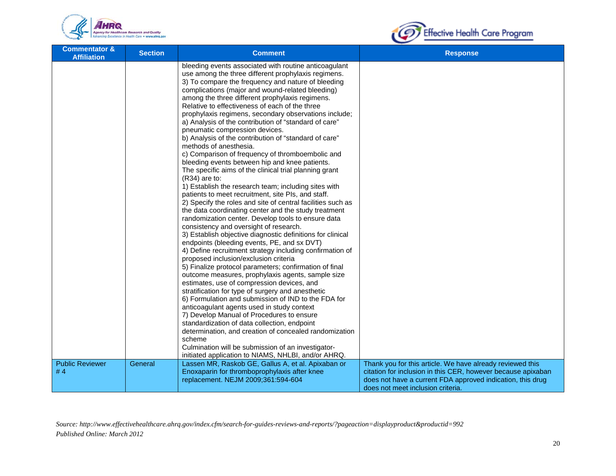



| <b>Commentator &amp;</b><br><b>Affiliation</b> | <b>Section</b> | <b>Comment</b>                                                                                                                                                                                                                                                                                                                                                                                                                                                                                                                                                                                                                                                                                                                                                                                                                                                                                                                                                                                                                                                                                                                                                                                                                                                                                                                                                                                                                                                                                                                                                                                                                                                                                                                                                                                                                                                                                                  | <b>Response</b>                                                                                                                                                                                                              |
|------------------------------------------------|----------------|-----------------------------------------------------------------------------------------------------------------------------------------------------------------------------------------------------------------------------------------------------------------------------------------------------------------------------------------------------------------------------------------------------------------------------------------------------------------------------------------------------------------------------------------------------------------------------------------------------------------------------------------------------------------------------------------------------------------------------------------------------------------------------------------------------------------------------------------------------------------------------------------------------------------------------------------------------------------------------------------------------------------------------------------------------------------------------------------------------------------------------------------------------------------------------------------------------------------------------------------------------------------------------------------------------------------------------------------------------------------------------------------------------------------------------------------------------------------------------------------------------------------------------------------------------------------------------------------------------------------------------------------------------------------------------------------------------------------------------------------------------------------------------------------------------------------------------------------------------------------------------------------------------------------|------------------------------------------------------------------------------------------------------------------------------------------------------------------------------------------------------------------------------|
|                                                |                | bleeding events associated with routine anticoagulant<br>use among the three different prophylaxis regimens.<br>3) To compare the frequency and nature of bleeding<br>complications (major and wound-related bleeding)<br>among the three different prophylaxis regimens.<br>Relative to effectiveness of each of the three<br>prophylaxis regimens, secondary observations include;<br>a) Analysis of the contribution of "standard of care"<br>pneumatic compression devices.<br>b) Analysis of the contribution of "standard of care"<br>methods of anesthesia.<br>c) Comparison of frequency of thromboembolic and<br>bleeding events between hip and knee patients.<br>The specific aims of the clinical trial planning grant<br>(R34) are to:<br>1) Establish the research team; including sites with<br>patients to meet recruitment, site PIs, and staff.<br>2) Specify the roles and site of central facilities such as<br>the data coordinating center and the study treatment<br>randomization center. Develop tools to ensure data<br>consistency and oversight of research.<br>3) Establish objective diagnostic definitions for clinical<br>endpoints (bleeding events, PE, and sx DVT)<br>4) Define recruitment strategy including confirmation of<br>proposed inclusion/exclusion criteria<br>5) Finalize protocol parameters; confirmation of final<br>outcome measures, prophylaxis agents, sample size<br>estimates, use of compression devices, and<br>stratification for type of surgery and anesthetic<br>6) Formulation and submission of IND to the FDA for<br>anticoagulant agents used in study context<br>7) Develop Manual of Procedures to ensure<br>standardization of data collection, endpoint<br>determination, and creation of concealed randomization<br>scheme<br>Culmination will be submission of an investigator-<br>initiated application to NIAMS, NHLBI, and/or AHRQ. |                                                                                                                                                                                                                              |
| <b>Public Reviewer</b><br>#4                   | General        | Lassen MR, Raskob GE, Gallus A, et al. Apixaban or<br>Enoxaparin for thromboprophylaxis after knee<br>replacement. NEJM 2009;361:594-604                                                                                                                                                                                                                                                                                                                                                                                                                                                                                                                                                                                                                                                                                                                                                                                                                                                                                                                                                                                                                                                                                                                                                                                                                                                                                                                                                                                                                                                                                                                                                                                                                                                                                                                                                                        | Thank you for this article. We have already reviewed this<br>citation for inclusion in this CER, however because apixaban<br>does not have a current FDA approved indication, this drug<br>does not meet inclusion criteria. |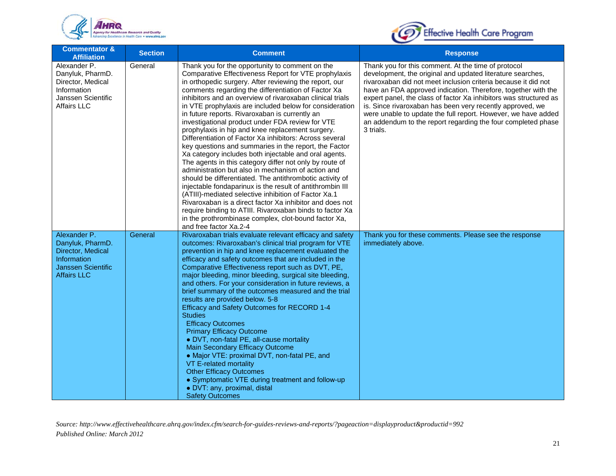



| <b>Commentator &amp;</b><br><b>Affiliation</b>                                                                          | <b>Section</b> | <b>Comment</b>                                                                                                                                                                                                                                                                                                                                                                                                                                                                                                                                                                                                                                                                                                                                                                                                                                                                                                                                                                                                                                                                                                                                                                                      | <b>Response</b>                                                                                                                                                                                                                                                                                                                                                                                                                                                                                                                      |
|-------------------------------------------------------------------------------------------------------------------------|----------------|-----------------------------------------------------------------------------------------------------------------------------------------------------------------------------------------------------------------------------------------------------------------------------------------------------------------------------------------------------------------------------------------------------------------------------------------------------------------------------------------------------------------------------------------------------------------------------------------------------------------------------------------------------------------------------------------------------------------------------------------------------------------------------------------------------------------------------------------------------------------------------------------------------------------------------------------------------------------------------------------------------------------------------------------------------------------------------------------------------------------------------------------------------------------------------------------------------|--------------------------------------------------------------------------------------------------------------------------------------------------------------------------------------------------------------------------------------------------------------------------------------------------------------------------------------------------------------------------------------------------------------------------------------------------------------------------------------------------------------------------------------|
| Alexander P.<br>Danyluk, PharmD.<br>Director, Medical<br>Information<br>Janssen Scientific<br><b>Affairs LLC</b>        | General        | Thank you for the opportunity to comment on the<br>Comparative Effectiveness Report for VTE prophylaxis<br>in orthopedic surgery. After reviewing the report, our<br>comments regarding the differentiation of Factor Xa<br>inhibitors and an overview of rivaroxaban clinical trials<br>in VTE prophylaxis are included below for consideration<br>in future reports. Rivaroxaban is currently an<br>investigational product under FDA review for VTE<br>prophylaxis in hip and knee replacement surgery.<br>Differentiation of Factor Xa inhibitors: Across several<br>key questions and summaries in the report, the Factor<br>Xa category includes both injectable and oral agents.<br>The agents in this category differ not only by route of<br>administration but also in mechanism of action and<br>should be differentiated. The antithrombotic activity of<br>injectable fondaparinux is the result of antithrombin III<br>(ATIII)-mediated selective inhibition of Factor Xa.1<br>Rivaroxaban is a direct factor Xa inhibitor and does not<br>require binding to ATIII. Rivaroxaban binds to factor Xa<br>in the prothrombinase complex, clot-bound factor Xa,<br>and free factor Xa.2-4 | Thank you for this comment. At the time of protocol<br>development, the original and updated literature searches,<br>rivaroxaban did not meet inclusion criteria because it did not<br>have an FDA approved indication. Therefore, together with the<br>expert panel, the class of factor Xa inhibitors was structured as<br>is. Since rivaroxaban has been very recently approved, we<br>were unable to update the full report. However, we have added<br>an addendum to the report regarding the four completed phase<br>3 trials. |
| Alexander P.<br>Danyluk, PharmD.<br>Director, Medical<br>Information<br><b>Janssen Scientific</b><br><b>Affairs LLC</b> | General        | Rivaroxaban trials evaluate relevant efficacy and safety<br>outcomes: Rivaroxaban's clinical trial program for VTE<br>prevention in hip and knee replacement evaluated the<br>efficacy and safety outcomes that are included in the<br>Comparative Effectiveness report such as DVT, PE,<br>major bleeding, minor bleeding, surgical site bleeding,<br>and others. For your consideration in future reviews, a<br>brief summary of the outcomes measured and the trial<br>results are provided below. 5-8<br>Efficacy and Safety Outcomes for RECORD 1-4<br><b>Studies</b><br><b>Efficacy Outcomes</b><br><b>Primary Efficacy Outcome</b><br>· DVT, non-fatal PE, all-cause mortality<br>Main Secondary Efficacy Outcome<br>• Major VTE: proximal DVT, non-fatal PE, and<br>VT E-related mortality<br><b>Other Efficacy Outcomes</b><br>• Symptomatic VTE during treatment and follow-up<br>· DVT: any, proximal, distal<br><b>Safety Outcomes</b>                                                                                                                                                                                                                                                  | Thank you for these comments. Please see the response<br>immediately above.                                                                                                                                                                                                                                                                                                                                                                                                                                                          |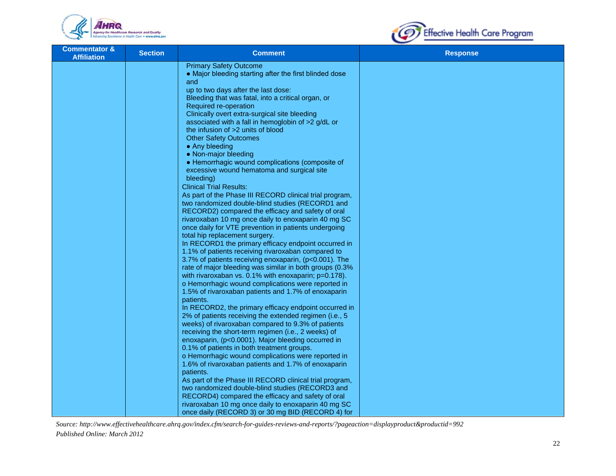



| <b>Commentator &amp;</b><br><b>Section</b><br><b>Affiliation</b> | <b>Comment</b>                                                                                                     | <b>Response</b> |
|------------------------------------------------------------------|--------------------------------------------------------------------------------------------------------------------|-----------------|
|                                                                  | <b>Primary Safety Outcome</b><br>• Major bleeding starting after the first blinded dose<br>and                     |                 |
|                                                                  | up to two days after the last dose:<br>Bleeding that was fatal, into a critical organ, or<br>Required re-operation |                 |
|                                                                  | Clinically overt extra-surgical site bleeding<br>associated with a fall in hemoglobin of >2 g/dL or                |                 |
|                                                                  | the infusion of >2 units of blood<br><b>Other Safety Outcomes</b>                                                  |                 |
|                                                                  | • Any bleeding<br>• Non-major bleeding                                                                             |                 |
|                                                                  | • Hemorrhagic wound complications (composite of<br>excessive wound hematoma and surgical site<br>bleeding)         |                 |
|                                                                  | <b>Clinical Trial Results:</b>                                                                                     |                 |
|                                                                  | As part of the Phase III RECORD clinical trial program,<br>two randomized double-blind studies (RECORD1 and        |                 |
|                                                                  | RECORD2) compared the efficacy and safety of oral<br>rivaroxaban 10 mg once daily to enoxaparin 40 mg SC           |                 |
|                                                                  | once daily for VTE prevention in patients undergoing<br>total hip replacement surgery.                             |                 |
|                                                                  | In RECORD1 the primary efficacy endpoint occurred in                                                               |                 |
|                                                                  | 1.1% of patients receiving rivaroxaban compared to<br>3.7% of patients receiving enoxaparin, (p<0.001). The        |                 |
|                                                                  | rate of major bleeding was similar in both groups (0.3%<br>with rivaroxaban vs. 0.1% with enoxaparin; p=0.178).    |                 |
|                                                                  | o Hemorrhagic wound complications were reported in                                                                 |                 |
|                                                                  | 1.5% of rivaroxaban patients and 1.7% of enoxaparin<br>patients.                                                   |                 |
|                                                                  | In RECORD2, the primary efficacy endpoint occurred in<br>2% of patients receiving the extended regimen (i.e., 5    |                 |
|                                                                  | weeks) of rivaroxaban compared to 9.3% of patients<br>receiving the short-term regimen (i.e., 2 weeks) of          |                 |
|                                                                  | enoxaparin, (p<0.0001). Major bleeding occurred in                                                                 |                 |
|                                                                  | 0.1% of patients in both treatment groups.<br>o Hemorrhagic wound complications were reported in                   |                 |
|                                                                  | 1.6% of rivaroxaban patients and 1.7% of enoxaparin<br>patients.                                                   |                 |
|                                                                  | As part of the Phase III RECORD clinical trial program,<br>two randomized double-blind studies (RECORD3 and        |                 |
|                                                                  | RECORD4) compared the efficacy and safety of oral                                                                  |                 |
|                                                                  | rivaroxaban 10 mg once daily to enoxaparin 40 mg SC<br>once daily (RECORD 3) or 30 mg BID (RECORD 4) for           |                 |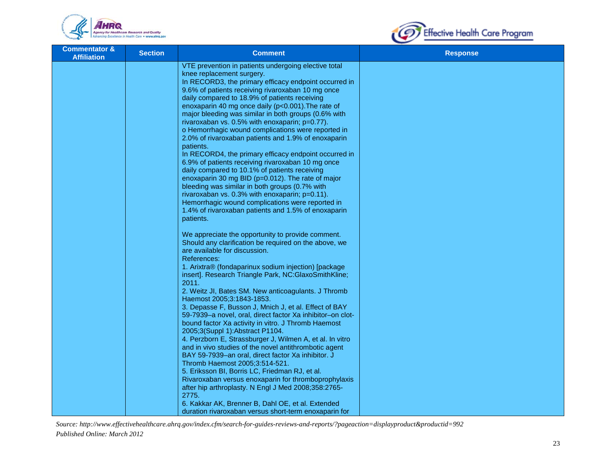



| <b>Commentator &amp;</b><br><b>Affiliation</b> | <b>Section</b> | <b>Comment</b>                                                                                                                                                                                                                                                                                                                                                                                                                                                                                                                                                                                                                                                                                                                                                                                                   | <b>Response</b> |
|------------------------------------------------|----------------|------------------------------------------------------------------------------------------------------------------------------------------------------------------------------------------------------------------------------------------------------------------------------------------------------------------------------------------------------------------------------------------------------------------------------------------------------------------------------------------------------------------------------------------------------------------------------------------------------------------------------------------------------------------------------------------------------------------------------------------------------------------------------------------------------------------|-----------------|
|                                                |                | VTE prevention in patients undergoing elective total<br>knee replacement surgery.<br>In RECORD3, the primary efficacy endpoint occurred in<br>9.6% of patients receiving rivaroxaban 10 mg once<br>daily compared to 18.9% of patients receiving<br>enoxaparin 40 mg once daily (p<0.001). The rate of<br>major bleeding was similar in both groups (0.6% with<br>rivaroxaban vs. 0.5% with enoxaparin; p=0.77).<br>o Hemorrhagic wound complications were reported in<br>2.0% of rivaroxaban patients and 1.9% of enoxaparin<br>patients.<br>In RECORD4, the primary efficacy endpoint occurred in<br>6.9% of patients receiving rivaroxaban 10 mg once<br>daily compared to 10.1% of patients receiving<br>enoxaparin 30 mg BID (p=0.012). The rate of major<br>bleeding was similar in both groups (0.7% with |                 |
|                                                |                | rivaroxaban vs. $0.3\%$ with enoxaparin; $p=0.11$ ).<br>Hemorrhagic wound complications were reported in<br>1.4% of rivaroxaban patients and 1.5% of enoxaparin<br>patients.                                                                                                                                                                                                                                                                                                                                                                                                                                                                                                                                                                                                                                     |                 |
|                                                |                | We appreciate the opportunity to provide comment.<br>Should any clarification be required on the above, we<br>are available for discussion.<br>References:<br>1. Arixtra® (fondaparinux sodium injection) [package<br>insert]. Research Triangle Park, NC:GlaxoSmithKline;<br>2011.                                                                                                                                                                                                                                                                                                                                                                                                                                                                                                                              |                 |
|                                                |                | 2. Weitz JI, Bates SM. New anticoagulants. J Thromb<br>Haemost 2005;3:1843-1853.<br>3. Depasse F, Busson J, Mnich J, et al. Effect of BAY                                                                                                                                                                                                                                                                                                                                                                                                                                                                                                                                                                                                                                                                        |                 |
|                                                |                | 59-7939-a novel, oral, direct factor Xa inhibitor-on clot-<br>bound factor Xa activity in vitro. J Thromb Haemost<br>2005;3(Suppl 1):Abstract P1104.<br>4. Perzborn E, Strassburger J, Wilmen A, et al. In vitro                                                                                                                                                                                                                                                                                                                                                                                                                                                                                                                                                                                                 |                 |
|                                                |                | and in vivo studies of the novel antithrombotic agent<br>BAY 59-7939-an oral, direct factor Xa inhibitor. J<br>Thromb Haemost 2005;3:514-521.<br>5. Eriksson BI, Borris LC, Friedman RJ, et al.                                                                                                                                                                                                                                                                                                                                                                                                                                                                                                                                                                                                                  |                 |
|                                                |                | Rivaroxaban versus enoxaparin for thromboprophylaxis<br>after hip arthroplasty. N Engl J Med 2008;358:2765-<br>2775.                                                                                                                                                                                                                                                                                                                                                                                                                                                                                                                                                                                                                                                                                             |                 |
|                                                |                | 6. Kakkar AK, Brenner B, Dahl OE, et al. Extended<br>duration rivaroxaban versus short-term enoxaparin for                                                                                                                                                                                                                                                                                                                                                                                                                                                                                                                                                                                                                                                                                                       |                 |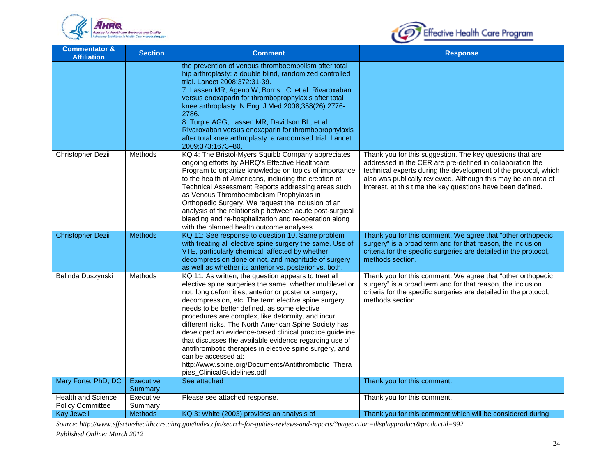



| <b>Commentator &amp;</b><br><b>Affiliation</b>       | <b>Section</b>       | <b>Comment</b>                                                                                                                                                                                                                                                                                                                                                                                                                                                                                                                                                                                                                                                                              | <b>Response</b>                                                                                                                                                                                                                                                                                                           |
|------------------------------------------------------|----------------------|---------------------------------------------------------------------------------------------------------------------------------------------------------------------------------------------------------------------------------------------------------------------------------------------------------------------------------------------------------------------------------------------------------------------------------------------------------------------------------------------------------------------------------------------------------------------------------------------------------------------------------------------------------------------------------------------|---------------------------------------------------------------------------------------------------------------------------------------------------------------------------------------------------------------------------------------------------------------------------------------------------------------------------|
|                                                      |                      | the prevention of venous thromboembolism after total<br>hip arthroplasty: a double blind, randomized controlled<br>trial. Lancet 2008;372:31-39.<br>7. Lassen MR, Ageno W, Borris LC, et al. Rivaroxaban<br>versus enoxaparin for thromboprophylaxis after total<br>knee arthroplasty. N Engl J Med 2008;358(26):2776-<br>2786.<br>8. Turpie AGG, Lassen MR, Davidson BL, et al.<br>Rivaroxaban versus enoxaparin for thromboprophylaxis<br>after total knee arthroplasty: a randomised trial. Lancet<br>2009;373:1673-80.                                                                                                                                                                  |                                                                                                                                                                                                                                                                                                                           |
| Christopher Dezii                                    | Methods              | KQ 4: The Bristol-Myers Squibb Company appreciates<br>ongoing efforts by AHRQ's Effective Healthcare<br>Program to organize knowledge on topics of importance<br>to the health of Americans, including the creation of<br>Technical Assessment Reports addressing areas such<br>as Venous Thromboembolism Prophylaxis in<br>Orthopedic Surgery. We request the inclusion of an<br>analysis of the relationship between acute post-surgical<br>bleeding and re-hospitalization and re-operation along<br>with the planned health outcome analyses.                                                                                                                                           | Thank you for this suggestion. The key questions that are<br>addressed in the CER are pre-defined in collaboration the<br>technical experts during the development of the protocol, which<br>also was publically reviewed. Although this may be an area of<br>interest, at this time the key questions have been defined. |
| Christopher Dezii                                    | <b>Methods</b>       | KQ 11: See response to question 10. Same problem<br>with treating all elective spine surgery the same. Use of<br>VTE, particularly chemical, affected by whether<br>decompression done or not, and magnitude of surgery<br>as well as whether its anterior vs. posterior vs. both.                                                                                                                                                                                                                                                                                                                                                                                                          | Thank you for this comment. We agree that "other orthopedic<br>surgery" is a broad term and for that reason, the inclusion<br>criteria for the specific surgeries are detailed in the protocol,<br>methods section.                                                                                                       |
| Belinda Duszynski                                    | Methods              | KQ 11: As written, the question appears to treat all<br>elective spine surgeries the same, whether multilevel or<br>not, long deformities, anterior or posterior surgery,<br>decompression, etc. The term elective spine surgery<br>needs to be better defined, as some elective<br>procedures are complex, like deformity, and incur<br>different risks. The North American Spine Society has<br>developed an evidence-based clinical practice guideline<br>that discusses the available evidence regarding use of<br>antithrombotic therapies in elective spine surgery, and<br>can be accessed at:<br>http://www.spine.org/Documents/Antithrombotic_Thera<br>pies_ClinicalGuidelines.pdf | Thank you for this comment. We agree that "other orthopedic<br>surgery" is a broad term and for that reason, the inclusion<br>criteria for the specific surgeries are detailed in the protocol,<br>methods section.                                                                                                       |
| Mary Forte, PhD, DC                                  | Executive<br>Summary | See attached                                                                                                                                                                                                                                                                                                                                                                                                                                                                                                                                                                                                                                                                                | Thank you for this comment.                                                                                                                                                                                                                                                                                               |
| <b>Health and Science</b><br><b>Policy Committee</b> | Executive<br>Summary | Please see attached response.                                                                                                                                                                                                                                                                                                                                                                                                                                                                                                                                                                                                                                                               | Thank you for this comment.                                                                                                                                                                                                                                                                                               |
| <b>Kay Jewell</b>                                    | <b>Methods</b>       | KQ 3: White (2003) provides an analysis of                                                                                                                                                                                                                                                                                                                                                                                                                                                                                                                                                                                                                                                  | Thank you for this comment which will be considered during                                                                                                                                                                                                                                                                |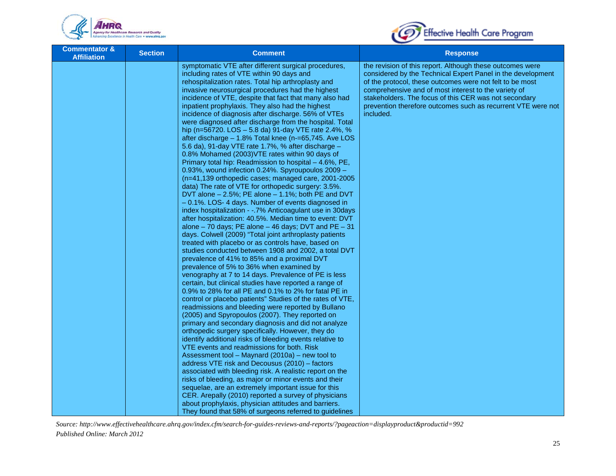



| <b>Commentator &amp;</b><br><b>Affiliation</b> | <b>Section</b> | <b>Comment</b>                                                                                                                                                                                                                                                                                                                                                                                                                                                                                                                                                                                                                                                                                                                                                                                                                                                                                                                                                                                                                                                                                                                                                                                                                                                                                                                                                                                                                                                                                                                                                                                                                                                                                                                                                                                                                                                                                                                            | <b>Response</b>                                                                                                                                                                                                                                                                                                                                                                    |
|------------------------------------------------|----------------|-------------------------------------------------------------------------------------------------------------------------------------------------------------------------------------------------------------------------------------------------------------------------------------------------------------------------------------------------------------------------------------------------------------------------------------------------------------------------------------------------------------------------------------------------------------------------------------------------------------------------------------------------------------------------------------------------------------------------------------------------------------------------------------------------------------------------------------------------------------------------------------------------------------------------------------------------------------------------------------------------------------------------------------------------------------------------------------------------------------------------------------------------------------------------------------------------------------------------------------------------------------------------------------------------------------------------------------------------------------------------------------------------------------------------------------------------------------------------------------------------------------------------------------------------------------------------------------------------------------------------------------------------------------------------------------------------------------------------------------------------------------------------------------------------------------------------------------------------------------------------------------------------------------------------------------------|------------------------------------------------------------------------------------------------------------------------------------------------------------------------------------------------------------------------------------------------------------------------------------------------------------------------------------------------------------------------------------|
|                                                |                | symptomatic VTE after different surgical procedures,<br>including rates of VTE within 90 days and<br>rehospitalization rates. Total hip arthroplasty and<br>invasive neurosurgical procedures had the highest<br>incidence of VTE, despite that fact that many also had<br>inpatient prophylaxis. They also had the highest<br>incidence of diagnosis after discharge. 56% of VTEs<br>were diagnosed after discharge from the hospital. Total<br>hip (n=56720. LOS - 5.8 da) 91-day VTE rate 2.4%, %<br>after discharge $-1.8\%$ Total knee (n-=65,745. Ave LOS<br>5.6 da), 91-day VTE rate 1.7%, % after discharge -<br>0.8% Mohamed (2003) VTE rates within 90 days of<br>Primary total hip: Readmission to hospital - 4.6%, PE,<br>0.93%, wound infection 0.24%. Spyroupoulos 2009 -<br>$(n=41, 139$ orthopedic cases; managed care, 2001-2005<br>data) The rate of VTE for orthopedic surgery: 3.5%.<br>DVT alone - 2.5%; PE alone - 1.1%; both PE and DVT<br>- 0.1%. LOS- 4 days. Number of events diagnosed in<br>index hospitalization - -. 7% Anticoagulant use in 30 days<br>after hospitalization: 40.5%. Median time to event: DVT<br>alone $-70$ days; PE alone $-46$ days; DVT and PE $-31$<br>days. Colwell (2009) "Total joint arthroplasty patients<br>treated with placebo or as controls have, based on<br>studies conducted between 1908 and 2002, a total DVT<br>prevalence of 41% to 85% and a proximal DVT<br>prevalence of 5% to 36% when examined by<br>venography at 7 to 14 days. Prevalence of PE is less<br>certain, but clinical studies have reported a range of<br>0.9% to 28% for all PE and 0.1% to 2% for fatal PE in<br>control or placebo patients" Studies of the rates of VTE,<br>readmissions and bleeding were reported by Bullano<br>(2005) and Spyropoulos (2007). They reported on<br>primary and secondary diagnosis and did not analyze<br>orthopedic surgery specifically. However, they do | the revision of this report. Although these outcomes were<br>considered by the Technical Expert Panel in the development<br>of the protocol, these outcomes were not felt to be most<br>comprehensive and of most interest to the variety of<br>stakeholders. The focus of this CER was not secondary<br>prevention therefore outcomes such as recurrent VTE were not<br>included. |
|                                                |                | identify additional risks of bleeding events relative to<br>VTE events and readmissions for both. Risk                                                                                                                                                                                                                                                                                                                                                                                                                                                                                                                                                                                                                                                                                                                                                                                                                                                                                                                                                                                                                                                                                                                                                                                                                                                                                                                                                                                                                                                                                                                                                                                                                                                                                                                                                                                                                                    |                                                                                                                                                                                                                                                                                                                                                                                    |
|                                                |                | Assessment tool - Maynard (2010a) - new tool to<br>address VTE risk and Decousus (2010) - factors<br>associated with bleeding risk. A realistic report on the<br>risks of bleeding, as major or minor events and their                                                                                                                                                                                                                                                                                                                                                                                                                                                                                                                                                                                                                                                                                                                                                                                                                                                                                                                                                                                                                                                                                                                                                                                                                                                                                                                                                                                                                                                                                                                                                                                                                                                                                                                    |                                                                                                                                                                                                                                                                                                                                                                                    |
|                                                |                | sequelae, are an extremely important issue for this<br>CER. Arepally (2010) reported a survey of physicians<br>about prophylaxis, physician attitudes and barriers.                                                                                                                                                                                                                                                                                                                                                                                                                                                                                                                                                                                                                                                                                                                                                                                                                                                                                                                                                                                                                                                                                                                                                                                                                                                                                                                                                                                                                                                                                                                                                                                                                                                                                                                                                                       |                                                                                                                                                                                                                                                                                                                                                                                    |
|                                                |                | They found that 58% of surgeons referred to guidelines                                                                                                                                                                                                                                                                                                                                                                                                                                                                                                                                                                                                                                                                                                                                                                                                                                                                                                                                                                                                                                                                                                                                                                                                                                                                                                                                                                                                                                                                                                                                                                                                                                                                                                                                                                                                                                                                                    |                                                                                                                                                                                                                                                                                                                                                                                    |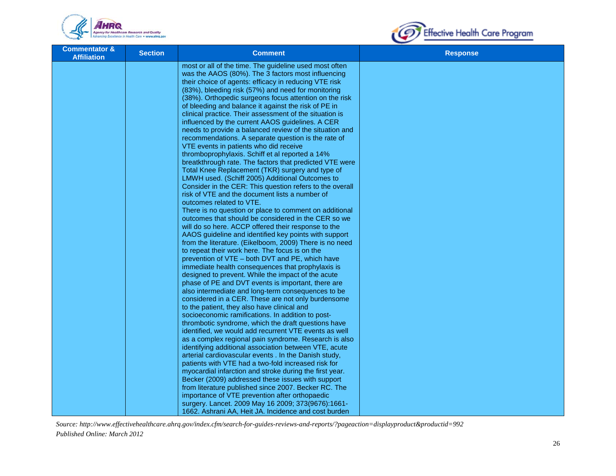



| <b>Commentator &amp;</b><br><b>Affiliation</b> | <b>Section</b> | <b>Comment</b>                                                                                           | <b>Response</b> |
|------------------------------------------------|----------------|----------------------------------------------------------------------------------------------------------|-----------------|
|                                                |                | most or all of the time. The guideline used most often                                                   |                 |
|                                                |                | was the AAOS (80%). The 3 factors most influencing                                                       |                 |
|                                                |                | their choice of agents: efficacy in reducing VTE risk                                                    |                 |
|                                                |                | (83%), bleeding risk (57%) and need for monitoring                                                       |                 |
|                                                |                | (38%). Orthopedic surgeons focus attention on the risk                                                   |                 |
|                                                |                | of bleeding and balance it against the risk of PE in                                                     |                 |
|                                                |                | clinical practice. Their assessment of the situation is                                                  |                 |
|                                                |                | influenced by the current AAOS guidelines. A CER                                                         |                 |
|                                                |                | needs to provide a balanced review of the situation and                                                  |                 |
|                                                |                | recommendations. A separate question is the rate of                                                      |                 |
|                                                |                | VTE events in patients who did receive                                                                   |                 |
|                                                |                | thromboprophylaxis. Schiff et al reported a 14%                                                          |                 |
|                                                |                | breatkthrough rate. The factors that predicted VTE were                                                  |                 |
|                                                |                | Total Knee Replacement (TKR) surgery and type of                                                         |                 |
|                                                |                | LMWH used. (Schiff 2005) Additional Outcomes to                                                          |                 |
|                                                |                | Consider in the CER: This question refers to the overall                                                 |                 |
|                                                |                | risk of VTE and the document lists a number of                                                           |                 |
|                                                |                | outcomes related to VTE.                                                                                 |                 |
|                                                |                | There is no question or place to comment on additional                                                   |                 |
|                                                |                | outcomes that should be considered in the CER so we                                                      |                 |
|                                                |                | will do so here. ACCP offered their response to the                                                      |                 |
|                                                |                | AAOS guideline and identified key points with support                                                    |                 |
|                                                |                | from the literature. (Eikelboom, 2009) There is no need                                                  |                 |
|                                                |                | to repeat their work here. The focus is on the                                                           |                 |
|                                                |                | prevention of VTE - both DVT and PE, which have                                                          |                 |
|                                                |                | immediate health consequences that prophylaxis is                                                        |                 |
|                                                |                | designed to prevent. While the impact of the acute                                                       |                 |
|                                                |                | phase of PE and DVT events is important, there are                                                       |                 |
|                                                |                | also intermediate and long-term consequences to be                                                       |                 |
|                                                |                | considered in a CER. These are not only burdensome                                                       |                 |
|                                                |                | to the patient, they also have clinical and                                                              |                 |
|                                                |                | socioeconomic ramifications. In addition to post-<br>thrombotic syndrome, which the draft questions have |                 |
|                                                |                | identified, we would add recurrent VTE events as well                                                    |                 |
|                                                |                | as a complex regional pain syndrome. Research is also                                                    |                 |
|                                                |                | identifying additional association between VTE, acute                                                    |                 |
|                                                |                | arterial cardiovascular events . In the Danish study,                                                    |                 |
|                                                |                | patients with VTE had a two-fold increased risk for                                                      |                 |
|                                                |                | myocardial infarction and stroke during the first year.                                                  |                 |
|                                                |                | Becker (2009) addressed these issues with support                                                        |                 |
|                                                |                | from literature published since 2007. Becker RC. The                                                     |                 |
|                                                |                | importance of VTE prevention after orthopaedic                                                           |                 |
|                                                |                | surgery. Lancet. 2009 May 16 2009; 373(9676):1661-                                                       |                 |
|                                                |                | 1662. Ashrani AA, Heit JA. Incidence and cost burden                                                     |                 |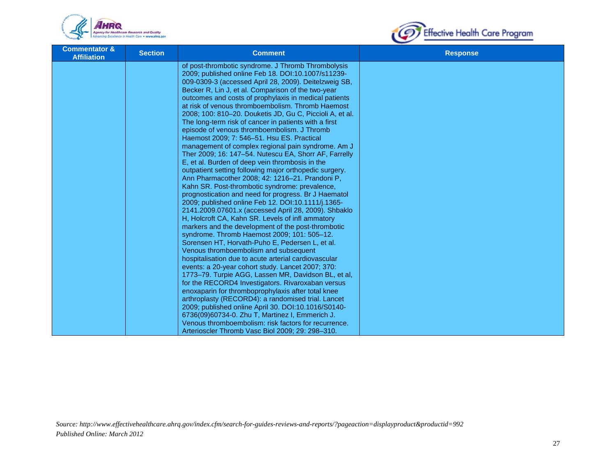



| <b>Commentator &amp;</b><br><b>Affiliation</b> | <b>Section</b> | <b>Comment</b>                                                                                              | <b>Response</b> |
|------------------------------------------------|----------------|-------------------------------------------------------------------------------------------------------------|-----------------|
|                                                |                | of post-thrombotic syndrome. J Thromb Thrombolysis                                                          |                 |
|                                                |                | 2009; published online Feb 18. DOI:10.1007/s11239-                                                          |                 |
|                                                |                | 009-0309-3 (accessed April 28, 2009). Deitelzweig SB,                                                       |                 |
|                                                |                | Becker R, Lin J, et al. Comparison of the two-year                                                          |                 |
|                                                |                | outcomes and costs of prophylaxis in medical patients                                                       |                 |
|                                                |                | at risk of venous thromboembolism. Thromb Haemost                                                           |                 |
|                                                |                | 2008; 100: 810-20. Douketis JD, Gu C, Piccioli A, et al.                                                    |                 |
|                                                |                | The long-term risk of cancer in patients with a first                                                       |                 |
|                                                |                | episode of venous thromboembolism. J Thromb                                                                 |                 |
|                                                |                | Haemost 2009; 7: 546-51. Hsu ES. Practical                                                                  |                 |
|                                                |                | management of complex regional pain syndrome. Am J<br>Ther 2009; 16: 147-54. Nutescu EA, Shorr AF, Farrelly |                 |
|                                                |                | E, et al. Burden of deep vein thrombosis in the                                                             |                 |
|                                                |                | outpatient setting following major orthopedic surgery.                                                      |                 |
|                                                |                | Ann Pharmacother 2008; 42: 1216-21. Prandoni P,                                                             |                 |
|                                                |                | Kahn SR. Post-thrombotic syndrome: prevalence,                                                              |                 |
|                                                |                | prognostication and need for progress. Br J Haematol                                                        |                 |
|                                                |                | 2009; published online Feb 12. DOI:10.1111/j.1365-                                                          |                 |
|                                                |                | 2141.2009.07601.x (accessed April 28, 2009). Shbaklo                                                        |                 |
|                                                |                | H, Holcroft CA, Kahn SR. Levels of infl ammatory                                                            |                 |
|                                                |                | markers and the development of the post-thrombotic                                                          |                 |
|                                                |                | syndrome. Thromb Haemost 2009; 101: 505-12.                                                                 |                 |
|                                                |                | Sorensen HT, Horvath-Puho E, Pedersen L, et al.                                                             |                 |
|                                                |                | Venous thromboembolism and subsequent                                                                       |                 |
|                                                |                | hospitalisation due to acute arterial cardiovascular                                                        |                 |
|                                                |                | events: a 20-year cohort study. Lancet 2007; 370:                                                           |                 |
|                                                |                | 1773-79. Turpie AGG, Lassen MR, Davidson BL, et al,                                                         |                 |
|                                                |                | for the RECORD4 Investigators. Rivaroxaban versus                                                           |                 |
|                                                |                | enoxaparin for thromboprophylaxis after total knee                                                          |                 |
|                                                |                | arthroplasty (RECORD4): a randomised trial. Lancet<br>2009; published online April 30. DOI:10.1016/S0140-   |                 |
|                                                |                | 6736(09)60734-0. Zhu T, Martinez I, Emmerich J.                                                             |                 |
|                                                |                | Venous thromboembolism: risk factors for recurrence.                                                        |                 |
|                                                |                | Arterioscler Thromb Vasc Biol 2009; 29: 298-310.                                                            |                 |
|                                                |                |                                                                                                             |                 |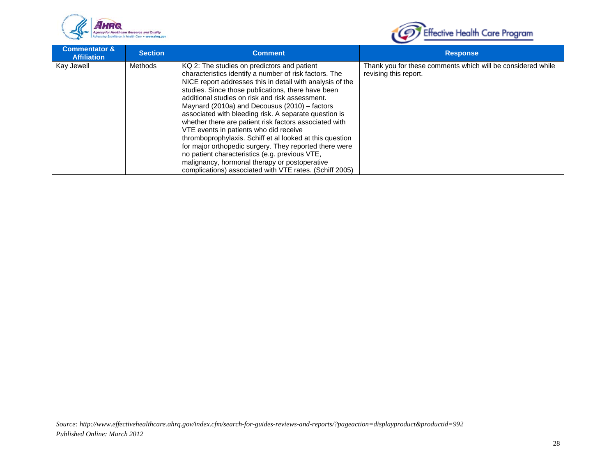



| <b>Commentator &amp;</b><br><b>Affiliation</b> | <b>Section</b> | <b>Comment</b>                                                                                                                                                                                                                                                                                                                                                                                                                                                                                                                                                                                                                                                                                                                                                                | <b>Response</b>                                                                      |
|------------------------------------------------|----------------|-------------------------------------------------------------------------------------------------------------------------------------------------------------------------------------------------------------------------------------------------------------------------------------------------------------------------------------------------------------------------------------------------------------------------------------------------------------------------------------------------------------------------------------------------------------------------------------------------------------------------------------------------------------------------------------------------------------------------------------------------------------------------------|--------------------------------------------------------------------------------------|
| Kay Jewell                                     | Methods        | KQ 2: The studies on predictors and patient<br>characteristics identify a number of risk factors. The<br>NICE report addresses this in detail with analysis of the<br>studies. Since those publications, there have been<br>additional studies on risk and risk assessment.<br>Maynard (2010a) and Decousus (2010) – factors<br>associated with bleeding risk. A separate question is<br>whether there are patient risk factors associated with<br>VTE events in patients who did receive<br>thromboprophylaxis. Schiff et al looked at this question<br>for major orthopedic surgery. They reported there were<br>no patient characteristics (e.g. previous VTE,<br>malignancy, hormonal therapy or postoperative<br>complications) associated with VTE rates. (Schiff 2005) | Thank you for these comments which will be considered while<br>revising this report. |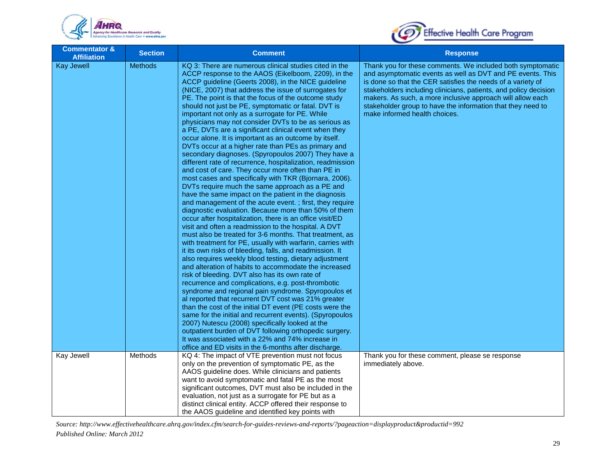



| <b>Commentator &amp;</b><br><b>Affiliation</b> | <b>Section</b> | <b>Comment</b>                                                                                                                                                                                                                                                                                                                                                                                                                                                                                                                                                                                                                                                                                                                                                                                                                                                                                                                                                                                                                                                                                                                                                                                                                                                                                                                                                                                                                                                                                                                                                                                                                                                                                                                                                                                                                                                                                                                                                                                                                                                                                          | <b>Response</b>                                                                                                                                                                                                                                                                                                                                                                                                           |
|------------------------------------------------|----------------|---------------------------------------------------------------------------------------------------------------------------------------------------------------------------------------------------------------------------------------------------------------------------------------------------------------------------------------------------------------------------------------------------------------------------------------------------------------------------------------------------------------------------------------------------------------------------------------------------------------------------------------------------------------------------------------------------------------------------------------------------------------------------------------------------------------------------------------------------------------------------------------------------------------------------------------------------------------------------------------------------------------------------------------------------------------------------------------------------------------------------------------------------------------------------------------------------------------------------------------------------------------------------------------------------------------------------------------------------------------------------------------------------------------------------------------------------------------------------------------------------------------------------------------------------------------------------------------------------------------------------------------------------------------------------------------------------------------------------------------------------------------------------------------------------------------------------------------------------------------------------------------------------------------------------------------------------------------------------------------------------------------------------------------------------------------------------------------------------------|---------------------------------------------------------------------------------------------------------------------------------------------------------------------------------------------------------------------------------------------------------------------------------------------------------------------------------------------------------------------------------------------------------------------------|
| <b>Kay Jewell</b>                              | <b>Methods</b> | KQ 3: There are numerous clinical studies cited in the<br>ACCP response to the AAOS (Eikelboom, 2209), in the<br>ACCP guideline (Geerts 2008), in the NICE guideline<br>(NICE, 2007) that address the issue of surrogates for<br>PE. The point is that the focus of the outcome study<br>should not just be PE, symptomatic or fatal. DVT is<br>important not only as a surrogate for PE. While<br>physicians may not consider DVTs to be as serious as<br>a PE, DVTs are a significant clinical event when they<br>occur alone. It is important as an outcome by itself.<br>DVTs occur at a higher rate than PEs as primary and<br>secondary diagnoses. (Spyropoulos 2007) They have a<br>different rate of recurrence, hospitalization, readmission<br>and cost of care. They occur more often than PE in<br>most cases and specifically with TKR (Bjornara, 2006).<br>DVTs require much the same approach as a PE and<br>have the same impact on the patient in the diagnosis<br>and management of the acute event.; first, they require<br>diagnostic evaluation. Because more than 50% of them<br>occur after hospitalization, there is an office visit/ED<br>visit and often a readmission to the hospital. A DVT<br>must also be treated for 3-6 months. That treatment, as<br>with treatment for PE, usually with warfarin, carries with<br>it its own risks of bleeding, falls, and readmission. It<br>also requires weekly blood testing, dietary adjustment<br>and alteration of habits to accommodate the increased<br>risk of bleeding. DVT also has its own rate of<br>recurrence and complications, e.g. post-thrombotic<br>syndrome and regional pain syndrome. Spyropoulos et<br>al reported that recurrent DVT cost was 21% greater<br>than the cost of the initial DT event (PE costs were the<br>same for the initial and recurrent events). (Spyropoulos<br>2007) Nutescu (2008) specifically looked at the<br>outpatient burden of DVT following orthopedic surgery.<br>It was associated with a 22% and 74% increase in<br>office and ED visits in the 6-months after discharge. | Thank you for these comments. We included both symptomatic<br>and asymptomatic events as well as DVT and PE events. This<br>is done so that the CER satisfies the needs of a variety of<br>stakeholders including clinicians, patients, and policy decision<br>makers. As such, a more inclusive approach will allow each<br>stakeholder group to have the information that they need to<br>make informed health choices. |
| Kay Jewell                                     | Methods        | KQ 4: The impact of VTE prevention must not focus<br>only on the prevention of symptomatic PE, as the<br>AAOS guideline does. While clinicians and patients<br>want to avoid symptomatic and fatal PE as the most<br>significant outcomes, DVT must also be included in the<br>evaluation, not just as a surrogate for PE but as a<br>distinct clinical entity. ACCP offered their response to<br>the AAOS guideline and identified key points with                                                                                                                                                                                                                                                                                                                                                                                                                                                                                                                                                                                                                                                                                                                                                                                                                                                                                                                                                                                                                                                                                                                                                                                                                                                                                                                                                                                                                                                                                                                                                                                                                                                     | Thank you for these comment, please se response<br>immediately above.                                                                                                                                                                                                                                                                                                                                                     |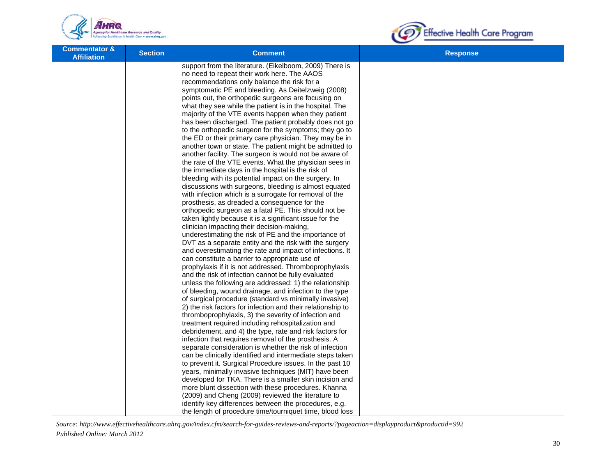



| <b>Commentator &amp;</b><br><b>Affiliation</b> | <b>Section</b> | <b>Comment</b>                                                                                                        | <b>Response</b> |
|------------------------------------------------|----------------|-----------------------------------------------------------------------------------------------------------------------|-----------------|
|                                                |                | support from the literature. (Eikelboom, 2009) There is                                                               |                 |
|                                                |                | no need to repeat their work here. The AAOS                                                                           |                 |
|                                                |                | recommendations only balance the risk for a                                                                           |                 |
|                                                |                | symptomatic PE and bleeding. As Deitelzweig (2008)                                                                    |                 |
|                                                |                | points out, the orthopedic surgeons are focusing on                                                                   |                 |
|                                                |                | what they see while the patient is in the hospital. The<br>majority of the VTE events happen when they patient        |                 |
|                                                |                | has been discharged. The patient probably does not go                                                                 |                 |
|                                                |                | to the orthopedic surgeon for the symptoms; they go to                                                                |                 |
|                                                |                | the ED or their primary care physician. They may be in                                                                |                 |
|                                                |                | another town or state. The patient might be admitted to                                                               |                 |
|                                                |                | another facility. The surgeon is would not be aware of                                                                |                 |
|                                                |                | the rate of the VTE events. What the physician sees in                                                                |                 |
|                                                |                | the immediate days in the hospital is the risk of                                                                     |                 |
|                                                |                | bleeding with its potential impact on the surgery. In                                                                 |                 |
|                                                |                | discussions with surgeons, bleeding is almost equated                                                                 |                 |
|                                                |                | with infection which is a surrogate for removal of the                                                                |                 |
|                                                |                | prosthesis, as dreaded a consequence for the                                                                          |                 |
|                                                |                | orthopedic surgeon as a fatal PE. This should not be                                                                  |                 |
|                                                |                | taken lightly because it is a significant issue for the                                                               |                 |
|                                                |                | clinician impacting their decision-making,                                                                            |                 |
|                                                |                | underestimating the risk of PE and the importance of                                                                  |                 |
|                                                |                | DVT as a separate entity and the risk with the surgery                                                                |                 |
|                                                |                | and overestimating the rate and impact of infections. It                                                              |                 |
|                                                |                | can constitute a barrier to appropriate use of                                                                        |                 |
|                                                |                | prophylaxis if it is not addressed. Thromboprophylaxis                                                                |                 |
|                                                |                | and the risk of infection cannot be fully evaluated                                                                   |                 |
|                                                |                | unless the following are addressed: 1) the relationship                                                               |                 |
|                                                |                | of bleeding, wound drainage, and infection to the type                                                                |                 |
|                                                |                | of surgical procedure (standard vs minimally invasive)                                                                |                 |
|                                                |                | 2) the risk factors for infection and their relationship to                                                           |                 |
|                                                |                | thromboprophylaxis, 3) the severity of infection and                                                                  |                 |
|                                                |                | treatment required including rehospitalization and                                                                    |                 |
|                                                |                | debridement, and 4) the type, rate and risk factors for                                                               |                 |
|                                                |                | infection that requires removal of the prosthesis. A                                                                  |                 |
|                                                |                | separate consideration is whether the risk of infection                                                               |                 |
|                                                |                | can be clinically identified and intermediate steps taken<br>to prevent it. Surgical Procedure issues. In the past 10 |                 |
|                                                |                | years, minimally invasive techniques (MIT) have been                                                                  |                 |
|                                                |                | developed for TKA. There is a smaller skin incision and                                                               |                 |
|                                                |                | more blunt dissection with these procedures. Khanna                                                                   |                 |
|                                                |                | (2009) and Cheng (2009) reviewed the literature to                                                                    |                 |
|                                                |                | identify key differences between the procedures, e.g.                                                                 |                 |
|                                                |                | the length of procedure time/tourniquet time, blood loss                                                              |                 |
|                                                |                |                                                                                                                       |                 |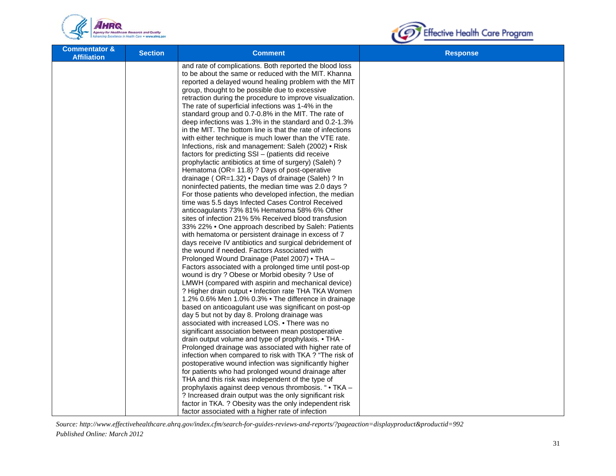



| <b>Commentator &amp;</b><br><b>Affiliation</b> | <b>Section</b> | <b>Comment</b>                                                                                                                                                                                                                                                                                                                                                                                                                                                                                                                                                                                                                                                                                                                                                                                                                                                                                                                                                                                                                                                                                                                                                                                                                                                                                                                                                                                                                                                                                                                                                                                                                                                                                                                                                                                                                                                                                                                                                                                                                                                                                                                                                      | <b>Response</b> |
|------------------------------------------------|----------------|---------------------------------------------------------------------------------------------------------------------------------------------------------------------------------------------------------------------------------------------------------------------------------------------------------------------------------------------------------------------------------------------------------------------------------------------------------------------------------------------------------------------------------------------------------------------------------------------------------------------------------------------------------------------------------------------------------------------------------------------------------------------------------------------------------------------------------------------------------------------------------------------------------------------------------------------------------------------------------------------------------------------------------------------------------------------------------------------------------------------------------------------------------------------------------------------------------------------------------------------------------------------------------------------------------------------------------------------------------------------------------------------------------------------------------------------------------------------------------------------------------------------------------------------------------------------------------------------------------------------------------------------------------------------------------------------------------------------------------------------------------------------------------------------------------------------------------------------------------------------------------------------------------------------------------------------------------------------------------------------------------------------------------------------------------------------------------------------------------------------------------------------------------------------|-----------------|
|                                                |                | and rate of complications. Both reported the blood loss<br>to be about the same or reduced with the MIT. Khanna<br>reported a delayed wound healing problem with the MIT<br>group, thought to be possible due to excessive<br>retraction during the procedure to improve visualization.<br>The rate of superficial infections was 1-4% in the<br>standard group and 0.7-0.8% in the MIT. The rate of<br>deep infections was 1.3% in the standard and 0.2-1.3%<br>in the MIT. The bottom line is that the rate of infections<br>with either technique is much lower than the VTE rate.<br>Infections, risk and management: Saleh (2002) • Risk<br>factors for predicting SSI - (patients did receive<br>prophylactic antibiotics at time of surgery) (Saleh)?<br>Hematoma (OR= 11.8) ? Days of post-operative<br>drainage (OR=1.32) • Days of drainage (Saleh) ? In<br>noninfected patients, the median time was 2.0 days?<br>For those patients who developed infection, the median<br>time was 5.5 days Infected Cases Control Received<br>anticoagulants 73% 81% Hematoma 58% 6% Other<br>sites of infection 21% 5% Received blood transfusion<br>33% 22% • One approach described by Saleh: Patients<br>with hematoma or persistent drainage in excess of 7<br>days receive IV antibiotics and surgical debridement of<br>the wound if needed. Factors Associated with<br>Prolonged Wound Drainage (Patel 2007) • THA -<br>Factors associated with a prolonged time until post-op<br>wound is dry ? Obese or Morbid obesity ? Use of<br>LMWH (compared with aspirin and mechanical device)<br>? Higher drain output . Infection rate THA TKA Women<br>1.2% 0.6% Men 1.0% 0.3% • The difference in drainage<br>based on anticoagulant use was significant on post-op<br>day 5 but not by day 8. Prolong drainage was<br>associated with increased LOS. . There was no<br>significant association between mean postoperative<br>drain output volume and type of prophylaxis. • THA -<br>Prolonged drainage was associated with higher rate of<br>infection when compared to risk with TKA ? "The risk of<br>postoperative wound infection was significantly higher |                 |
|                                                |                | for patients who had prolonged wound drainage after<br>THA and this risk was independent of the type of                                                                                                                                                                                                                                                                                                                                                                                                                                                                                                                                                                                                                                                                                                                                                                                                                                                                                                                                                                                                                                                                                                                                                                                                                                                                                                                                                                                                                                                                                                                                                                                                                                                                                                                                                                                                                                                                                                                                                                                                                                                             |                 |
|                                                |                | prophylaxis against deep venous thrombosis. " • TKA -<br>? Increased drain output was the only significant risk                                                                                                                                                                                                                                                                                                                                                                                                                                                                                                                                                                                                                                                                                                                                                                                                                                                                                                                                                                                                                                                                                                                                                                                                                                                                                                                                                                                                                                                                                                                                                                                                                                                                                                                                                                                                                                                                                                                                                                                                                                                     |                 |
|                                                |                | factor in TKA. ? Obesity was the only independent risk<br>factor associated with a higher rate of infection                                                                                                                                                                                                                                                                                                                                                                                                                                                                                                                                                                                                                                                                                                                                                                                                                                                                                                                                                                                                                                                                                                                                                                                                                                                                                                                                                                                                                                                                                                                                                                                                                                                                                                                                                                                                                                                                                                                                                                                                                                                         |                 |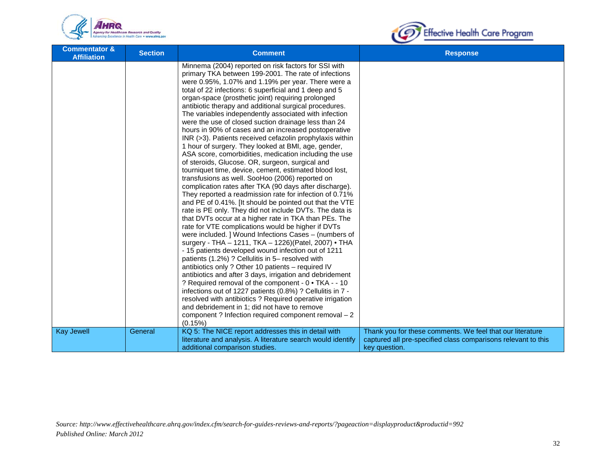



| <b>Commentator &amp;</b><br><b>Affiliation</b> | <b>Section</b> | <b>Comment</b>                                                                                                                                                                                                                                                                                                                                                                                                                                                                                                                                                                                                                                                                                                                                                                                                                                                                                                                                                                                                                                                                                                                                                                                                                                                                                                                                                                                                                                                                                                                                                                                                                                                                                                                                                                                                                                                                   | <b>Response</b>                                                                                                                             |
|------------------------------------------------|----------------|----------------------------------------------------------------------------------------------------------------------------------------------------------------------------------------------------------------------------------------------------------------------------------------------------------------------------------------------------------------------------------------------------------------------------------------------------------------------------------------------------------------------------------------------------------------------------------------------------------------------------------------------------------------------------------------------------------------------------------------------------------------------------------------------------------------------------------------------------------------------------------------------------------------------------------------------------------------------------------------------------------------------------------------------------------------------------------------------------------------------------------------------------------------------------------------------------------------------------------------------------------------------------------------------------------------------------------------------------------------------------------------------------------------------------------------------------------------------------------------------------------------------------------------------------------------------------------------------------------------------------------------------------------------------------------------------------------------------------------------------------------------------------------------------------------------------------------------------------------------------------------|---------------------------------------------------------------------------------------------------------------------------------------------|
|                                                |                | Minnema (2004) reported on risk factors for SSI with<br>primary TKA between 199-2001. The rate of infections<br>were 0.95%, 1.07% and 1.19% per year. There were a<br>total of 22 infections: 6 superficial and 1 deep and 5<br>organ-space (prosthetic joint) requiring prolonged<br>antibiotic therapy and additional surgical procedures.<br>The variables independently associated with infection<br>were the use of closed suction drainage less than 24<br>hours in 90% of cases and an increased postoperative<br>INR (>3). Patients received cefazolin prophylaxis within<br>1 hour of surgery. They looked at BMI, age, gender,<br>ASA score, comorbidities, medication including the use<br>of steroids, Glucose. OR, surgeon, surgical and<br>tourniquet time, device, cement, estimated blood lost,<br>transfusions as well. SooHoo (2006) reported on<br>complication rates after TKA (90 days after discharge).<br>They reported a readmission rate for infection of 0.71%<br>and PE of 0.41%. [It should be pointed out that the VTE<br>rate is PE only. They did not include DVTs. The data is<br>that DVTs occur at a higher rate in TKA than PEs. The<br>rate for VTE complications would be higher if DVTs<br>were included. ] Wound Infections Cases - (numbers of<br>surgery - THA - 1211, TKA - 1226)(Patel, 2007) • THA<br>- 15 patients developed wound infection out of 1211<br>patients (1.2%) ? Cellulitis in 5- resolved with<br>antibiotics only ? Other 10 patients – required IV<br>antibiotics and after 3 days, irrigation and debridement<br>? Required removal of the component - 0 • TKA - - 10<br>infections out of 1227 patients (0.8%) ? Cellulitis in 7 -<br>resolved with antibiotics ? Required operative irrigation<br>and debridement in 1; did not have to remove<br>component? Infection required component removal - 2<br>(0.15%) |                                                                                                                                             |
| <b>Kay Jewell</b>                              | General        | KQ 5: The NICE report addresses this in detail with<br>literature and analysis. A literature search would identify<br>additional comparison studies.                                                                                                                                                                                                                                                                                                                                                                                                                                                                                                                                                                                                                                                                                                                                                                                                                                                                                                                                                                                                                                                                                                                                                                                                                                                                                                                                                                                                                                                                                                                                                                                                                                                                                                                             | Thank you for these comments. We feel that our literature<br>captured all pre-specified class comparisons relevant to this<br>key question. |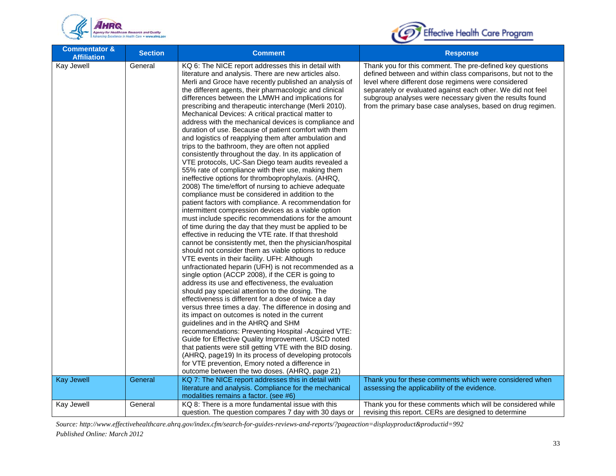



| <b>Commentator &amp;</b><br><b>Affiliation</b> | <b>Section</b> | <b>Comment</b>                                                                                                                                                                                                                                                                                                                                                                                                                                                                                                                                                                                                                                                                                                                                                                                                                                                                                                                                                                                                                                                                                                                                                                                                                                                                                                                                                                                                                                                                                                                                                                                                                                                                                                                                                                                                                                                                                                                                                                                                                                                                                                                                                                                                    | <b>Response</b>                                                                                                                                                                                                                                                                                                                                                            |
|------------------------------------------------|----------------|-------------------------------------------------------------------------------------------------------------------------------------------------------------------------------------------------------------------------------------------------------------------------------------------------------------------------------------------------------------------------------------------------------------------------------------------------------------------------------------------------------------------------------------------------------------------------------------------------------------------------------------------------------------------------------------------------------------------------------------------------------------------------------------------------------------------------------------------------------------------------------------------------------------------------------------------------------------------------------------------------------------------------------------------------------------------------------------------------------------------------------------------------------------------------------------------------------------------------------------------------------------------------------------------------------------------------------------------------------------------------------------------------------------------------------------------------------------------------------------------------------------------------------------------------------------------------------------------------------------------------------------------------------------------------------------------------------------------------------------------------------------------------------------------------------------------------------------------------------------------------------------------------------------------------------------------------------------------------------------------------------------------------------------------------------------------------------------------------------------------------------------------------------------------------------------------------------------------|----------------------------------------------------------------------------------------------------------------------------------------------------------------------------------------------------------------------------------------------------------------------------------------------------------------------------------------------------------------------------|
| Kay Jewell                                     | General        | KQ 6: The NICE report addresses this in detail with<br>literature and analysis. There are new articles also.<br>Merli and Groce have recently published an analysis of<br>the different agents, their pharmacologic and clinical<br>differences between the LMWH and implications for<br>prescribing and therapeutic interchange (Merli 2010).<br>Mechanical Devices: A critical practical matter to<br>address with the mechanical devices is compliance and<br>duration of use. Because of patient comfort with them<br>and logistics of reapplying them after ambulation and<br>trips to the bathroom, they are often not applied<br>consistently throughout the day. In its application of<br>VTE protocols, UC-San Diego team audits revealed a<br>55% rate of compliance with their use, making them<br>ineffective options for thromboprophylaxis. (AHRQ,<br>2008) The time/effort of nursing to achieve adequate<br>compliance must be considered in addition to the<br>patient factors with compliance. A recommendation for<br>intermittent compression devices as a viable option<br>must include specific recommendations for the amount<br>of time during the day that they must be applied to be<br>effective in reducing the VTE rate. If that threshold<br>cannot be consistently met, then the physician/hospital<br>should not consider them as viable options to reduce<br>VTE events in their facility. UFH: Although<br>unfractionated heparin (UFH) is not recommended as a<br>single option (ACCP 2008), if the CER is going to<br>address its use and effectiveness, the evaluation<br>should pay special attention to the dosing. The<br>effectiveness is different for a dose of twice a day<br>versus three times a day. The difference in dosing and<br>its impact on outcomes is noted in the current<br>guidelines and in the AHRQ and SHM<br>recommendations: Preventing Hospital -Acquired VTE:<br>Guide for Effective Quality Improvement. USCD noted<br>that patients were still getting VTE with the BID dosing.<br>(AHRQ, page19) In its process of developing protocols<br>for VTE prevention, Emory noted a difference in<br>outcome between the two doses. (AHRQ, page 21) | Thank you for this comment. The pre-defined key questions<br>defined between and within class comparisons, but not to the<br>level where different dose regimens were considered<br>separately or evaluated against each other. We did not feel<br>subgroup analyses were necessary given the results found<br>from the primary base case analyses, based on drug regimen. |
| <b>Kay Jewell</b>                              | General        | KQ 7: The NICE report addresses this in detail with                                                                                                                                                                                                                                                                                                                                                                                                                                                                                                                                                                                                                                                                                                                                                                                                                                                                                                                                                                                                                                                                                                                                                                                                                                                                                                                                                                                                                                                                                                                                                                                                                                                                                                                                                                                                                                                                                                                                                                                                                                                                                                                                                               | Thank you for these comments which were considered when                                                                                                                                                                                                                                                                                                                    |
|                                                |                | literature and analysis. Compliance for the mechanical<br>modalities remains a factor. (see #6)                                                                                                                                                                                                                                                                                                                                                                                                                                                                                                                                                                                                                                                                                                                                                                                                                                                                                                                                                                                                                                                                                                                                                                                                                                                                                                                                                                                                                                                                                                                                                                                                                                                                                                                                                                                                                                                                                                                                                                                                                                                                                                                   | assessing the applicability of the evidence.                                                                                                                                                                                                                                                                                                                               |
| Kay Jewell                                     | General        | KQ 8: There is a more fundamental issue with this                                                                                                                                                                                                                                                                                                                                                                                                                                                                                                                                                                                                                                                                                                                                                                                                                                                                                                                                                                                                                                                                                                                                                                                                                                                                                                                                                                                                                                                                                                                                                                                                                                                                                                                                                                                                                                                                                                                                                                                                                                                                                                                                                                 | Thank you for these comments which will be considered while                                                                                                                                                                                                                                                                                                                |
|                                                |                | question. The question compares 7 day with 30 days or                                                                                                                                                                                                                                                                                                                                                                                                                                                                                                                                                                                                                                                                                                                                                                                                                                                                                                                                                                                                                                                                                                                                                                                                                                                                                                                                                                                                                                                                                                                                                                                                                                                                                                                                                                                                                                                                                                                                                                                                                                                                                                                                                             | revising this report. CERs are designed to determine                                                                                                                                                                                                                                                                                                                       |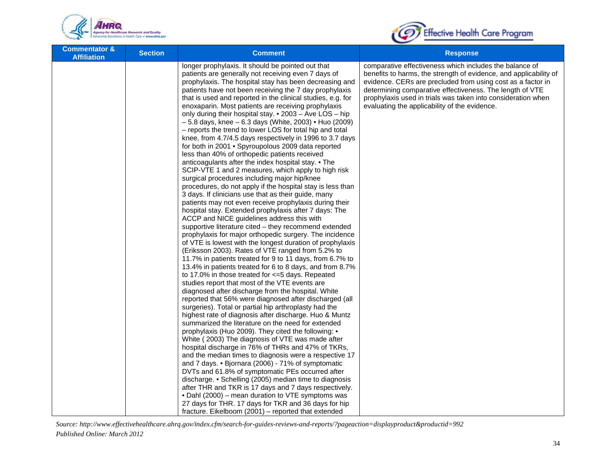



| <b>Commentator &amp;</b><br><b>Affiliation</b> | <b>Section</b> | <b>Comment</b>                                                                                                                                                                                                                                                                                                                                                                                                                                                                                                                                                                                                                                                                                                                                                                                                                                                                                                                                                                                                                                                                                                                                                                                                                                                                                                                                                                                                                                                                                                                                                                                                                                                                                                                                                                                                                                                                                                                                                                                                                                                                                                                                                                                                                                                       | <b>Response</b>                                                                                                                                                                                                                                                                                                                                                          |
|------------------------------------------------|----------------|----------------------------------------------------------------------------------------------------------------------------------------------------------------------------------------------------------------------------------------------------------------------------------------------------------------------------------------------------------------------------------------------------------------------------------------------------------------------------------------------------------------------------------------------------------------------------------------------------------------------------------------------------------------------------------------------------------------------------------------------------------------------------------------------------------------------------------------------------------------------------------------------------------------------------------------------------------------------------------------------------------------------------------------------------------------------------------------------------------------------------------------------------------------------------------------------------------------------------------------------------------------------------------------------------------------------------------------------------------------------------------------------------------------------------------------------------------------------------------------------------------------------------------------------------------------------------------------------------------------------------------------------------------------------------------------------------------------------------------------------------------------------------------------------------------------------------------------------------------------------------------------------------------------------------------------------------------------------------------------------------------------------------------------------------------------------------------------------------------------------------------------------------------------------------------------------------------------------------------------------------------------------|--------------------------------------------------------------------------------------------------------------------------------------------------------------------------------------------------------------------------------------------------------------------------------------------------------------------------------------------------------------------------|
|                                                |                | longer prophylaxis. It should be pointed out that<br>patients are generally not receiving even 7 days of<br>prophylaxis. The hospital stay has been decreasing and<br>patients have not been receiving the 7 day prophylaxis<br>that is used and reported in the clinical studies, e.g. for<br>enoxaparin. Most patients are receiving prophylaxis<br>only during their hospital stay. • 2003 - Ave LOS - hip<br>$-5.8$ days, knee $-6.3$ days (White, 2003) • Huo (2009)<br>- reports the trend to lower LOS for total hip and total<br>knee, from 4.7/4.5 days respectively in 1996 to 3.7 days<br>for both in 2001 • Spyroupolous 2009 data reported<br>less than 40% of orthopedic patients received<br>anticoagulants after the index hospital stay. • The<br>SCIP-VTE 1 and 2 measures, which apply to high risk<br>surgical procedures including major hip/knee<br>procedures, do not apply if the hospital stay is less than<br>3 days. If clinicians use that as their guide, many<br>patients may not even receive prophylaxis during their<br>hospital stay. Extended prophylaxis after 7 days: The<br>ACCP and NICE guidelines address this with<br>supportive literature cited – they recommend extended<br>prophylaxis for major orthopedic surgery. The incidence<br>of VTE is lowest with the longest duration of prophylaxis<br>(Eriksson 2003). Rates of VTE ranged from 5.2% to<br>11.7% in patients treated for 9 to 11 days, from 6.7% to<br>13.4% in patients treated for 6 to 8 days, and from 8.7%<br>to 17.0% in those treated for $\leq$ =5 days. Repeated<br>studies report that most of the VTE events are<br>diagnosed after discharge from the hospital. White<br>reported that 56% were diagnosed after discharged (all<br>surgeries). Total or partial hip arthroplasty had the<br>highest rate of diagnosis after discharge. Huo & Muntz<br>summarized the literature on the need for extended<br>prophylaxis (Huo 2009). They cited the following: •<br>White (2003) The diagnosis of VTE was made after<br>hospital discharge in 76% of THRs and 47% of TKRs,<br>and the median times to diagnosis were a respective 17<br>and 7 days. • Bjornara (2006) - 71% of symptomatic<br>DVTs and 61.8% of symptomatic PEs occurred after | comparative effectiveness which includes the balance of<br>benefits to harms, the strength of evidence, and applicability of<br>evidence. CERs are precluded from using cost as a factor in<br>determining comparative effectiveness. The length of VTE<br>prophylaxis used in trials was taken into consideration when<br>evaluating the applicability of the evidence. |
|                                                |                | discharge. • Schelling (2005) median time to diagnosis<br>after THR and TKR is 17 days and 7 days respectively.<br>• Dahl (2000) – mean duration to VTE symptoms was<br>27 days for THR. 17 days for TKR and 36 days for hip                                                                                                                                                                                                                                                                                                                                                                                                                                                                                                                                                                                                                                                                                                                                                                                                                                                                                                                                                                                                                                                                                                                                                                                                                                                                                                                                                                                                                                                                                                                                                                                                                                                                                                                                                                                                                                                                                                                                                                                                                                         |                                                                                                                                                                                                                                                                                                                                                                          |
|                                                |                | fracture. Eikelboom (2001) – reported that extended                                                                                                                                                                                                                                                                                                                                                                                                                                                                                                                                                                                                                                                                                                                                                                                                                                                                                                                                                                                                                                                                                                                                                                                                                                                                                                                                                                                                                                                                                                                                                                                                                                                                                                                                                                                                                                                                                                                                                                                                                                                                                                                                                                                                                  |                                                                                                                                                                                                                                                                                                                                                                          |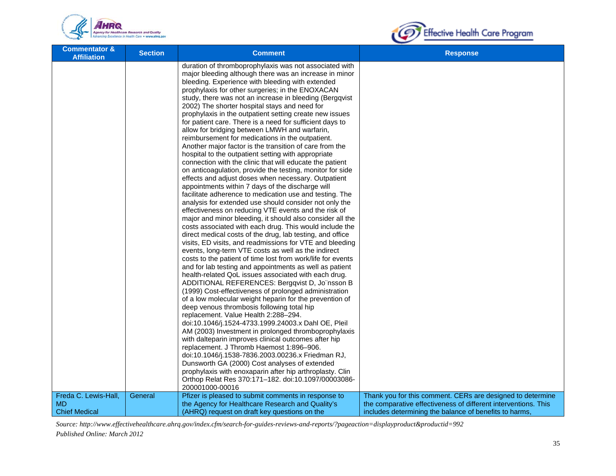



| <b>Commentator &amp;</b><br><b>Affiliation</b> | <b>Section</b> | <b>Comment</b>                                                                                                                                                                                                                                                                                                                                                                                                                                                                                                                                                                                                                                                                                                                                                                                                                                                                                                                                                                                                                                                                                                                                                                                                                                                                                                                                                                                                                                                                                                                                                                                                                                                                                                                                                                                                                                                                                                                                                                                                                                                                                                                                                                                                                                 | <b>Response</b>                                                |
|------------------------------------------------|----------------|------------------------------------------------------------------------------------------------------------------------------------------------------------------------------------------------------------------------------------------------------------------------------------------------------------------------------------------------------------------------------------------------------------------------------------------------------------------------------------------------------------------------------------------------------------------------------------------------------------------------------------------------------------------------------------------------------------------------------------------------------------------------------------------------------------------------------------------------------------------------------------------------------------------------------------------------------------------------------------------------------------------------------------------------------------------------------------------------------------------------------------------------------------------------------------------------------------------------------------------------------------------------------------------------------------------------------------------------------------------------------------------------------------------------------------------------------------------------------------------------------------------------------------------------------------------------------------------------------------------------------------------------------------------------------------------------------------------------------------------------------------------------------------------------------------------------------------------------------------------------------------------------------------------------------------------------------------------------------------------------------------------------------------------------------------------------------------------------------------------------------------------------------------------------------------------------------------------------------------------------|----------------------------------------------------------------|
|                                                |                | duration of thromboprophylaxis was not associated with<br>major bleeding although there was an increase in minor<br>bleeding. Experience with bleeding with extended<br>prophylaxis for other surgeries; in the ENOXACAN<br>study, there was not an increase in bleeding (Bergqvist<br>2002) The shorter hospital stays and need for<br>prophylaxis in the outpatient setting create new issues<br>for patient care. There is a need for sufficient days to<br>allow for bridging between LMWH and warfarin,<br>reimbursement for medications in the outpatient.<br>Another major factor is the transition of care from the<br>hospital to the outpatient setting with appropriate<br>connection with the clinic that will educate the patient<br>on anticoagulation, provide the testing, monitor for side<br>effects and adjust doses when necessary. Outpatient<br>appointments within 7 days of the discharge will<br>facilitate adherence to medication use and testing. The<br>analysis for extended use should consider not only the<br>effectiveness on reducing VTE events and the risk of<br>major and minor bleeding, it should also consider all the<br>costs associated with each drug. This would include the<br>direct medical costs of the drug, lab testing, and office<br>visits, ED visits, and readmissions for VTE and bleeding<br>events, long-term VTE costs as well as the indirect<br>costs to the patient of time lost from work/life for events<br>and for lab testing and appointments as well as patient<br>health-related QoL issues associated with each drug.<br>ADDITIONAL REFERENCES: Bergqvist D, Jo"nsson B<br>(1999) Cost-effectiveness of prolonged administration<br>of a low molecular weight heparin for the prevention of<br>deep venous thrombosis following total hip<br>replacement. Value Health 2:288-294.<br>doi:10.1046/j.1524-4733.1999.24003.x Dahl OE, Pleil<br>AM (2003) Investment in prolonged thromboprophylaxis<br>with dalteparin improves clinical outcomes after hip<br>replacement. J Thromb Haemost 1:896-906.<br>doi:10.1046/j.1538-7836.2003.00236.x Friedman RJ,<br>Dunsworth GA (2000) Cost analyses of extended<br>prophylaxis with enoxaparin after hip arthroplasty. Clin |                                                                |
|                                                |                | Orthop Relat Res 370:171-182. doi:10.1097/00003086-                                                                                                                                                                                                                                                                                                                                                                                                                                                                                                                                                                                                                                                                                                                                                                                                                                                                                                                                                                                                                                                                                                                                                                                                                                                                                                                                                                                                                                                                                                                                                                                                                                                                                                                                                                                                                                                                                                                                                                                                                                                                                                                                                                                            |                                                                |
|                                                |                | 200001000-00016                                                                                                                                                                                                                                                                                                                                                                                                                                                                                                                                                                                                                                                                                                                                                                                                                                                                                                                                                                                                                                                                                                                                                                                                                                                                                                                                                                                                                                                                                                                                                                                                                                                                                                                                                                                                                                                                                                                                                                                                                                                                                                                                                                                                                                |                                                                |
| Freda C. Lewis-Hall,<br>MD.                    | General        | Pfizer is pleased to submit comments in response to                                                                                                                                                                                                                                                                                                                                                                                                                                                                                                                                                                                                                                                                                                                                                                                                                                                                                                                                                                                                                                                                                                                                                                                                                                                                                                                                                                                                                                                                                                                                                                                                                                                                                                                                                                                                                                                                                                                                                                                                                                                                                                                                                                                            | Thank you for this comment. CERs are designed to determine     |
| <b>Chief Medical</b>                           |                | the Agency for Healthcare Research and Quality's                                                                                                                                                                                                                                                                                                                                                                                                                                                                                                                                                                                                                                                                                                                                                                                                                                                                                                                                                                                                                                                                                                                                                                                                                                                                                                                                                                                                                                                                                                                                                                                                                                                                                                                                                                                                                                                                                                                                                                                                                                                                                                                                                                                               | the comparative effectiveness of different interventions. This |
|                                                |                | (AHRQ) request on draft key questions on the                                                                                                                                                                                                                                                                                                                                                                                                                                                                                                                                                                                                                                                                                                                                                                                                                                                                                                                                                                                                                                                                                                                                                                                                                                                                                                                                                                                                                                                                                                                                                                                                                                                                                                                                                                                                                                                                                                                                                                                                                                                                                                                                                                                                   | includes determining the balance of benefits to harms,         |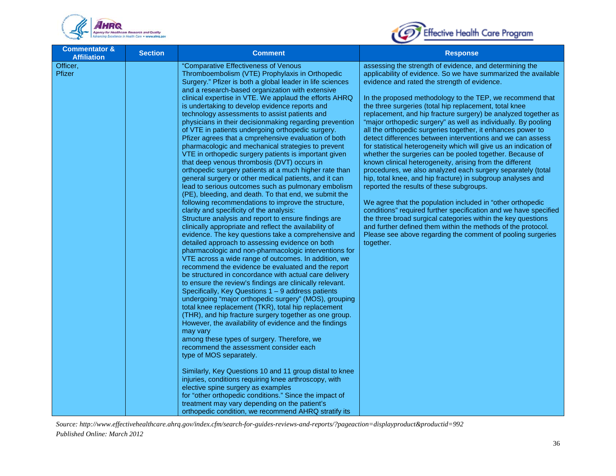



| <b>Commentator &amp;</b><br><b>Affiliation</b> | <b>Section</b> | <b>Comment</b>                                                                                                                                                                                                                                                                                                                                                                                                                                                                                                                                                                                                                                                                                                                                                                                                                                                                                                                                                                                                                                                                                                                                                                                                                                                                                                                                                                                                                                                                                                                                                                                                                                                                                                                                                                                                                                                                                                                                                                                                                                                                                                                                                                                                                                                                                                                       | <b>Response</b>                                                                                                                                                                                                                                                                                                                                                                                                                                                                                                                                                                                                                                                                                                                                                                                                                                                                                                                                                                                                                                                                                                                                                                                                                                                                        |
|------------------------------------------------|----------------|--------------------------------------------------------------------------------------------------------------------------------------------------------------------------------------------------------------------------------------------------------------------------------------------------------------------------------------------------------------------------------------------------------------------------------------------------------------------------------------------------------------------------------------------------------------------------------------------------------------------------------------------------------------------------------------------------------------------------------------------------------------------------------------------------------------------------------------------------------------------------------------------------------------------------------------------------------------------------------------------------------------------------------------------------------------------------------------------------------------------------------------------------------------------------------------------------------------------------------------------------------------------------------------------------------------------------------------------------------------------------------------------------------------------------------------------------------------------------------------------------------------------------------------------------------------------------------------------------------------------------------------------------------------------------------------------------------------------------------------------------------------------------------------------------------------------------------------------------------------------------------------------------------------------------------------------------------------------------------------------------------------------------------------------------------------------------------------------------------------------------------------------------------------------------------------------------------------------------------------------------------------------------------------------------------------------------------------|----------------------------------------------------------------------------------------------------------------------------------------------------------------------------------------------------------------------------------------------------------------------------------------------------------------------------------------------------------------------------------------------------------------------------------------------------------------------------------------------------------------------------------------------------------------------------------------------------------------------------------------------------------------------------------------------------------------------------------------------------------------------------------------------------------------------------------------------------------------------------------------------------------------------------------------------------------------------------------------------------------------------------------------------------------------------------------------------------------------------------------------------------------------------------------------------------------------------------------------------------------------------------------------|
| Officer,<br>Pfizer                             |                | "Comparative Effectiveness of Venous<br>Thromboembolism (VTE) Prophylaxis in Orthopedic<br>Surgery." Pfizer is both a global leader in life sciences<br>and a research-based organization with extensive<br>clinical expertise in VTE. We applaud the efforts AHRQ<br>is undertaking to develop evidence reports and<br>technology assessments to assist patients and<br>physicians in their decisionmaking regarding prevention<br>of VTE in patients undergoing orthopedic surgery.<br>Pfizer agrees that a cmprehensive evaluation of both<br>pharmacologic and mechanical strategies to prevent<br>VTE in orthopedic surgery patients is important given<br>that deep venous thrombosis (DVT) occurs in<br>orthopedic surgery patients at a much higher rate than<br>general surgery or other medical patients, and it can<br>lead to serious outcomes such as pulmonary embolism<br>(PE), bleeding, and death. To that end, we submit the<br>following recommendations to improve the structure,<br>clarity and specificity of the analysis:<br>Structure analysis and report to ensure findings are<br>clinically appropriate and reflect the availability of<br>evidence. The key questions take a comprehensive and<br>detailed approach to assessing evidence on both<br>pharmacologic and non-pharmacologic interventions for<br>VTE across a wide range of outcomes. In addition, we<br>recommend the evidence be evaluated and the report<br>be structured in concordance with actual care delivery<br>to ensure the review's findings are clinically relevant.<br>Specifically, Key Questions $1 - 9$ address patients<br>undergoing "major orthopedic surgery" (MOS), grouping<br>total knee replacement (TKR), total hip replacement<br>(THR), and hip fracture surgery together as one group.<br>However, the availability of evidence and the findings<br>may vary<br>among these types of surgery. Therefore, we<br>recommend the assessment consider each<br>type of MOS separately.<br>Similarly, Key Questions 10 and 11 group distal to knee<br>injuries, conditions requiring knee arthroscopy, with<br>elective spine surgery as examples<br>for "other orthopedic conditions." Since the impact of<br>treatment may vary depending on the patient's<br>orthopedic condition, we recommend AHRQ stratify its | assessing the strength of evidence, and determining the<br>applicability of evidence. So we have summarized the available<br>evidence and rated the strength of evidence.<br>In the proposed methodology to the TEP, we recommend that<br>the three surgeries (total hip replacement, total knee<br>replacement, and hip fracture surgery) be analyzed together as<br>"major orthopedic surgery" as well as individually. By pooling<br>all the orthopedic surgeries together, it enhances power to<br>detect differences between interventions and we can assess<br>for statistical heterogeneity which will give us an indication of<br>whether the surgeries can be pooled together. Because of<br>known clinical heterogeneity, arising from the different<br>procedures, we also analyzed each surgery separately (total<br>hip, total knee, and hip fracture) in subgroup analyses and<br>reported the results of these subgroups.<br>We agree that the population included in "other orthopedic<br>conditions" required further specification and we have specified<br>the three broad surgical categories within the key questions<br>and further defined them within the methods of the protocol.<br>Please see above regarding the comment of pooling surgeries<br>together. |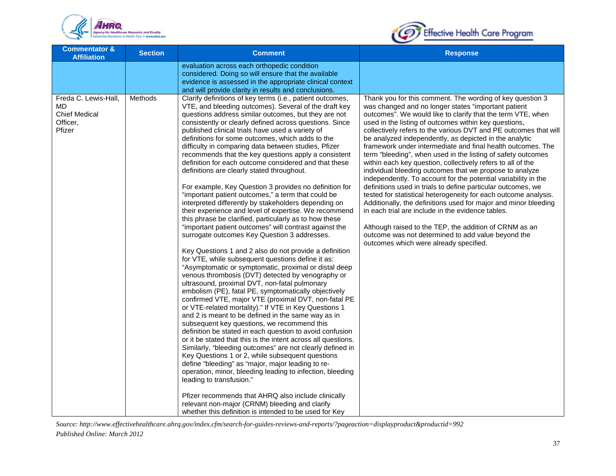



| <b>Commentator &amp;</b><br><b>Affiliation</b>                            | <b>Section</b> | <b>Comment</b>                                                                                                                                                                                                                                                                                                                                                                                                                                                                                                                                                                                                                                                                                                                                                                                                                                                                                                                                                                                                                                                                                                                                                                                                                                                                                                                                                                                                                                                                                                                                                                                                                                                                                                                                                                                                                                                                                                                                                                                                                                                                                       | <b>Response</b>                                                                                                                                                                                                                                                                                                                                                                                                                                                                                                                                                                                                                                                                                                                                                                                                                                                                                                                                                                                                                                                                                                        |
|---------------------------------------------------------------------------|----------------|------------------------------------------------------------------------------------------------------------------------------------------------------------------------------------------------------------------------------------------------------------------------------------------------------------------------------------------------------------------------------------------------------------------------------------------------------------------------------------------------------------------------------------------------------------------------------------------------------------------------------------------------------------------------------------------------------------------------------------------------------------------------------------------------------------------------------------------------------------------------------------------------------------------------------------------------------------------------------------------------------------------------------------------------------------------------------------------------------------------------------------------------------------------------------------------------------------------------------------------------------------------------------------------------------------------------------------------------------------------------------------------------------------------------------------------------------------------------------------------------------------------------------------------------------------------------------------------------------------------------------------------------------------------------------------------------------------------------------------------------------------------------------------------------------------------------------------------------------------------------------------------------------------------------------------------------------------------------------------------------------------------------------------------------------------------------------------------------------|------------------------------------------------------------------------------------------------------------------------------------------------------------------------------------------------------------------------------------------------------------------------------------------------------------------------------------------------------------------------------------------------------------------------------------------------------------------------------------------------------------------------------------------------------------------------------------------------------------------------------------------------------------------------------------------------------------------------------------------------------------------------------------------------------------------------------------------------------------------------------------------------------------------------------------------------------------------------------------------------------------------------------------------------------------------------------------------------------------------------|
|                                                                           |                | evaluation across each orthopedic condition<br>considered. Doing so will ensure that the available<br>evidence is assessed in the appropriate clinical context<br>and will provide clarity in results and conclusions.                                                                                                                                                                                                                                                                                                                                                                                                                                                                                                                                                                                                                                                                                                                                                                                                                                                                                                                                                                                                                                                                                                                                                                                                                                                                                                                                                                                                                                                                                                                                                                                                                                                                                                                                                                                                                                                                               |                                                                                                                                                                                                                                                                                                                                                                                                                                                                                                                                                                                                                                                                                                                                                                                                                                                                                                                                                                                                                                                                                                                        |
| Freda C. Lewis-Hall,<br>MD.<br><b>Chief Medical</b><br>Officer,<br>Pfizer | Methods        | Clarify definitions of key terms (i.e., patient outcomes,<br>VTE, and bleeding outcomes). Several of the draft key<br>questions address similar outcomes, but they are not<br>consistently or clearly defined across questions. Since<br>published clinical trials have used a variety of<br>definitions for some outcomes, which adds to the<br>difficulty in comparing data between studies, Pfizer<br>recommends that the key questions apply a consistent<br>definition for each outcome considered and that these<br>definitions are clearly stated throughout.<br>For example, Key Question 3 provides no definition for<br>"important patient outcomes," a term that could be<br>interpreted differently by stakeholders depending on<br>their experience and level of expertise. We recommend<br>this phrase be clarified, particularly as to how these<br>"important patient outcomes" will contrast against the<br>surrogate outcomes Key Question 3 addresses.<br>Key Questions 1 and 2 also do not provide a definition<br>for VTE, while subsequent questions define it as:<br>"Asymptomatic or symptomatic, proximal or distal deep<br>venous thrombosis (DVT) detected by venography or<br>ultrasound, proximal DVT, non-fatal pulmonary<br>embolism (PE), fatal PE, symptomatically objectively<br>confirmed VTE, major VTE (proximal DVT, non-fatal PE<br>or VTE-related mortality)." If VTE in Key Questions 1<br>and 2 is meant to be defined in the same way as in<br>subsequent key questions, we recommend this<br>definition be stated in each question to avoid confusion<br>or it be stated that this is the intent across all questions.<br>Similarly, "bleeding outcomes" are not clearly defined in<br>Key Questions 1 or 2, while subsequent questions<br>define "bleeding" as "major, major leading to re-<br>operation, minor, bleeding leading to infection, bleeding<br>leading to transfusion."<br>Pfizer recommends that AHRQ also include clinically<br>relevant non-major (CRNM) bleeding and clarify<br>whether this definition is intended to be used for Key | Thank you for this comment. The wording of key question 3<br>was changed and no longer states "important patient<br>outcomes". We would like to clarify that the term VTE, when<br>used in the listing of outcomes within key questions,<br>collectively refers to the various DVT and PE outcomes that will<br>be analyzed independently, as depicted in the analytic<br>framework under intermediate and final health outcomes. The<br>term "bleeding", when used in the listing of safety outcomes<br>within each key question, collectively refers to all of the<br>individual bleeding outcomes that we propose to analyze<br>independently. To account for the potential variability in the<br>definitions used in trials to define particular outcomes, we<br>tested for statistical heterogeneity for each outcome analysis.<br>Additionally, the definitions used for major and minor bleeding<br>in each trial are include in the evidence tables.<br>Although raised to the TEP, the addition of CRNM as an<br>outcome was not determined to add value beyond the<br>outcomes which were already specified. |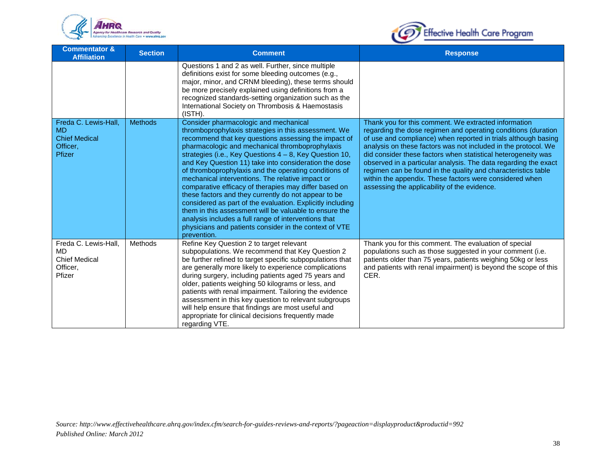



| <b>Commentator &amp;</b><br><b>Affiliation</b>                                  | <b>Section</b> | <b>Comment</b>                                                                                                                                                                                                                                                                                                                                                                                                                                                                                                                                                                                                                                                                                                                                                                                                      | <b>Response</b>                                                                                                                                                                                                                                                                                                                                                                                                                                                                                                                                                           |
|---------------------------------------------------------------------------------|----------------|---------------------------------------------------------------------------------------------------------------------------------------------------------------------------------------------------------------------------------------------------------------------------------------------------------------------------------------------------------------------------------------------------------------------------------------------------------------------------------------------------------------------------------------------------------------------------------------------------------------------------------------------------------------------------------------------------------------------------------------------------------------------------------------------------------------------|---------------------------------------------------------------------------------------------------------------------------------------------------------------------------------------------------------------------------------------------------------------------------------------------------------------------------------------------------------------------------------------------------------------------------------------------------------------------------------------------------------------------------------------------------------------------------|
|                                                                                 |                | Questions 1 and 2 as well. Further, since multiple<br>definitions exist for some bleeding outcomes (e.g.,<br>major, minor, and CRNM bleeding), these terms should<br>be more precisely explained using definitions from a<br>recognized standards-setting organization such as the<br>International Society on Thrombosis & Haemostasis<br>(ISTH).                                                                                                                                                                                                                                                                                                                                                                                                                                                                  |                                                                                                                                                                                                                                                                                                                                                                                                                                                                                                                                                                           |
| Freda C. Lewis-Hall,<br><b>MD</b><br><b>Chief Medical</b><br>Officer.<br>Pfizer | <b>Methods</b> | Consider pharmacologic and mechanical<br>thromboprophylaxis strategies in this assessment. We<br>recommend that key questions assessing the impact of<br>pharmacologic and mechanical thromboprophylaxis<br>strategies (i.e., Key Questions 4 - 8, Key Question 10,<br>and Key Question 11) take into consideration the dose<br>of thromboprophylaxis and the operating conditions of<br>mechanical interventions. The relative impact or<br>comparative efficacy of therapies may differ based on<br>these factors and they currently do not appear to be<br>considered as part of the evaluation. Explicitly including<br>them in this assessment will be valuable to ensure the<br>analysis includes a full range of interventions that<br>physicians and patients consider in the context of VTE<br>prevention. | Thank you for this comment. We extracted information<br>regarding the dose regimen and operating conditions (duration<br>of use and compliance) when reported in trials although basing<br>analysis on these factors was not included in the protocol. We<br>did consider these factors when statistical heterogeneity was<br>observed in a particular analysis. The data regarding the exact<br>regimen can be found in the quality and characteristics table<br>within the appendix. These factors were considered when<br>assessing the applicability of the evidence. |
| Freda C. Lewis-Hall,<br>MD<br><b>Chief Medical</b><br>Officer,<br>Pfizer        | Methods        | Refine Key Question 2 to target relevant<br>subpopulations. We recommend that Key Question 2<br>be further refined to target specific subpopulations that<br>are generally more likely to experience complications<br>during surgery, including patients aged 75 years and<br>older, patients weighing 50 kilograms or less, and<br>patients with renal impairment. Tailoring the evidence<br>assessment in this key question to relevant subgroups<br>will help ensure that findings are most useful and<br>appropriate for clinical decisions frequently made<br>regarding VTE.                                                                                                                                                                                                                                   | Thank you for this comment. The evaluation of special<br>populations such as those suggested in your comment (i.e.<br>patients older than 75 years, patients weighing 50kg or less<br>and patients with renal impairment) is beyond the scope of this<br>CER.                                                                                                                                                                                                                                                                                                             |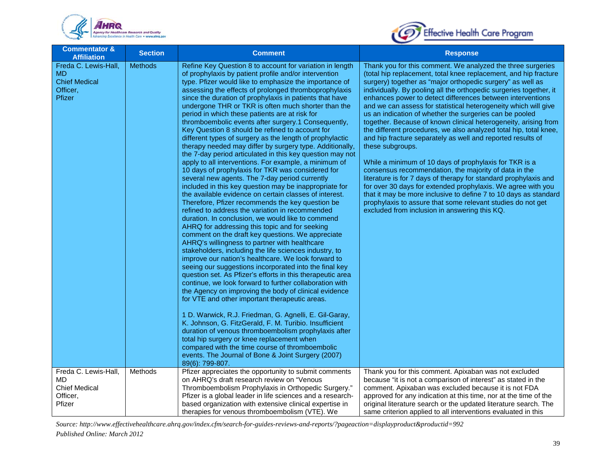



| <b>Commentator &amp;</b><br><b>Affiliation</b>                                  | <b>Section</b> | <b>Comment</b>                                                                                                                                                                                                                                                                                                                                                                                                                                                                                                                                                                                                                                                                                                                                                                                                                                                                                                                                                                                                                                                                                                                                                                                                                                                                                                                                                                                                                                                                                                                                                                                                                                                                                                                                                                                                                                                                                                                                                                                                                                                                       | <b>Response</b>                                                                                                                                                                                                                                                                                                                                                                                                                                                                                                                                                                                                                                                                                                                                                                                                                                                                                                                                                                                                                                                                                                                       |
|---------------------------------------------------------------------------------|----------------|--------------------------------------------------------------------------------------------------------------------------------------------------------------------------------------------------------------------------------------------------------------------------------------------------------------------------------------------------------------------------------------------------------------------------------------------------------------------------------------------------------------------------------------------------------------------------------------------------------------------------------------------------------------------------------------------------------------------------------------------------------------------------------------------------------------------------------------------------------------------------------------------------------------------------------------------------------------------------------------------------------------------------------------------------------------------------------------------------------------------------------------------------------------------------------------------------------------------------------------------------------------------------------------------------------------------------------------------------------------------------------------------------------------------------------------------------------------------------------------------------------------------------------------------------------------------------------------------------------------------------------------------------------------------------------------------------------------------------------------------------------------------------------------------------------------------------------------------------------------------------------------------------------------------------------------------------------------------------------------------------------------------------------------------------------------------------------------|---------------------------------------------------------------------------------------------------------------------------------------------------------------------------------------------------------------------------------------------------------------------------------------------------------------------------------------------------------------------------------------------------------------------------------------------------------------------------------------------------------------------------------------------------------------------------------------------------------------------------------------------------------------------------------------------------------------------------------------------------------------------------------------------------------------------------------------------------------------------------------------------------------------------------------------------------------------------------------------------------------------------------------------------------------------------------------------------------------------------------------------|
| Freda C. Lewis-Hall,<br><b>MD</b><br><b>Chief Medical</b><br>Officer,<br>Pfizer | <b>Methods</b> | Refine Key Question 8 to account for variation in length<br>of prophylaxis by patient profile and/or intervention<br>type. Pfizer would like to emphasize the importance of<br>assessing the effects of prolonged thromboprophylaxis<br>since the duration of prophylaxis in patients that have<br>undergone THR or TKR is often much shorter than the<br>period in which these patients are at risk for<br>thromboembolic events after surgery.1 Consequently,<br>Key Question 8 should be refined to account for<br>different types of surgery as the length of prophylactic<br>therapy needed may differ by surgery type. Additionally,<br>the 7-day period articulated in this key question may not<br>apply to all interventions. For example, a minimum of<br>10 days of prophylaxis for TKR was considered for<br>several new agents. The 7-day period currently<br>included in this key question may be inappropriate for<br>the available evidence on certain classes of interest.<br>Therefore, Pfizer recommends the key question be<br>refined to address the variation in recommended<br>duration. In conclusion, we would like to commend<br>AHRQ for addressing this topic and for seeking<br>comment on the draft key questions. We appreciate<br>AHRQ's willingness to partner with healthcare<br>stakeholders, including the life sciences industry, to<br>improve our nation's healthcare. We look forward to<br>seeing our suggestions incorporated into the final key<br>question set. As Pfizer's efforts in this therapeutic area<br>continue, we look forward to further collaboration with<br>the Agency on improving the body of clinical evidence<br>for VTE and other important therapeutic areas.<br>1 D. Warwick, R.J. Friedman, G. Agnelli, E. Gil-Garay,<br>K. Johnson, G. FitzGerald, F. M. Turibio. Insufficient<br>duration of venous thromboembolism prophylaxis after<br>total hip surgery or knee replacement when<br>compared with the time course of thromboembolic<br>events. The Journal of Bone & Joint Surgery (2007)<br>89(6): 799-807. | Thank you for this comment. We analyzed the three surgeries<br>(total hip replacement, total knee replacement, and hip fracture<br>surgery) together as "major orthopedic surgery" as well as<br>individually. By pooling all the orthopedic surgeries together, it<br>enhances power to detect differences between interventions<br>and we can assess for statistical heterogeneity which will give<br>us an indication of whether the surgeries can be pooled<br>together. Because of known clinical heterogeneity, arising from<br>the different procedures, we also analyzed total hip, total knee,<br>and hip fracture separately as well and reported results of<br>these subgroups.<br>While a minimum of 10 days of prophylaxis for TKR is a<br>consensus recommendation, the majority of data in the<br>literature is for 7 days of therapy for standard prophylaxis and<br>for over 30 days for extended prophylaxis. We agree with you<br>that it may be more inclusive to define 7 to 10 days as standard<br>prophylaxis to assure that some relevant studies do not get<br>excluded from inclusion in answering this KQ. |
| Freda C. Lewis-Hall,                                                            | Methods        | Pfizer appreciates the opportunity to submit comments                                                                                                                                                                                                                                                                                                                                                                                                                                                                                                                                                                                                                                                                                                                                                                                                                                                                                                                                                                                                                                                                                                                                                                                                                                                                                                                                                                                                                                                                                                                                                                                                                                                                                                                                                                                                                                                                                                                                                                                                                                | Thank you for this comment. Apixaban was not excluded                                                                                                                                                                                                                                                                                                                                                                                                                                                                                                                                                                                                                                                                                                                                                                                                                                                                                                                                                                                                                                                                                 |
| MD<br><b>Chief Medical</b>                                                      |                | on AHRQ's draft research review on "Venous<br>Thromboembolism Prophylaxis in Orthopedic Surgery."                                                                                                                                                                                                                                                                                                                                                                                                                                                                                                                                                                                                                                                                                                                                                                                                                                                                                                                                                                                                                                                                                                                                                                                                                                                                                                                                                                                                                                                                                                                                                                                                                                                                                                                                                                                                                                                                                                                                                                                    | because "it is not a comparison of interest" as stated in the<br>comment. Apixaban was excluded because it is not FDA                                                                                                                                                                                                                                                                                                                                                                                                                                                                                                                                                                                                                                                                                                                                                                                                                                                                                                                                                                                                                 |
| Officer,                                                                        |                | Pfizer is a global leader in life sciences and a research-                                                                                                                                                                                                                                                                                                                                                                                                                                                                                                                                                                                                                                                                                                                                                                                                                                                                                                                                                                                                                                                                                                                                                                                                                                                                                                                                                                                                                                                                                                                                                                                                                                                                                                                                                                                                                                                                                                                                                                                                                           | approved for any indication at this time, nor at the time of the                                                                                                                                                                                                                                                                                                                                                                                                                                                                                                                                                                                                                                                                                                                                                                                                                                                                                                                                                                                                                                                                      |
| Pfizer                                                                          |                | based organization with extensive clinical expertise in                                                                                                                                                                                                                                                                                                                                                                                                                                                                                                                                                                                                                                                                                                                                                                                                                                                                                                                                                                                                                                                                                                                                                                                                                                                                                                                                                                                                                                                                                                                                                                                                                                                                                                                                                                                                                                                                                                                                                                                                                              | original literature search or the updated literature search. The                                                                                                                                                                                                                                                                                                                                                                                                                                                                                                                                                                                                                                                                                                                                                                                                                                                                                                                                                                                                                                                                      |
|                                                                                 |                | therapies for venous thromboembolism (VTE). We                                                                                                                                                                                                                                                                                                                                                                                                                                                                                                                                                                                                                                                                                                                                                                                                                                                                                                                                                                                                                                                                                                                                                                                                                                                                                                                                                                                                                                                                                                                                                                                                                                                                                                                                                                                                                                                                                                                                                                                                                                       | same criterion applied to all interventions evaluated in this                                                                                                                                                                                                                                                                                                                                                                                                                                                                                                                                                                                                                                                                                                                                                                                                                                                                                                                                                                                                                                                                         |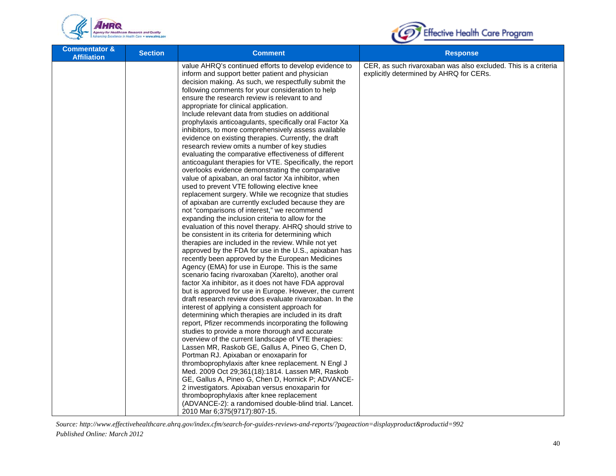



| <b>Commentator &amp;</b><br><b>Affiliation</b> | <b>Section</b> | <b>Comment</b>                                                                                                                                                                                                                                                                                                                                                                                                                                                                                                                                                                                                                                                                                                                                                                                                                                                                                                                                                                                                                                                                                                                                                                                                                                                                                                                                                                                                                                                                                                                                                                                                                                                                                                                                                                                                                                                                                                                                                                                                                                                                                                                                                                                                                                                                      | <b>Response</b>                                                                                           |
|------------------------------------------------|----------------|-------------------------------------------------------------------------------------------------------------------------------------------------------------------------------------------------------------------------------------------------------------------------------------------------------------------------------------------------------------------------------------------------------------------------------------------------------------------------------------------------------------------------------------------------------------------------------------------------------------------------------------------------------------------------------------------------------------------------------------------------------------------------------------------------------------------------------------------------------------------------------------------------------------------------------------------------------------------------------------------------------------------------------------------------------------------------------------------------------------------------------------------------------------------------------------------------------------------------------------------------------------------------------------------------------------------------------------------------------------------------------------------------------------------------------------------------------------------------------------------------------------------------------------------------------------------------------------------------------------------------------------------------------------------------------------------------------------------------------------------------------------------------------------------------------------------------------------------------------------------------------------------------------------------------------------------------------------------------------------------------------------------------------------------------------------------------------------------------------------------------------------------------------------------------------------------------------------------------------------------------------------------------------------|-----------------------------------------------------------------------------------------------------------|
|                                                |                | value AHRQ's continued efforts to develop evidence to<br>inform and support better patient and physician<br>decision making. As such, we respectfully submit the<br>following comments for your consideration to help<br>ensure the research review is relevant to and<br>appropriate for clinical application.<br>Include relevant data from studies on additional<br>prophylaxis anticoagulants, specifically oral Factor Xa<br>inhibitors, to more comprehensively assess available<br>evidence on existing therapies. Currently, the draft<br>research review omits a number of key studies<br>evaluating the comparative effectiveness of different<br>anticoagulant therapies for VTE. Specifically, the report<br>overlooks evidence demonstrating the comparative<br>value of apixaban, an oral factor Xa inhibitor, when<br>used to prevent VTE following elective knee<br>replacement surgery. While we recognize that studies<br>of apixaban are currently excluded because they are<br>not "comparisons of interest," we recommend<br>expanding the inclusion criteria to allow for the<br>evaluation of this novel therapy. AHRQ should strive to<br>be consistent in its criteria for determining which<br>therapies are included in the review. While not yet<br>approved by the FDA for use in the U.S., apixaban has<br>recently been approved by the European Medicines<br>Agency (EMA) for use in Europe. This is the same<br>scenario facing rivaroxaban (Xarelto), another oral<br>factor Xa inhibitor, as it does not have FDA approval<br>but is approved for use in Europe. However, the current<br>draft research review does evaluate rivaroxaban. In the<br>interest of applying a consistent approach for<br>determining which therapies are included in its draft<br>report, Pfizer recommends incorporating the following<br>studies to provide a more thorough and accurate<br>overview of the current landscape of VTE therapies:<br>Lassen MR, Raskob GE, Gallus A, Pineo G, Chen D,<br>Portman RJ. Apixaban or enoxaparin for<br>thromboprophylaxis after knee replacement. N Engl J<br>Med. 2009 Oct 29;361(18):1814. Lassen MR, Raskob<br>GE, Gallus A, Pineo G, Chen D, Hornick P; ADVANCE-<br>2 investigators. Apixaban versus enoxaparin for | CER, as such rivaroxaban was also excluded. This is a criteria<br>explicitly determined by AHRQ for CERs. |
|                                                |                | thromboprophylaxis after knee replacement<br>(ADVANCE-2): a randomised double-blind trial. Lancet.<br>2010 Mar 6;375(9717):807-15.                                                                                                                                                                                                                                                                                                                                                                                                                                                                                                                                                                                                                                                                                                                                                                                                                                                                                                                                                                                                                                                                                                                                                                                                                                                                                                                                                                                                                                                                                                                                                                                                                                                                                                                                                                                                                                                                                                                                                                                                                                                                                                                                                  |                                                                                                           |
|                                                |                |                                                                                                                                                                                                                                                                                                                                                                                                                                                                                                                                                                                                                                                                                                                                                                                                                                                                                                                                                                                                                                                                                                                                                                                                                                                                                                                                                                                                                                                                                                                                                                                                                                                                                                                                                                                                                                                                                                                                                                                                                                                                                                                                                                                                                                                                                     |                                                                                                           |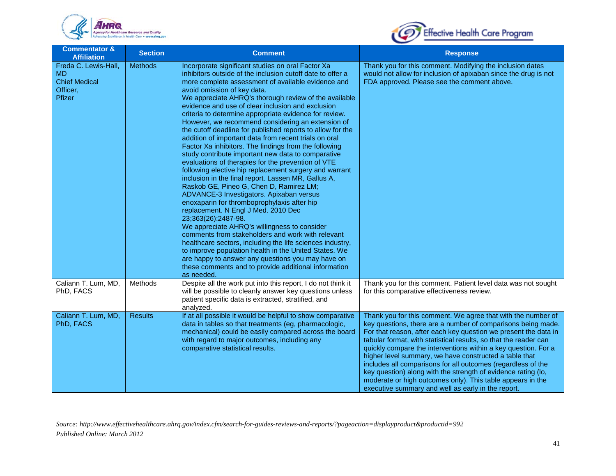



| <b>Commentator &amp;</b><br><b>Affiliation</b>                                  | <b>Section</b> | <b>Comment</b>                                                                                                                                                                                                                                                                                                                                                                                                                                                                                                                                                                                                                                                                                                                                                                                                                                                                                                                                                                                                                                                                                                                                                                                                                                                                                                                                                                                           | <b>Response</b>                                                                                                                                                                                                                                                                                                                                                                                                                                                                                                                                                                                                                                      |
|---------------------------------------------------------------------------------|----------------|----------------------------------------------------------------------------------------------------------------------------------------------------------------------------------------------------------------------------------------------------------------------------------------------------------------------------------------------------------------------------------------------------------------------------------------------------------------------------------------------------------------------------------------------------------------------------------------------------------------------------------------------------------------------------------------------------------------------------------------------------------------------------------------------------------------------------------------------------------------------------------------------------------------------------------------------------------------------------------------------------------------------------------------------------------------------------------------------------------------------------------------------------------------------------------------------------------------------------------------------------------------------------------------------------------------------------------------------------------------------------------------------------------|------------------------------------------------------------------------------------------------------------------------------------------------------------------------------------------------------------------------------------------------------------------------------------------------------------------------------------------------------------------------------------------------------------------------------------------------------------------------------------------------------------------------------------------------------------------------------------------------------------------------------------------------------|
| Freda C. Lewis-Hall,<br><b>MD</b><br><b>Chief Medical</b><br>Officer.<br>Pfizer | <b>Methods</b> | Incorporate significant studies on oral Factor Xa<br>inhibitors outside of the inclusion cutoff date to offer a<br>more complete assessment of available evidence and<br>avoid omission of key data.<br>We appreciate AHRQ's thorough review of the available<br>evidence and use of clear inclusion and exclusion<br>criteria to determine appropriate evidence for review.<br>However, we recommend considering an extension of<br>the cutoff deadline for published reports to allow for the<br>addition of important data from recent trials on oral<br>Factor Xa inhibitors. The findings from the following<br>study contribute important new data to comparative<br>evaluations of therapies for the prevention of VTE<br>following elective hip replacement surgery and warrant<br>inclusion in the final report. Lassen MR, Gallus A,<br>Raskob GE, Pineo G, Chen D, Ramirez LM;<br>ADVANCE-3 Investigators. Apixaban versus<br>enoxaparin for thromboprophylaxis after hip<br>replacement. N Engl J Med. 2010 Dec<br>23;363(26):2487-98.<br>We appreciate AHRQ's willingness to consider<br>comments from stakeholders and work with relevant<br>healthcare sectors, including the life sciences industry,<br>to improve population health in the United States. We<br>are happy to answer any questions you may have on<br>these comments and to provide additional information<br>as needed. | Thank you for this comment. Modifying the inclusion dates<br>would not allow for inclusion of apixaban since the drug is not<br>FDA approved. Please see the comment above.                                                                                                                                                                                                                                                                                                                                                                                                                                                                          |
| Caliann T. Lum, MD,<br>PhD, FACS                                                | Methods        | Despite all the work put into this report, I do not think it<br>will be possible to cleanly answer key questions unless<br>patient specific data is extracted, stratified, and<br>analyzed.                                                                                                                                                                                                                                                                                                                                                                                                                                                                                                                                                                                                                                                                                                                                                                                                                                                                                                                                                                                                                                                                                                                                                                                                              | Thank you for this comment. Patient level data was not sought<br>for this comparative effectiveness review.                                                                                                                                                                                                                                                                                                                                                                                                                                                                                                                                          |
| Caliann T. Lum, MD,<br>PhD, FACS                                                | <b>Results</b> | If at all possible it would be helpful to show comparative<br>data in tables so that treatments (eg, pharmacologic,<br>mechanical) could be easily compared across the board<br>with regard to major outcomes, including any<br>comparative statistical results.                                                                                                                                                                                                                                                                                                                                                                                                                                                                                                                                                                                                                                                                                                                                                                                                                                                                                                                                                                                                                                                                                                                                         | Thank you for this comment. We agree that with the number of<br>key questions, there are a number of comparisons being made.<br>For that reason, after each key question we present the data in<br>tabular format, with statistical results, so that the reader can<br>quickly compare the interventions within a key question. For a<br>higher level summary, we have constructed a table that<br>includes all comparisons for all outcomes (regardless of the<br>key question) along with the strength of evidence rating (lo,<br>moderate or high outcomes only). This table appears in the<br>executive summary and well as early in the report. |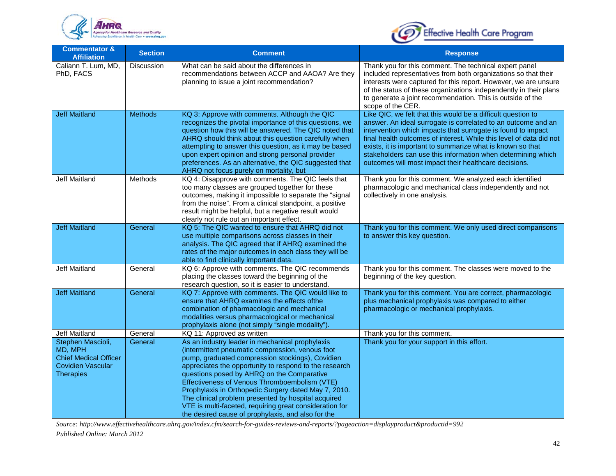



| <b>Commentator &amp;</b><br><b>Affiliation</b>                                                               | <b>Section</b>    | <b>Comment</b>                                                                                                                                                                                                                                                                                                                                                                                                                                                                                                                                   | <b>Response</b>                                                                                                                                                                                                                                                                                                                                                                                                                                             |
|--------------------------------------------------------------------------------------------------------------|-------------------|--------------------------------------------------------------------------------------------------------------------------------------------------------------------------------------------------------------------------------------------------------------------------------------------------------------------------------------------------------------------------------------------------------------------------------------------------------------------------------------------------------------------------------------------------|-------------------------------------------------------------------------------------------------------------------------------------------------------------------------------------------------------------------------------------------------------------------------------------------------------------------------------------------------------------------------------------------------------------------------------------------------------------|
| Caliann T. Lum, MD,<br>PhD, FACS                                                                             | <b>Discussion</b> | What can be said about the differences in<br>recommendations between ACCP and AAOA? Are they<br>planning to issue a joint recommendation?                                                                                                                                                                                                                                                                                                                                                                                                        | Thank you for this comment. The technical expert panel<br>included representatives from both organizations so that their<br>interests were captured for this report. However, we are unsure<br>of the status of these organizations independently in their plans<br>to generate a joint recommendation. This is outside of the<br>scope of the CER.                                                                                                         |
| <b>Jeff Maitland</b>                                                                                         | <b>Methods</b>    | KQ 3: Approve with comments. Although the QIC<br>recognizes the pivotal importance of this questions, we<br>question how this will be answered. The QIC noted that<br>AHRQ should think about this question carefully when<br>attempting to answer this question, as it may be based<br>upon expert opinion and strong personal provider<br>preferences. As an alternative, the QIC suggested that<br>AHRQ not focus purely on mortality, but                                                                                                    | Like QIC, we felt that this would be a difficult question to<br>answer. An ideal surrogate is correlated to an outcome and an<br>intervention which impacts that surrogate is found to impact<br>final health outcomes of interest. While this level of data did not<br>exists, it is important to summarize what is known so that<br>stakeholders can use this information when determining which<br>outcomes will most impact their healthcare decisions. |
| <b>Jeff Maitland</b>                                                                                         | Methods           | KQ 4: Disapprove with comments. The QIC feels that<br>too many classes are grouped together for these<br>outcomes, making it impossible to separate the "signal<br>from the noise". From a clinical standpoint, a positive<br>result might be helpful, but a negative result would<br>clearly not rule out an important effect.                                                                                                                                                                                                                  | Thank you for this comment. We analyzed each identified<br>pharmacologic and mechanical class independently and not<br>collectively in one analysis.                                                                                                                                                                                                                                                                                                        |
| <b>Jeff Maitland</b>                                                                                         | General           | KQ 5: The QIC wanted to ensure that AHRQ did not<br>use multiple comparisons across classes in their<br>analysis. The QIC agreed that if AHRQ examined the<br>rates of the major outcomes in each class they will be<br>able to find clinically important data.                                                                                                                                                                                                                                                                                  | Thank you for this comment. We only used direct comparisons<br>to answer this key question.                                                                                                                                                                                                                                                                                                                                                                 |
| <b>Jeff Maitland</b>                                                                                         | General           | KQ 6: Approve with comments. The QIC recommends<br>placing the classes toward the beginning of the<br>research question, so it is easier to understand.                                                                                                                                                                                                                                                                                                                                                                                          | Thank you for this comment. The classes were moved to the<br>beginning of the key question.                                                                                                                                                                                                                                                                                                                                                                 |
| <b>Jeff Maitland</b>                                                                                         | General           | KQ 7: Approve with comments. The QIC would like to<br>ensure that AHRQ examines the effects ofthe<br>combination of pharmacologic and mechanical<br>modalities versus pharmacological or mechanical<br>prophylaxis alone (not simply "single modality").                                                                                                                                                                                                                                                                                         | Thank you for this comment. You are correct, pharmacologic<br>plus mechanical prophylaxis was compared to either<br>pharmacologic or mechanical prophylaxis.                                                                                                                                                                                                                                                                                                |
| <b>Jeff Maitland</b>                                                                                         | General           | KQ 11: Approved as written                                                                                                                                                                                                                                                                                                                                                                                                                                                                                                                       | Thank you for this comment.                                                                                                                                                                                                                                                                                                                                                                                                                                 |
| Stephen Mascioli,<br>MD, MPH<br><b>Chief Medical Officer</b><br><b>Covidien Vascular</b><br><b>Therapies</b> | General           | As an industry leader in mechanical prophylaxis<br>(intermittent pneumatic compression, venous foot<br>pump, graduated compression stockings), Covidien<br>appreciates the opportunity to respond to the research<br>questions posed by AHRQ on the Comparative<br>Effectiveness of Venous Thromboembolism (VTE)<br>Prophylaxis in Orthopedic Surgery dated May 7, 2010.<br>The clinical problem presented by hospital acquired<br>VTE is multi-faceted, requiring great consideration for<br>the desired cause of prophylaxis, and also for the | Thank you for your support in this effort.                                                                                                                                                                                                                                                                                                                                                                                                                  |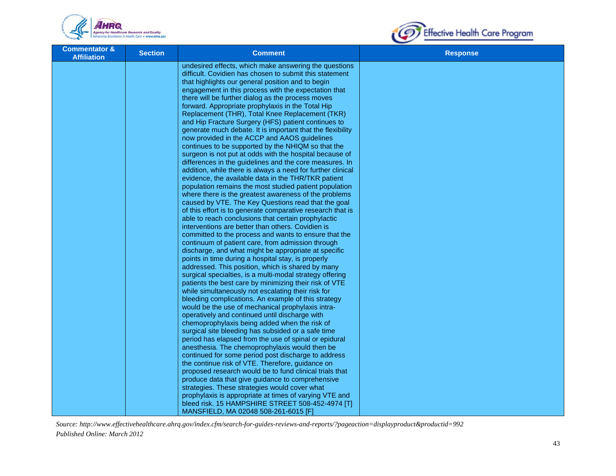



| <b>Commentator &amp;</b><br><b>Affiliation</b> | <b>Section</b> | <b>Comment</b>                                                                           | <b>Response</b> |
|------------------------------------------------|----------------|------------------------------------------------------------------------------------------|-----------------|
|                                                |                | undesired effects, which make answering the questions                                    |                 |
|                                                |                | difficult. Covidien has chosen to submit this statement                                  |                 |
|                                                |                | that highlights our general position and to begin                                        |                 |
|                                                |                | engagement in this process with the expectation that                                     |                 |
|                                                |                | there will be further dialog as the process moves                                        |                 |
|                                                |                | forward. Appropriate prophylaxis in the Total Hip                                        |                 |
|                                                |                | Replacement (THR), Total Knee Replacement (TKR)                                          |                 |
|                                                |                | and Hip Fracture Surgery (HFS) patient continues to                                      |                 |
|                                                |                | generate much debate. It is important that the flexibility                               |                 |
|                                                |                | now provided in the ACCP and AAOS guidelines                                             |                 |
|                                                |                | continues to be supported by the NHIQM so that the                                       |                 |
|                                                |                | surgeon is not put at odds with the hospital because of                                  |                 |
|                                                |                | differences in the guidelines and the core measures. In                                  |                 |
|                                                |                | addition, while there is always a need for further clinical                              |                 |
|                                                |                | evidence, the available data in the THR/TKR patient                                      |                 |
|                                                |                | population remains the most studied patient population                                   |                 |
|                                                |                | where there is the greatest awareness of the problems                                    |                 |
|                                                |                | caused by VTE. The Key Questions read that the goal                                      |                 |
|                                                |                | of this effort is to generate comparative research that is                               |                 |
|                                                |                | able to reach conclusions that certain prophylactic                                      |                 |
|                                                |                | interventions are better than others. Covidien is                                        |                 |
|                                                |                | committed to the process and wants to ensure that the                                    |                 |
|                                                |                | continuum of patient care, from admission through                                        |                 |
|                                                |                | discharge, and what might be appropriate at specific                                     |                 |
|                                                |                | points in time during a hospital stay, is properly                                       |                 |
|                                                |                | addressed. This position, which is shared by many                                        |                 |
|                                                |                | surgical specialties, is a multi-modal strategy offering                                 |                 |
|                                                |                | patients the best care by minimizing their risk of VTE                                   |                 |
|                                                |                | while simultaneously not escalating their risk for                                       |                 |
|                                                |                | bleeding complications. An example of this strategy                                      |                 |
|                                                |                | would be the use of mechanical prophylaxis intra-                                        |                 |
|                                                |                | operatively and continued until discharge with                                           |                 |
|                                                |                | chemoprophylaxis being added when the risk of                                            |                 |
|                                                |                | surgical site bleeding has subsided or a safe time                                       |                 |
|                                                |                | period has elapsed from the use of spinal or epidural                                    |                 |
|                                                |                | anesthesia. The chemoprophylaxis would then be                                           |                 |
|                                                |                | continued for some period post discharge to address                                      |                 |
|                                                |                | the continue risk of VTE. Therefore, guidance on                                         |                 |
|                                                |                | proposed research would be to fund clinical trials that                                  |                 |
|                                                |                | produce data that give guidance to comprehensive                                         |                 |
|                                                |                | strategies. These strategies would cover what                                            |                 |
|                                                |                | prophylaxis is appropriate at times of varying VTE and                                   |                 |
|                                                |                | bleed risk. 15 HAMPSHIRE STREET 508-452-4974 [T]<br>MANSFIELD, MA 02048 508-261-6015 [F] |                 |
|                                                |                |                                                                                          |                 |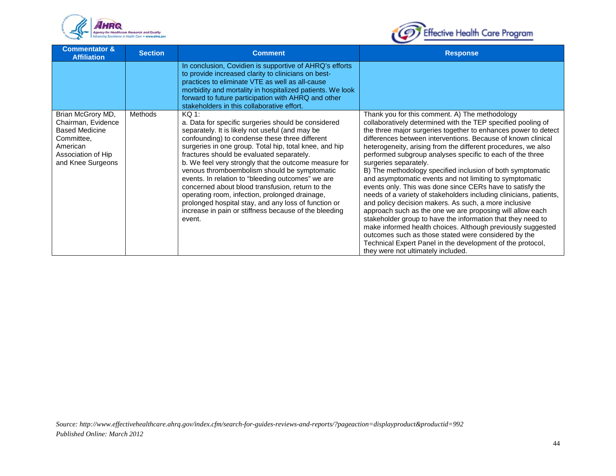



| <b>Commentator &amp;</b><br><b>Affiliation</b>                                                                                        | <b>Section</b> | <b>Comment</b>                                                                                                                                                                                                                                                                                                                                                                                                                                                                                                                                                                                                                                                            | <b>Response</b>                                                                                                                                                                                                                                                                                                                                                                                                                                                                                                                                                                                                                                                                                                                                                                                                                                                                                                                                                                                                                                                                     |
|---------------------------------------------------------------------------------------------------------------------------------------|----------------|---------------------------------------------------------------------------------------------------------------------------------------------------------------------------------------------------------------------------------------------------------------------------------------------------------------------------------------------------------------------------------------------------------------------------------------------------------------------------------------------------------------------------------------------------------------------------------------------------------------------------------------------------------------------------|-------------------------------------------------------------------------------------------------------------------------------------------------------------------------------------------------------------------------------------------------------------------------------------------------------------------------------------------------------------------------------------------------------------------------------------------------------------------------------------------------------------------------------------------------------------------------------------------------------------------------------------------------------------------------------------------------------------------------------------------------------------------------------------------------------------------------------------------------------------------------------------------------------------------------------------------------------------------------------------------------------------------------------------------------------------------------------------|
|                                                                                                                                       |                | In conclusion, Covidien is supportive of AHRQ's efforts<br>to provide increased clarity to clinicians on best-<br>practices to eliminate VTE as well as all-cause<br>morbidity and mortality in hospitalized patients. We look<br>forward to future participation with AHRQ and other<br>stakeholders in this collaborative effort.                                                                                                                                                                                                                                                                                                                                       |                                                                                                                                                                                                                                                                                                                                                                                                                                                                                                                                                                                                                                                                                                                                                                                                                                                                                                                                                                                                                                                                                     |
| Brian McGrory MD,<br>Chairman, Evidence<br><b>Based Medicine</b><br>Committee,<br>American<br>Association of Hip<br>and Knee Surgeons | Methods        | $KQ$ 1:<br>a. Data for specific surgeries should be considered<br>separately. It is likely not useful (and may be<br>confounding) to condense these three different<br>surgeries in one group. Total hip, total knee, and hip<br>fractures should be evaluated separately.<br>b. We feel very strongly that the outcome measure for<br>venous thromboembolism should be symptomatic<br>events. In relation to "bleeding outcomes" we are<br>concerned about blood transfusion, return to the<br>operating room, infection, prolonged drainage,<br>prolonged hospital stay, and any loss of function or<br>increase in pain or stiffness because of the bleeding<br>event. | Thank you for this comment. A) The methodology<br>collaboratively determined with the TEP specified pooling of<br>the three major surgeries together to enhances power to detect<br>differences between interventions. Because of known clinical<br>heterogeneity, arising from the different procedures, we also<br>performed subgroup analyses specific to each of the three<br>surgeries separately.<br>B) The methodology specified inclusion of both symptomatic<br>and asymptomatic events and not limiting to symptomatic<br>events only. This was done since CERs have to satisfy the<br>needs of a variety of stakeholders including clinicians, patients,<br>and policy decision makers. As such, a more inclusive<br>approach such as the one we are proposing will allow each<br>stakeholder group to have the information that they need to<br>make informed health choices. Although previously suggested<br>outcomes such as those stated were considered by the<br>Technical Expert Panel in the development of the protocol,<br>they were not ultimately included. |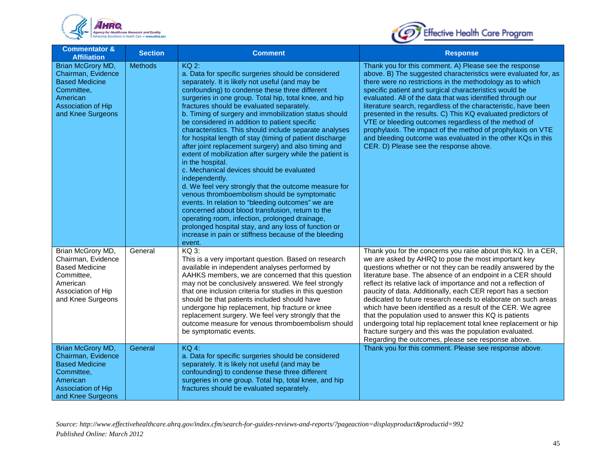



| <b>Commentator &amp;</b><br><b>Affiliation</b>                                                                                        | <b>Section</b> | <b>Comment</b>                                                                                                                                                                                                                                                                                                                                                                                                                                                                                                                                                                                                                                                                                                                                                                                                                                                                                                                                                                                                                                                                                                         | <b>Response</b>                                                                                                                                                                                                                                                                                                                                                                                                                                                                                                                                                                                                                                                                                                                                                     |
|---------------------------------------------------------------------------------------------------------------------------------------|----------------|------------------------------------------------------------------------------------------------------------------------------------------------------------------------------------------------------------------------------------------------------------------------------------------------------------------------------------------------------------------------------------------------------------------------------------------------------------------------------------------------------------------------------------------------------------------------------------------------------------------------------------------------------------------------------------------------------------------------------------------------------------------------------------------------------------------------------------------------------------------------------------------------------------------------------------------------------------------------------------------------------------------------------------------------------------------------------------------------------------------------|---------------------------------------------------------------------------------------------------------------------------------------------------------------------------------------------------------------------------------------------------------------------------------------------------------------------------------------------------------------------------------------------------------------------------------------------------------------------------------------------------------------------------------------------------------------------------------------------------------------------------------------------------------------------------------------------------------------------------------------------------------------------|
| Brian McGrory MD,<br>Chairman, Evidence<br><b>Based Medicine</b><br>Committee,<br>American<br>Association of Hip<br>and Knee Surgeons | <b>Methods</b> | <b>KQ 2:</b><br>a. Data for specific surgeries should be considered<br>separately. It is likely not useful (and may be<br>confounding) to condense these three different<br>surgeries in one group. Total hip, total knee, and hip<br>fractures should be evaluated separately.<br>b. Timing of surgery and immobilization status should<br>be considered in addition to patient specific<br>characteristics. This should include separate analyses<br>for hospital length of stay (timing of patient discharge<br>after joint replacement surgery) and also timing and<br>extent of mobilization after surgery while the patient is<br>in the hospital.<br>c. Mechanical devices should be evaluated<br>independently.<br>d. We feel very strongly that the outcome measure for<br>venous thromboembolism should be symptomatic<br>events. In relation to "bleeding outcomes" we are<br>concerned about blood transfusion, return to the<br>operating room, infection, prolonged drainage,<br>prolonged hospital stay, and any loss of function or<br>increase in pain or stiffness because of the bleeding<br>event. | Thank you for this comment. A) Please see the response<br>above. B) The suggested characteristics were evaluated for, as<br>there were no restrictions in the methodology as to which<br>specific patient and surgical characteristics would be<br>evaluated. All of the data that was identified through our<br>literature search, regardless of the characteristic, have been<br>presented in the results. C) This KQ evaluated predictors of<br>VTE or bleeding outcomes regardless of the method of<br>prophylaxis. The impact of the method of prophylaxis on VTE<br>and bleeding outcome was evaluated in the other KQs in this<br>CER. D) Please see the response above.                                                                                     |
| Brian McGrory MD,<br>Chairman, Evidence<br><b>Based Medicine</b><br>Committee,<br>American<br>Association of Hip<br>and Knee Surgeons | General        | KQ 3:<br>This is a very important question. Based on research<br>available in independent analyses performed by<br>AAHKS members, we are concerned that this question<br>may not be conclusively answered. We feel strongly<br>that one inclusion criteria for studies in this question<br>should be that patients included should have<br>undergone hip replacement, hip fracture or knee<br>replacement surgery. We feel very strongly that the<br>outcome measure for venous thromboembolism should<br>be symptomatic events.                                                                                                                                                                                                                                                                                                                                                                                                                                                                                                                                                                                       | Thank you for the concerns you raise about this KQ. In a CER,<br>we are asked by AHRQ to pose the most important key<br>questions whether or not they can be readily answered by the<br>literature base. The absence of an endpoint in a CER should<br>reflect its relative lack of importance and not a reflection of<br>paucity of data. Additionally, each CER report has a section<br>dedicated to future research needs to elaborate on such areas<br>which have been identified as a result of the CER. We agree<br>that the population used to answer this KQ is patients<br>undergoing total hip replacement total knee replacement or hip<br>fracture surgery and this was the population evaluated.<br>Regarding the outcomes, please see response above. |
| Brian McGrory MD,<br>Chairman, Evidence<br><b>Based Medicine</b><br>Committee,<br>American<br>Association of Hip<br>and Knee Surgeons | General        | <b>KQ 4:</b><br>a. Data for specific surgeries should be considered<br>separately. It is likely not useful (and may be<br>confounding) to condense these three different<br>surgeries in one group. Total hip, total knee, and hip<br>fractures should be evaluated separately.                                                                                                                                                                                                                                                                                                                                                                                                                                                                                                                                                                                                                                                                                                                                                                                                                                        | Thank you for this comment. Please see response above.                                                                                                                                                                                                                                                                                                                                                                                                                                                                                                                                                                                                                                                                                                              |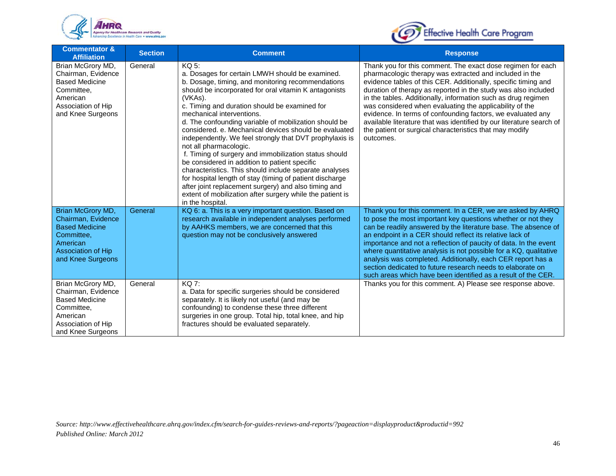



| <b>Commentator &amp;</b><br><b>Affiliation</b>                                                                                        | <b>Section</b> | <b>Comment</b>                                                                                                                                                                                                                                                                                                                                                                                                                                                                                                                                                                                                                                                                                                                                                                                                                                  | <b>Response</b>                                                                                                                                                                                                                                                                                                                                                                                                                                                                                                                                                                                       |
|---------------------------------------------------------------------------------------------------------------------------------------|----------------|-------------------------------------------------------------------------------------------------------------------------------------------------------------------------------------------------------------------------------------------------------------------------------------------------------------------------------------------------------------------------------------------------------------------------------------------------------------------------------------------------------------------------------------------------------------------------------------------------------------------------------------------------------------------------------------------------------------------------------------------------------------------------------------------------------------------------------------------------|-------------------------------------------------------------------------------------------------------------------------------------------------------------------------------------------------------------------------------------------------------------------------------------------------------------------------------------------------------------------------------------------------------------------------------------------------------------------------------------------------------------------------------------------------------------------------------------------------------|
| Brian McGrory MD,<br>Chairman, Evidence<br><b>Based Medicine</b><br>Committee,<br>American<br>Association of Hip<br>and Knee Surgeons | General        | KQ 5:<br>a. Dosages for certain LMWH should be examined.<br>b. Dosage, timing, and monitoring recommendations<br>should be incorporated for oral vitamin K antagonists<br>(VKAs).<br>c. Timing and duration should be examined for<br>mechanical interventions.<br>d. The confounding variable of mobilization should be<br>considered, e. Mechanical devices should be evaluated<br>independently. We feel strongly that DVT prophylaxis is<br>not all pharmacologic.<br>f. Timing of surgery and immobilization status should<br>be considered in addition to patient specific<br>characteristics. This should include separate analyses<br>for hospital length of stay (timing of patient discharge<br>after joint replacement surgery) and also timing and<br>extent of mobilization after surgery while the patient is<br>in the hospital. | Thank you for this comment. The exact dose regimen for each<br>pharmacologic therapy was extracted and included in the<br>evidence tables of this CER. Additionally, specific timing and<br>duration of therapy as reported in the study was also included<br>in the tables. Additionally, information such as drug regimen<br>was considered when evaluating the applicability of the<br>evidence. In terms of confounding factors, we evaluated any<br>available literature that was identified by our literature search of<br>the patient or surgical characteristics that may modify<br>outcomes. |
| Brian McGrory MD,<br>Chairman, Evidence<br><b>Based Medicine</b><br>Committee.<br>American<br>Association of Hip<br>and Knee Surgeons | General        | KQ 6: a. This is a very important question. Based on<br>research available in independent analyses performed<br>by AAHKS members, we are concerned that this<br>question may not be conclusively answered                                                                                                                                                                                                                                                                                                                                                                                                                                                                                                                                                                                                                                       | Thank you for this comment. In a CER, we are asked by AHRQ<br>to pose the most important key questions whether or not they<br>can be readily answered by the literature base. The absence of<br>an endpoint in a CER should reflect its relative lack of<br>importance and not a reflection of paucity of data. In the event<br>where quantitative analysis is not possible for a KQ, qualitative<br>analysis was completed. Additionally, each CER report has a<br>section dedicated to future research needs to elaborate on<br>such areas which have been identified as a result of the CER.       |
| Brian McGrory MD,<br>Chairman, Evidence<br><b>Based Medicine</b><br>Committee,<br>American<br>Association of Hip<br>and Knee Surgeons | General        | KQ 7:<br>a. Data for specific surgeries should be considered<br>separately. It is likely not useful (and may be<br>confounding) to condense these three different<br>surgeries in one group. Total hip, total knee, and hip<br>fractures should be evaluated separately.                                                                                                                                                                                                                                                                                                                                                                                                                                                                                                                                                                        | Thanks you for this comment. A) Please see response above.                                                                                                                                                                                                                                                                                                                                                                                                                                                                                                                                            |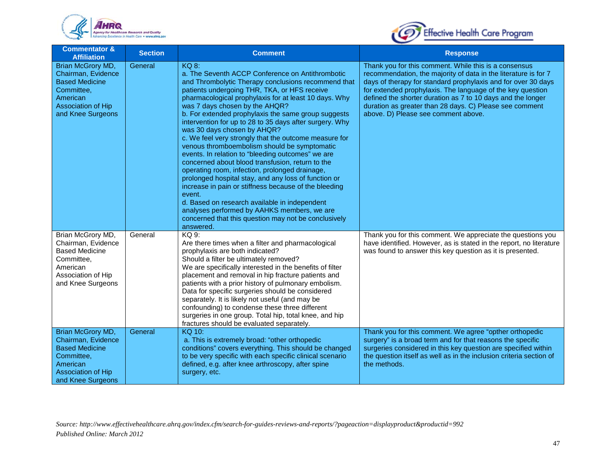



| <b>Commentator &amp;</b><br><b>Affiliation</b>                                                                                               | <b>Section</b> | <b>Comment</b>                                                                                                                                                                                                                                                                                                                                                                                                                                                                                                                                                                                                                                                                                                                                                                                                                                                                                                                                                                          | <b>Response</b>                                                                                                                                                                                                                                                                                                                                                                                                          |
|----------------------------------------------------------------------------------------------------------------------------------------------|----------------|-----------------------------------------------------------------------------------------------------------------------------------------------------------------------------------------------------------------------------------------------------------------------------------------------------------------------------------------------------------------------------------------------------------------------------------------------------------------------------------------------------------------------------------------------------------------------------------------------------------------------------------------------------------------------------------------------------------------------------------------------------------------------------------------------------------------------------------------------------------------------------------------------------------------------------------------------------------------------------------------|--------------------------------------------------------------------------------------------------------------------------------------------------------------------------------------------------------------------------------------------------------------------------------------------------------------------------------------------------------------------------------------------------------------------------|
| Brian McGrory MD,<br>Chairman, Evidence<br><b>Based Medicine</b><br>Committee,<br>American<br><b>Association of Hip</b><br>and Knee Surgeons | General        | <b>KQ 8:</b><br>a. The Seventh ACCP Conference on Antithrombotic<br>and Thrombolytic Therapy conclusions recommend that<br>patients undergoing THR, TKA, or HFS receive<br>pharmacological prophylaxis for at least 10 days. Why<br>was 7 days chosen by the AHQR?<br>b. For extended prophylaxis the same group suggests<br>intervention for up to 28 to 35 days after surgery. Why<br>was 30 days chosen by AHQR?<br>c. We feel very strongly that the outcome measure for<br>venous thromboembolism should be symptomatic<br>events. In relation to "bleeding outcomes" we are<br>concerned about blood transfusion, return to the<br>operating room, infection, prolonged drainage,<br>prolonged hospital stay, and any loss of function or<br>increase in pain or stiffness because of the bleeding<br>event.<br>d. Based on research available in independent<br>analyses performed by AAHKS members, we are<br>concerned that this question may not be conclusively<br>answered. | Thank you for this comment. While this is a consensus<br>recommendation, the majority of data in the literature is for 7<br>days of therapy for standard prophylaxis and for over 30 days<br>for extended prophylaxis. The language of the key question<br>defined the shorter duration as 7 to 10 days and the longer<br>duration as greater than 28 days. C) Please see comment<br>above. D) Please see comment above. |
| Brian McGrory MD,<br>Chairman, Evidence<br><b>Based Medicine</b><br>Committee,<br>American<br>Association of Hip<br>and Knee Surgeons        | General        | KQ 9:<br>Are there times when a filter and pharmacological<br>prophylaxis are both indicated?<br>Should a filter be ultimately removed?<br>We are specifically interested in the benefits of filter<br>placement and removal in hip fracture patients and<br>patients with a prior history of pulmonary embolism.<br>Data for specific surgeries should be considered<br>separately. It is likely not useful (and may be<br>confounding) to condense these three different<br>surgeries in one group. Total hip, total knee, and hip<br>fractures should be evaluated separately.                                                                                                                                                                                                                                                                                                                                                                                                       | Thank you for this comment. We appreciate the questions you<br>have identified. However, as is stated in the report, no literature<br>was found to answer this key question as it is presented.                                                                                                                                                                                                                          |
| Brian McGrory MD,<br>Chairman, Evidence<br><b>Based Medicine</b><br>Committee,<br>American<br><b>Association of Hip</b><br>and Knee Surgeons | General        | KQ 10:<br>a. This is extremely broad: "other orthopedic<br>conditions" covers everything. This should be changed<br>to be very specific with each specific clinical scenario<br>defined, e.g. after knee arthroscopy, after spine<br>surgery, etc.                                                                                                                                                                                                                                                                                                                                                                                                                                                                                                                                                                                                                                                                                                                                      | Thank you for this comment. We agree "opther orthopedic<br>surgery" is a broad term and for that reasons the specific<br>surgeries considered in this key question are specified within<br>the question itself as well as in the inclusion criteria section of<br>the methods.                                                                                                                                           |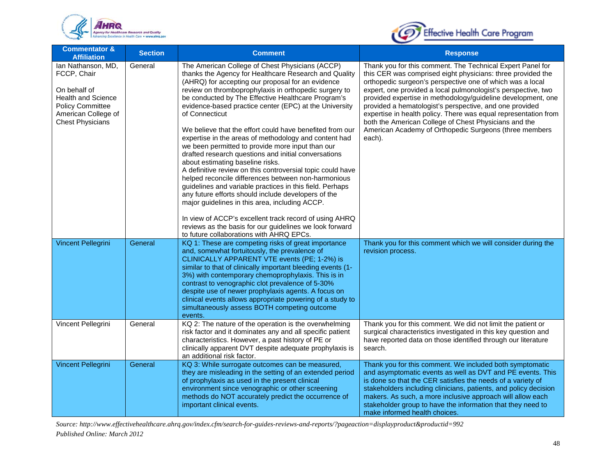



| <b>Commentator &amp;</b><br><b>Affiliation</b>                                                                                                              | <b>Section</b> | <b>Comment</b>                                                                                                                                                                                                                                                                                                                                                                                                                                                                                                                                                                                                                                                                                                                                                                                                                                                                                                                                                                                                                                                                           | <b>Response</b>                                                                                                                                                                                                                                                                                                                                                                                                                                                                                                                                                                    |
|-------------------------------------------------------------------------------------------------------------------------------------------------------------|----------------|------------------------------------------------------------------------------------------------------------------------------------------------------------------------------------------------------------------------------------------------------------------------------------------------------------------------------------------------------------------------------------------------------------------------------------------------------------------------------------------------------------------------------------------------------------------------------------------------------------------------------------------------------------------------------------------------------------------------------------------------------------------------------------------------------------------------------------------------------------------------------------------------------------------------------------------------------------------------------------------------------------------------------------------------------------------------------------------|------------------------------------------------------------------------------------------------------------------------------------------------------------------------------------------------------------------------------------------------------------------------------------------------------------------------------------------------------------------------------------------------------------------------------------------------------------------------------------------------------------------------------------------------------------------------------------|
| Ian Nathanson, MD,<br>FCCP, Chair<br>On behalf of<br><b>Health and Science</b><br><b>Policy Committee</b><br>American College of<br><b>Chest Physicians</b> | General        | The American College of Chest Physicians (ACCP)<br>thanks the Agency for Healthcare Research and Quality<br>(AHRQ) for accepting our proposal for an evidence<br>review on thromboprophylaxis in orthopedic surgery to<br>be conducted by The Effective Healthcare Program's<br>evidence-based practice center (EPC) at the University<br>of Connecticut<br>We believe that the effort could have benefited from our<br>expertise in the areas of methodology and content had<br>we been permitted to provide more input than our<br>drafted research questions and initial conversations<br>about estimating baseline risks.<br>A definitive review on this controversial topic could have<br>helped reconcile differences between non-harmonious<br>guidelines and variable practices in this field. Perhaps<br>any future efforts should include developers of the<br>major guidelines in this area, including ACCP.<br>In view of ACCP's excellent track record of using AHRQ<br>reviews as the basis for our guidelines we look forward<br>to future collaborations with AHRQ EPCs. | Thank you for this comment. The Technical Expert Panel for<br>this CER was comprised eight physicians: three provided the<br>orthopedic surgeon's perspective one of which was a local<br>expert, one provided a local pulmonologist's perspective, two<br>provided expertise in methodology/guideline development, one<br>provided a hematologist's perspective, and one provided<br>expertise in health policy. There was equal representation from<br>both the American College of Chest Physicians and the<br>American Academy of Orthopedic Surgeons (three members<br>each). |
| <b>Vincent Pellegrini</b>                                                                                                                                   | General        | KQ 1: These are competing risks of great importance<br>and, somewhat fortuitously, the prevalence of<br>CLINICALLY APPARENT VTE events (PE; 1-2%) is<br>similar to that of clinically important bleeding events (1-<br>3%) with contemporary chemoprophylaxis. This is in<br>contrast to venographic clot prevalence of 5-30%<br>despite use of newer prophylaxis agents. A focus on<br>clinical events allows appropriate powering of a study to<br>simultaneously assess BOTH competing outcome<br>events.                                                                                                                                                                                                                                                                                                                                                                                                                                                                                                                                                                             | Thank you for this comment which we will consider during the<br>revision process.                                                                                                                                                                                                                                                                                                                                                                                                                                                                                                  |
| Vincent Pellegrini                                                                                                                                          | General        | KQ 2: The nature of the operation is the overwhelming<br>risk factor and it dominates any and all specific patient<br>characteristics. However, a past history of PE or<br>clinically apparent DVT despite adequate prophylaxis is<br>an additional risk factor.                                                                                                                                                                                                                                                                                                                                                                                                                                                                                                                                                                                                                                                                                                                                                                                                                         | Thank you for this comment. We did not limit the patient or<br>surgical characteristics investigated in this key question and<br>have reported data on those identified through our literature<br>search.                                                                                                                                                                                                                                                                                                                                                                          |
| Vincent Pellegrini                                                                                                                                          | General        | KQ 3: While surrogate outcomes can be measured,<br>they are misleading in the setting of an extended period<br>of prophylaxis as used in the present clinical<br>environment since venographic or other screening<br>methods do NOT accurately predict the occurrence of<br>important clinical events.                                                                                                                                                                                                                                                                                                                                                                                                                                                                                                                                                                                                                                                                                                                                                                                   | Thank you for this comment. We included both symptomatic<br>and asymptomatic events as well as DVT and PE events. This<br>is done so that the CER satisfies the needs of a variety of<br>stakeholders including clinicians, patients, and policy decision<br>makers. As such, a more inclusive approach will allow each<br>stakeholder group to have the information that they need to<br>make informed health choices.                                                                                                                                                            |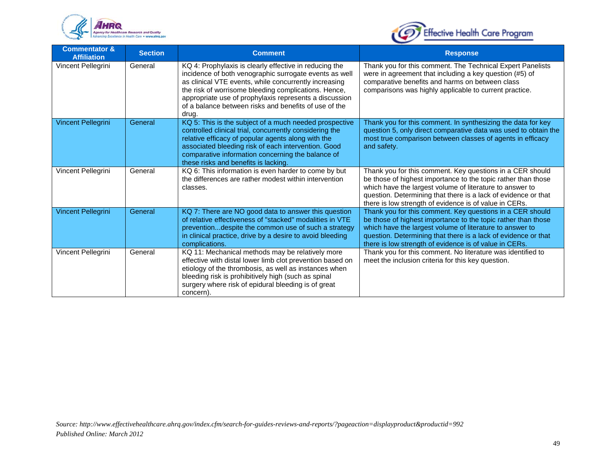



| <b>Commentator &amp;</b><br><b>Affiliation</b> | <b>Section</b> | <b>Comment</b>                                                                                                                                                                                                                                                                                                                                                | <b>Response</b>                                                                                                                                                                                                                                                                                                    |
|------------------------------------------------|----------------|---------------------------------------------------------------------------------------------------------------------------------------------------------------------------------------------------------------------------------------------------------------------------------------------------------------------------------------------------------------|--------------------------------------------------------------------------------------------------------------------------------------------------------------------------------------------------------------------------------------------------------------------------------------------------------------------|
| Vincent Pellegrini                             | General        | KQ 4: Prophylaxis is clearly effective in reducing the<br>incidence of both venographic surrogate events as well<br>as clinical VTE events, while concurrently increasing<br>the risk of worrisome bleeding complications. Hence,<br>appropriate use of prophylaxis represents a discussion<br>of a balance between risks and benefits of use of the<br>drug. | Thank you for this comment. The Technical Expert Panelists<br>were in agreement that including a key question (#5) of<br>comparative benefits and harms on between class<br>comparisons was highly applicable to current practice.                                                                                 |
| <b>Vincent Pellegrini</b>                      | General        | KQ 5: This is the subject of a much needed prospective<br>controlled clinical trial, concurrently considering the<br>relative efficacy of popular agents along with the<br>associated bleeding risk of each intervention. Good<br>comparative information concerning the balance of<br>these risks and benefits is lacking.                                   | Thank you for this comment. In synthesizing the data for key<br>question 5, only direct comparative data was used to obtain the<br>most true comparison between classes of agents in efficacy<br>and safety.                                                                                                       |
| Vincent Pellegrini                             | General        | KQ 6: This information is even harder to come by but<br>the differences are rather modest within intervention<br>classes.                                                                                                                                                                                                                                     | Thank you for this comment. Key questions in a CER should<br>be those of highest importance to the topic rather than those<br>which have the largest volume of literature to answer to<br>question. Determining that there is a lack of evidence or that<br>there is low strength of evidence is of value in CERs. |
| Vincent Pellegrini                             | General        | KQ 7: There are NO good data to answer this question<br>of relative effectiveness of "stacked" modalities in VTE<br>prevention despite the common use of such a strategy<br>in clinical practice, drive by a desire to avoid bleeding<br>complications.                                                                                                       | Thank you for this comment. Key questions in a CER should<br>be those of highest importance to the topic rather than those<br>which have the largest volume of literature to answer to<br>question. Determining that there is a lack of evidence or that<br>there is low strength of evidence is of value in CERs. |
| Vincent Pellegrini                             | General        | KQ 11: Mechanical methods may be relatively more<br>effective with distal lower limb clot prevention based on<br>etiology of the thrombosis, as well as instances when<br>bleeding risk is prohibitively high (such as spinal<br>surgery where risk of epidural bleeding is of great<br>concern).                                                             | Thank you for this comment. No literature was identified to<br>meet the inclusion criteria for this key question.                                                                                                                                                                                                  |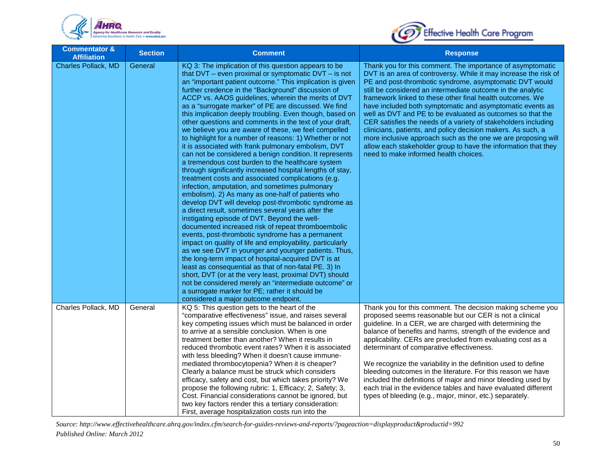



| <b>Commentator &amp;</b><br><b>Affiliation</b> | <b>Section</b> | <b>Comment</b>                                                                                                                                                                                                                                                                                                                                                                                                                                                                                                                                                                                                                                                                                                                                                                                                                                                                                                                                                                                                                                                                                                                                                                                                                                                                                                                                                                                                                                                                                                                                                                                                                                                                                                          | <b>Response</b>                                                                                                                                                                                                                                                                                                                                                                                                                                                                                                                                                                                                                                                                                                                                                |
|------------------------------------------------|----------------|-------------------------------------------------------------------------------------------------------------------------------------------------------------------------------------------------------------------------------------------------------------------------------------------------------------------------------------------------------------------------------------------------------------------------------------------------------------------------------------------------------------------------------------------------------------------------------------------------------------------------------------------------------------------------------------------------------------------------------------------------------------------------------------------------------------------------------------------------------------------------------------------------------------------------------------------------------------------------------------------------------------------------------------------------------------------------------------------------------------------------------------------------------------------------------------------------------------------------------------------------------------------------------------------------------------------------------------------------------------------------------------------------------------------------------------------------------------------------------------------------------------------------------------------------------------------------------------------------------------------------------------------------------------------------------------------------------------------------|----------------------------------------------------------------------------------------------------------------------------------------------------------------------------------------------------------------------------------------------------------------------------------------------------------------------------------------------------------------------------------------------------------------------------------------------------------------------------------------------------------------------------------------------------------------------------------------------------------------------------------------------------------------------------------------------------------------------------------------------------------------|
| Charles Pollack, MD                            | General        | KQ 3: The implication of this question appears to be<br>that $DVT$ – even proximal or symptomatic $DVT$ – is not<br>an "important patient outcome." This implication is given<br>further credence in the "Background" discussion of<br>ACCP vs. AAOS guidelines, wherein the merits of DVT<br>as a "surrogate marker" of PE are discussed. We find<br>this implication deeply troubling. Even though, based on<br>other questions and comments in the text of your draft,<br>we believe you are aware of these, we feel compelled<br>to highlight for a number of reasons: 1) Whether or not<br>it is associated with frank pulmonary embolism, DVT<br>can not be considered a benign condition. It represents<br>a tremendous cost burden to the healthcare system<br>through significantly increased hospital lengths of stay,<br>treatment costs and associated complications (e.g.<br>infection, amputation, and sometimes pulmonary<br>embolism). 2) As many as one-half of patients who<br>develop DVT will develop post-thrombotic syndrome as<br>a direct result, sometimes several years after the<br>instigating episode of DVT. Beyond the well-<br>documented increased risk of repeat thromboembolic<br>events, post-thrombotic syndrome has a permanent<br>impact on quality of life and employability, particularly<br>as we see DVT in younger and younger patients. Thus,<br>the long-term impact of hospital-acquired DVT is at<br>least as consequential as that of non-fatal PE. 3) In<br>short, DVT (or at the very least, proximal DVT) should<br>not be considered merely an "intermediate outcome" or<br>a surrogate marker for PE; rather it should be<br>considered a major outcome endpoint. | Thank you for this comment. The importance of asymptomatic<br>DVT is an area of controversy. While it may increase the risk of<br>PE and post-thrombotic syndrome, asymptomatic DVT would<br>still be considered an intermediate outcome in the analytic<br>framework linked to these other final health outcomes. We<br>have included both symptomatic and asymptomatic events as<br>well as DVT and PE to be evaluated as outcomes so that the<br>CER satisfies the needs of a variety of stakeholders including<br>clinicians, patients, and policy decision makers. As such, a<br>more inclusive approach such as the one we are proposing will<br>allow each stakeholder group to have the information that they<br>need to make informed health choices. |
| Charles Pollack, MD                            | General        | KQ 5: This question gets to the heart of the<br>"comparative effectiveness" issue, and raises several<br>key competing issues which must be balanced in order<br>to arrive at a sensible conclusion. When is one<br>treatment better than another? When it results in<br>reduced thrombotic event rates? When it is associated<br>with less bleeding? When it doesn't cause immune-<br>mediated thrombocytopenia? When it is cheaper?<br>Clearly a balance must be struck which considers<br>efficacy, safety and cost, but which takes priority? We<br>propose the following rubric: 1, Efficacy; 2, Safety; 3,<br>Cost. Financial considerations cannot be ignored, but<br>two key factors render this a tertiary consideration:<br>First, average hospitalization costs run into the                                                                                                                                                                                                                                                                                                                                                                                                                                                                                                                                                                                                                                                                                                                                                                                                                                                                                                                                 | Thank you for this comment. The decision making scheme you<br>proposed seems reasonable but our CER is not a clinical<br>guideline. In a CER, we are charged with determining the<br>balance of benefits and harms, strength of the evidence and<br>applicability. CERs are precluded from evaluating cost as a<br>determinant of comparative effectiveness.<br>We recognize the variability in the definition used to define<br>bleeding outcomes in the literature. For this reason we have<br>included the definitions of major and minor bleeding used by<br>each trial in the evidence tables and have evaluated different<br>types of bleeding (e.g., major, minor, etc.) separately.                                                                    |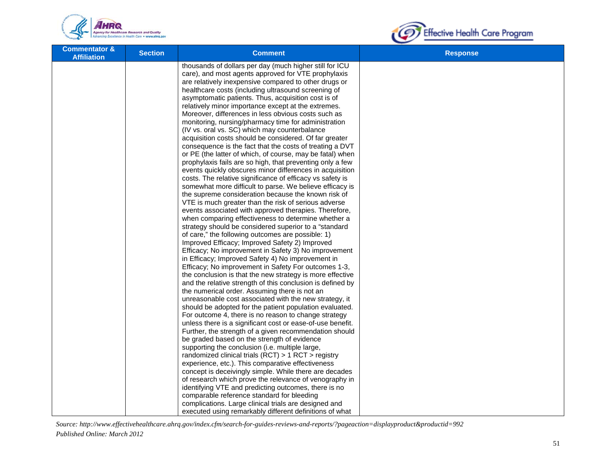



| <b>Commentator &amp;</b><br><b>Affiliation</b> | <b>Section</b> | <b>Comment</b>                                                                                               | <b>Response</b> |
|------------------------------------------------|----------------|--------------------------------------------------------------------------------------------------------------|-----------------|
|                                                |                | thousands of dollars per day (much higher still for ICU                                                      |                 |
|                                                |                | care), and most agents approved for VTE prophylaxis                                                          |                 |
|                                                |                | are relatively inexpensive compared to other drugs or                                                        |                 |
|                                                |                | healthcare costs (including ultrasound screening of<br>asymptomatic patients. Thus, acquisition cost is of   |                 |
|                                                |                | relatively minor importance except at the extremes.                                                          |                 |
|                                                |                | Moreover, differences in less obvious costs such as                                                          |                 |
|                                                |                | monitoring, nursing/pharmacy time for administration                                                         |                 |
|                                                |                | (IV vs. oral vs. SC) which may counterbalance                                                                |                 |
|                                                |                | acquisition costs should be considered. Of far greater                                                       |                 |
|                                                |                | consequence is the fact that the costs of treating a DVT                                                     |                 |
|                                                |                | or PE (the latter of which, of course, may be fatal) when                                                    |                 |
|                                                |                | prophylaxis fails are so high, that preventing only a few                                                    |                 |
|                                                |                | events quickly obscures minor differences in acquisition                                                     |                 |
|                                                |                | costs. The relative significance of efficacy vs safety is                                                    |                 |
|                                                |                | somewhat more difficult to parse. We believe efficacy is                                                     |                 |
|                                                |                | the supreme consideration because the known risk of                                                          |                 |
|                                                |                | VTE is much greater than the risk of serious adverse                                                         |                 |
|                                                |                | events associated with approved therapies. Therefore,                                                        |                 |
|                                                |                | when comparing effectiveness to determine whether a                                                          |                 |
|                                                |                | strategy should be considered superior to a "standard                                                        |                 |
|                                                |                | of care," the following outcomes are possible: 1)<br>Improved Efficacy; Improved Safety 2) Improved          |                 |
|                                                |                | Efficacy; No improvement in Safety 3) No improvement                                                         |                 |
|                                                |                | in Efficacy; Improved Safety 4) No improvement in                                                            |                 |
|                                                |                | Efficacy; No improvement in Safety For outcomes 1-3,                                                         |                 |
|                                                |                | the conclusion is that the new strategy is more effective                                                    |                 |
|                                                |                | and the relative strength of this conclusion is defined by                                                   |                 |
|                                                |                | the numerical order. Assuming there is not an                                                                |                 |
|                                                |                | unreasonable cost associated with the new strategy, it                                                       |                 |
|                                                |                | should be adopted for the patient population evaluated.                                                      |                 |
|                                                |                | For outcome 4, there is no reason to change strategy                                                         |                 |
|                                                |                | unless there is a significant cost or ease-of-use benefit.                                                   |                 |
|                                                |                | Further, the strength of a given recommendation should                                                       |                 |
|                                                |                | be graded based on the strength of evidence                                                                  |                 |
|                                                |                | supporting the conclusion (i.e. multiple large,                                                              |                 |
|                                                |                | randomized clinical trials (RCT) $> 1$ RCT $>$ registry<br>experience, etc.). This comparative effectiveness |                 |
|                                                |                | concept is deceivingly simple. While there are decades                                                       |                 |
|                                                |                | of research which prove the relevance of venography in                                                       |                 |
|                                                |                | identifying VTE and predicting outcomes, there is no                                                         |                 |
|                                                |                | comparable reference standard for bleeding                                                                   |                 |
|                                                |                | complications. Large clinical trials are designed and                                                        |                 |
|                                                |                | executed using remarkably different definitions of what                                                      |                 |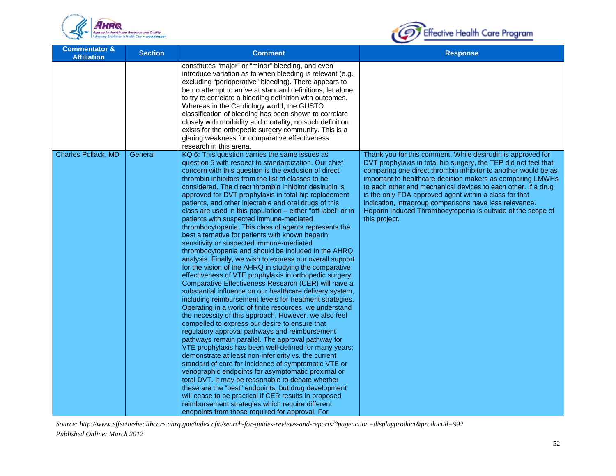



| <b>Commentator &amp;</b><br><b>Affiliation</b> | <b>Section</b> | <b>Comment</b>                                                                                                                                                                                                                                                                                                                                                                                                                                                                                                                                                                                                                                                                                                                                                                                                                                                                                                                                                                                                                                                                                                                                                                                                                                                                                                                                                                                                                                                                                                                                                                                                                                                                                                                                                                                                                                                                            | <b>Response</b>                                                                                                                                                                                                                                                                                                                                                                                                                                                                                                                      |
|------------------------------------------------|----------------|-------------------------------------------------------------------------------------------------------------------------------------------------------------------------------------------------------------------------------------------------------------------------------------------------------------------------------------------------------------------------------------------------------------------------------------------------------------------------------------------------------------------------------------------------------------------------------------------------------------------------------------------------------------------------------------------------------------------------------------------------------------------------------------------------------------------------------------------------------------------------------------------------------------------------------------------------------------------------------------------------------------------------------------------------------------------------------------------------------------------------------------------------------------------------------------------------------------------------------------------------------------------------------------------------------------------------------------------------------------------------------------------------------------------------------------------------------------------------------------------------------------------------------------------------------------------------------------------------------------------------------------------------------------------------------------------------------------------------------------------------------------------------------------------------------------------------------------------------------------------------------------------|--------------------------------------------------------------------------------------------------------------------------------------------------------------------------------------------------------------------------------------------------------------------------------------------------------------------------------------------------------------------------------------------------------------------------------------------------------------------------------------------------------------------------------------|
|                                                |                | constitutes "major" or "minor" bleeding, and even<br>introduce variation as to when bleeding is relevant (e.g.<br>excluding "perioperative" bleeding). There appears to<br>be no attempt to arrive at standard definitions, let alone<br>to try to correlate a bleeding definition with outcomes.<br>Whereas in the Cardiology world, the GUSTO<br>classification of bleeding has been shown to correlate<br>closely with morbidity and mortality, no such definition<br>exists for the orthopedic surgery community. This is a<br>glaring weakness for comparative effectiveness<br>research in this arena.                                                                                                                                                                                                                                                                                                                                                                                                                                                                                                                                                                                                                                                                                                                                                                                                                                                                                                                                                                                                                                                                                                                                                                                                                                                                              |                                                                                                                                                                                                                                                                                                                                                                                                                                                                                                                                      |
| Charles Pollack, MD                            | General        | KQ 6: This question carries the same issues as<br>question 5 with respect to standardization. Our chief<br>concern with this question is the exclusion of direct<br>thrombin inhibitors from the list of classes to be<br>considered. The direct thrombin inhibitor desirudin is<br>approved for DVT prophylaxis in total hip replacement<br>patients, and other injectable and oral drugs of this<br>class are used in this population - either "off-label" or in<br>patients with suspected immune-mediated<br>thrombocytopenia. This class of agents represents the<br>best alternative for patients with known heparin<br>sensitivity or suspected immune-mediated<br>thrombocytopenia and should be included in the AHRQ<br>analysis. Finally, we wish to express our overall support<br>for the vision of the AHRQ in studying the comparative<br>effectiveness of VTE prophylaxis in orthopedic surgery.<br>Comparative Effectiveness Research (CER) will have a<br>substantial influence on our healthcare delivery system,<br>including reimbursement levels for treatment strategies.<br>Operating in a world of finite resources, we understand<br>the necessity of this approach. However, we also feel<br>compelled to express our desire to ensure that<br>regulatory approval pathways and reimbursement<br>pathways remain parallel. The approval pathway for<br>VTE prophylaxis has been well-defined for many years:<br>demonstrate at least non-inferiority vs. the current<br>standard of care for incidence of symptomatic VTE or<br>venographic endpoints for asymptomatic proximal or<br>total DVT. It may be reasonable to debate whether<br>these are the "best" endpoints, but drug development<br>will cease to be practical if CER results in proposed<br>reimbursement strategies which require different<br>endpoints from those required for approval. For | Thank you for this comment. While desirudin is approved for<br>DVT prophylaxis in total hip surgery, the TEP did not feel that<br>comparing one direct thrombin inhibitor to another would be as<br>important to healthcare decision makers as comparing LMWHs<br>to each other and mechanical devices to each other. If a drug<br>is the only FDA approved agent within a class for that<br>indication, intragroup comparisons have less relevance.<br>Heparin Induced Thrombocytopenia is outside of the scope of<br>this project. |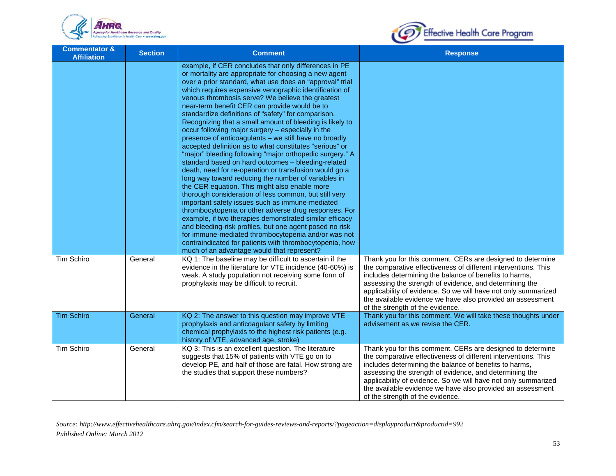



| <b>Commentator &amp;</b><br><b>Affiliation</b> | <b>Section</b> | <b>Comment</b>                                                                                                                                                                                                                                                                                                                                                                                                                                                                                                                                                                                                                                                                                                                                                                                                                                                                                                                                                                                                                                                                                                                                                                                                                                                                                                                                                                       | <b>Response</b>                                                                                                                                                                                                                                                                                                                                                                                                       |
|------------------------------------------------|----------------|--------------------------------------------------------------------------------------------------------------------------------------------------------------------------------------------------------------------------------------------------------------------------------------------------------------------------------------------------------------------------------------------------------------------------------------------------------------------------------------------------------------------------------------------------------------------------------------------------------------------------------------------------------------------------------------------------------------------------------------------------------------------------------------------------------------------------------------------------------------------------------------------------------------------------------------------------------------------------------------------------------------------------------------------------------------------------------------------------------------------------------------------------------------------------------------------------------------------------------------------------------------------------------------------------------------------------------------------------------------------------------------|-----------------------------------------------------------------------------------------------------------------------------------------------------------------------------------------------------------------------------------------------------------------------------------------------------------------------------------------------------------------------------------------------------------------------|
|                                                |                | example, if CER concludes that only differences in PE<br>or mortality are appropriate for choosing a new agent<br>over a prior standard, what use does an "approval" trial<br>which requires expensive venographic identification of<br>venous thrombosis serve? We believe the greatest<br>near-term benefit CER can provide would be to<br>standardize definitions of "safety" for comparison.<br>Recognizing that a small amount of bleeding is likely to<br>occur following major surgery - especially in the<br>presence of anticoagulants - we still have no broadly<br>accepted definition as to what constitutes "serious" or<br>"major" bleeding following "major orthopedic surgery." A<br>standard based on hard outcomes - bleeding-related<br>death, need for re-operation or transfusion would go a<br>long way toward reducing the number of variables in<br>the CER equation. This might also enable more<br>thorough consideration of less common, but still very<br>important safety issues such as immune-mediated<br>thrombocytopenia or other adverse drug responses. For<br>example, if two therapies demonstrated similar efficacy<br>and bleeding-risk profiles, but one agent posed no risk<br>for immune-mediated thrombocytopenia and/or was not<br>contraindicated for patients with thrombocytopenia, how<br>much of an advantage would that represent? |                                                                                                                                                                                                                                                                                                                                                                                                                       |
| Tim Schiro                                     | General        | KQ 1: The baseline may be difficult to ascertain if the<br>evidence in the literature for VTE incidence (40-60%) is<br>weak. A study population not receiving some form of<br>prophylaxis may be difficult to recruit.                                                                                                                                                                                                                                                                                                                                                                                                                                                                                                                                                                                                                                                                                                                                                                                                                                                                                                                                                                                                                                                                                                                                                               | Thank you for this comment. CERs are designed to determine<br>the comparative effectiveness of different interventions. This<br>includes determining the balance of benefits to harms,<br>assessing the strength of evidence, and determining the<br>applicability of evidence. So we will have not only summarized<br>the available evidence we have also provided an assessment<br>of the strength of the evidence. |
| <b>Tim Schiro</b>                              | General        | KQ 2: The answer to this question may improve VTE<br>prophylaxis and anticoagulant safety by limiting<br>chemical prophylaxis to the highest risk patients (e.g.<br>history of VTE, advanced age, stroke)                                                                                                                                                                                                                                                                                                                                                                                                                                                                                                                                                                                                                                                                                                                                                                                                                                                                                                                                                                                                                                                                                                                                                                            | Thank you for this comment. We will take these thoughts under<br>advisement as we revise the CER.                                                                                                                                                                                                                                                                                                                     |
| Tim Schiro                                     | General        | KQ 3: This is an excellent question. The literature<br>suggests that 15% of patients with VTE go on to<br>develop PE, and half of those are fatal. How strong are<br>the studies that support these numbers?                                                                                                                                                                                                                                                                                                                                                                                                                                                                                                                                                                                                                                                                                                                                                                                                                                                                                                                                                                                                                                                                                                                                                                         | Thank you for this comment. CERs are designed to determine<br>the comparative effectiveness of different interventions. This<br>includes determining the balance of benefits to harms,<br>assessing the strength of evidence, and determining the<br>applicability of evidence. So we will have not only summarized<br>the available evidence we have also provided an assessment<br>of the strength of the evidence. |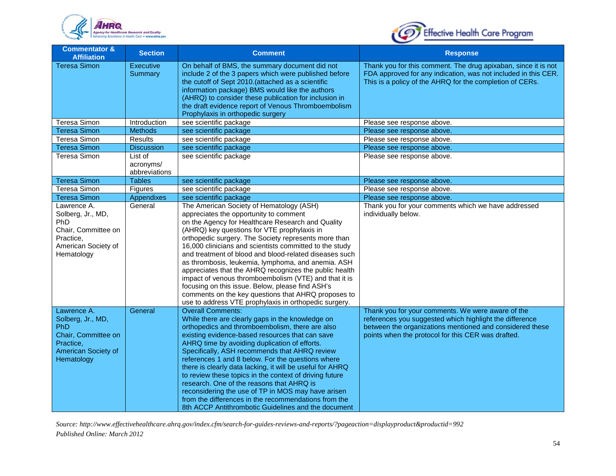



| <b>Commentator &amp;</b><br><b>Affiliation</b>                                                                          | <b>Section</b>                                              | <b>Comment</b>                                                                                                                                                                                                                                                                                                                                                                                                                                                                                                                                                                                                                                                                                                   | <b>Response</b>                                                                                                                                                                                                                |
|-------------------------------------------------------------------------------------------------------------------------|-------------------------------------------------------------|------------------------------------------------------------------------------------------------------------------------------------------------------------------------------------------------------------------------------------------------------------------------------------------------------------------------------------------------------------------------------------------------------------------------------------------------------------------------------------------------------------------------------------------------------------------------------------------------------------------------------------------------------------------------------------------------------------------|--------------------------------------------------------------------------------------------------------------------------------------------------------------------------------------------------------------------------------|
| <b>Teresa Simon</b>                                                                                                     | <b>Executive</b><br>Summary                                 | On behalf of BMS, the summary document did not<br>include 2 of the 3 papers which were published before<br>the cutoff of Sept 2010.(attached as a scientific<br>information package) BMS would like the authors<br>(AHRQ) to consider these publication for inclusion in<br>the draft evidence report of Venous Thromboembolism<br>Prophylaxis in orthopedic surgery                                                                                                                                                                                                                                                                                                                                             | Thank you for this comment. The drug apixaban, since it is not<br>FDA approved for any indication, was not included in this CER.<br>This is a policy of the AHRQ for the completion of CERs.                                   |
| Teresa Simon                                                                                                            | Introduction                                                | see scientific package                                                                                                                                                                                                                                                                                                                                                                                                                                                                                                                                                                                                                                                                                           | Please see response above.                                                                                                                                                                                                     |
| <b>Teresa Simon</b>                                                                                                     | <b>Methods</b>                                              | see scientific package                                                                                                                                                                                                                                                                                                                                                                                                                                                                                                                                                                                                                                                                                           | Please see response above.                                                                                                                                                                                                     |
| Teresa Simon                                                                                                            | Results                                                     | see scientific package                                                                                                                                                                                                                                                                                                                                                                                                                                                                                                                                                                                                                                                                                           | Please see response above.                                                                                                                                                                                                     |
| <b>Teresa Simon</b>                                                                                                     | <b>Discussion</b>                                           | see scientific package                                                                                                                                                                                                                                                                                                                                                                                                                                                                                                                                                                                                                                                                                           | Please see response above.                                                                                                                                                                                                     |
| Teresa Simon                                                                                                            | $\overline{\mathsf{List}}$ of<br>acronyms/<br>abbreviations | see scientific package                                                                                                                                                                                                                                                                                                                                                                                                                                                                                                                                                                                                                                                                                           | Please see response above.                                                                                                                                                                                                     |
| <b>Teresa Simon</b>                                                                                                     | <b>Tables</b>                                               | see scientific package                                                                                                                                                                                                                                                                                                                                                                                                                                                                                                                                                                                                                                                                                           | Please see response above.                                                                                                                                                                                                     |
| <b>Teresa Simon</b>                                                                                                     | Figures                                                     | see scientific package                                                                                                                                                                                                                                                                                                                                                                                                                                                                                                                                                                                                                                                                                           | Please see response above.                                                                                                                                                                                                     |
| <b>Teresa Simon</b>                                                                                                     | <b>Appendixes</b>                                           | see scientific package                                                                                                                                                                                                                                                                                                                                                                                                                                                                                                                                                                                                                                                                                           | Please see response above.                                                                                                                                                                                                     |
| Lawrence A.<br>Solberg, Jr., MD,<br>PhD<br>Chair, Committee on<br>Practice,<br>American Society of<br>Hematology        | General                                                     | The American Society of Hematology (ASH)<br>appreciates the opportunity to comment<br>on the Agency for Healthcare Research and Quality<br>(AHRQ) key questions for VTE prophylaxis in<br>orthopedic surgery. The Society represents more than<br>16,000 clinicians and scientists committed to the study<br>and treatment of blood and blood-related diseases such<br>as thrombosis, leukemia, lymphoma, and anemia. ASH<br>appreciates that the AHRQ recognizes the public health<br>impact of venous thromboembolism (VTE) and that it is<br>focusing on this issue. Below, please find ASH's<br>comments on the key questions that AHRQ proposes to<br>use to address VTE prophylaxis in orthopedic surgery. | Thank you for your comments which we have addressed<br>individually below.                                                                                                                                                     |
| Lawrence A.<br>Solberg, Jr., MD,<br><b>PhD</b><br>Chair, Committee on<br>Practice,<br>American Society of<br>Hematology | General                                                     | <b>Overall Comments:</b><br>While there are clearly gaps in the knowledge on<br>orthopedics and thromboembolism, there are also<br>existing evidence-based resources that can save<br>AHRQ time by avoiding duplication of efforts.<br>Specifically, ASH recommends that AHRQ review<br>references 1 and 8 below. For the questions where<br>there is clearly data lacking, it will be useful for AHRQ<br>to review these topics in the context of driving future<br>research. One of the reasons that AHRQ is<br>reconsidering the use of TP in MOS may have arisen<br>from the differences in the recommendations from the<br>8th ACCP Antithrombotic Guidelines and the document                              | Thank you for your comments. We were aware of the<br>references you suggested which highlight the difference<br>between the organizations mentioned and considered these<br>points when the protocol for this CER was drafted. |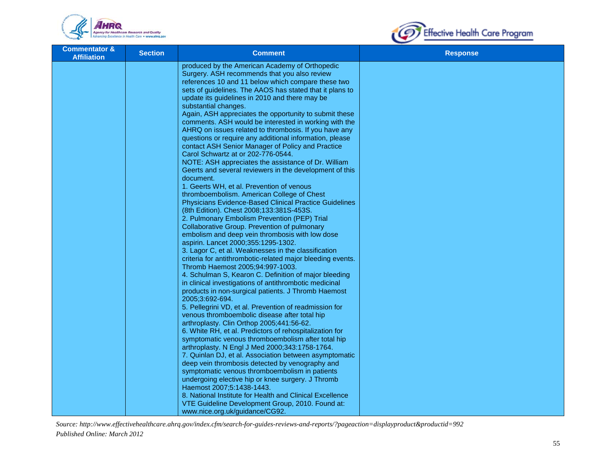



| <b>Commentator &amp;</b><br><b>Affiliation</b> | <b>Section</b> | <b>Comment</b>                                                                                                                                                                                                   | <b>Response</b> |
|------------------------------------------------|----------------|------------------------------------------------------------------------------------------------------------------------------------------------------------------------------------------------------------------|-----------------|
|                                                |                | produced by the American Academy of Orthopedic<br>Surgery. ASH recommends that you also review<br>references 10 and 11 below which compare these two<br>sets of guidelines. The AAOS has stated that it plans to |                 |
|                                                |                | update its guidelines in 2010 and there may be<br>substantial changes.<br>Again, ASH appreciates the opportunity to submit these                                                                                 |                 |
|                                                |                | comments. ASH would be interested in working with the<br>AHRQ on issues related to thrombosis. If you have any<br>questions or require any additional information, please                                        |                 |
|                                                |                | contact ASH Senior Manager of Policy and Practice<br>Carol Schwartz at or 202-776-0544.                                                                                                                          |                 |
|                                                |                | NOTE: ASH appreciates the assistance of Dr. William<br>Geerts and several reviewers in the development of this<br>document.                                                                                      |                 |
|                                                |                | 1. Geerts WH, et al. Prevention of venous<br>thromboembolism. American College of Chest<br><b>Physicians Evidence-Based Clinical Practice Guidelines</b>                                                         |                 |
|                                                |                | (8th Edition). Chest 2008;133:381S-453S.<br>2. Pulmonary Embolism Prevention (PEP) Trial                                                                                                                         |                 |
|                                                |                | Collaborative Group. Prevention of pulmonary<br>embolism and deep vein thrombosis with low dose<br>aspirin. Lancet 2000;355:1295-1302.                                                                           |                 |
|                                                |                | 3. Lagor C, et al. Weaknesses in the classification<br>criteria for antithrombotic-related major bleeding events.<br>Thromb Haemost 2005;94:997-1003.                                                            |                 |
|                                                |                | 4. Schulman S, Kearon C. Definition of major bleeding<br>in clinical investigations of antithrombotic medicinal                                                                                                  |                 |
|                                                |                | products in non-surgical patients. J Thromb Haemost<br>2005;3:692-694.<br>5. Pellegrini VD, et al. Prevention of readmission for                                                                                 |                 |
|                                                |                | venous thromboembolic disease after total hip<br>arthroplasty. Clin Orthop 2005;441:56-62.<br>6. White RH, et al. Predictors of rehospitalization for                                                            |                 |
|                                                |                | symptomatic venous thromboembolism after total hip<br>arthroplasty. N Engl J Med 2000;343:1758-1764.                                                                                                             |                 |
|                                                |                | 7. Quinlan DJ, et al. Association between asymptomatic<br>deep vein thrombosis detected by venography and<br>symptomatic venous thromboembolism in patients                                                      |                 |
|                                                |                | undergoing elective hip or knee surgery. J Thromb<br>Haemost 2007;5:1438-1443.<br>8. National Institute for Health and Clinical Excellence                                                                       |                 |
|                                                |                | VTE Guideline Development Group, 2010. Found at:<br>www.nice.org.uk/guidance/CG92.                                                                                                                               |                 |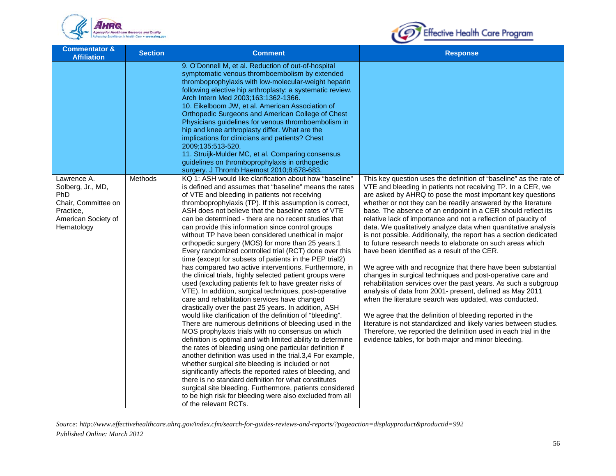



| <b>Commentator &amp;</b><br><b>Affiliation</b>                                                                   | <b>Section</b> | <b>Comment</b>                                                                                                                                                                                                                                                                                                                                                                                                                                                                                                                                                                                                                                                                                                                                                                                                                                                                                                                                                                                                                                                                                                                                                                                                                                                                                                                                                                                                                                                                                                                                                                                                                                             | <b>Response</b>                                                                                                                                                                                                                                                                                                                                                                                                                                                                                                                                                                                                                                                                                                                                                                                                                                                                                                                                                                                                                                                                                                                                                                                                                          |
|------------------------------------------------------------------------------------------------------------------|----------------|------------------------------------------------------------------------------------------------------------------------------------------------------------------------------------------------------------------------------------------------------------------------------------------------------------------------------------------------------------------------------------------------------------------------------------------------------------------------------------------------------------------------------------------------------------------------------------------------------------------------------------------------------------------------------------------------------------------------------------------------------------------------------------------------------------------------------------------------------------------------------------------------------------------------------------------------------------------------------------------------------------------------------------------------------------------------------------------------------------------------------------------------------------------------------------------------------------------------------------------------------------------------------------------------------------------------------------------------------------------------------------------------------------------------------------------------------------------------------------------------------------------------------------------------------------------------------------------------------------------------------------------------------------|------------------------------------------------------------------------------------------------------------------------------------------------------------------------------------------------------------------------------------------------------------------------------------------------------------------------------------------------------------------------------------------------------------------------------------------------------------------------------------------------------------------------------------------------------------------------------------------------------------------------------------------------------------------------------------------------------------------------------------------------------------------------------------------------------------------------------------------------------------------------------------------------------------------------------------------------------------------------------------------------------------------------------------------------------------------------------------------------------------------------------------------------------------------------------------------------------------------------------------------|
|                                                                                                                  |                | 9. O'Donnell M, et al. Reduction of out-of-hospital<br>symptomatic venous thromboembolism by extended<br>thromboprophylaxis with low-molecular-weight heparin<br>following elective hip arthroplasty: a systematic review.<br>Arch Intern Med 2003;163:1362-1366.<br>10. Eikelboom JW, et al. American Association of<br>Orthopedic Surgeons and American College of Chest<br>Physicians guidelines for venous thromboembolism in<br>hip and knee arthroplasty differ. What are the<br>implications for clinicians and patients? Chest<br>2009;135:513-520.<br>11. Struijk-Mulder MC, et al. Comparing consensus                                                                                                                                                                                                                                                                                                                                                                                                                                                                                                                                                                                                                                                                                                                                                                                                                                                                                                                                                                                                                                           |                                                                                                                                                                                                                                                                                                                                                                                                                                                                                                                                                                                                                                                                                                                                                                                                                                                                                                                                                                                                                                                                                                                                                                                                                                          |
|                                                                                                                  |                | guidelines on thromboprophylaxis in orthopedic<br>surgery. J Thromb Haemost 2010;8:678-683.                                                                                                                                                                                                                                                                                                                                                                                                                                                                                                                                                                                                                                                                                                                                                                                                                                                                                                                                                                                                                                                                                                                                                                                                                                                                                                                                                                                                                                                                                                                                                                |                                                                                                                                                                                                                                                                                                                                                                                                                                                                                                                                                                                                                                                                                                                                                                                                                                                                                                                                                                                                                                                                                                                                                                                                                                          |
| Lawrence A.<br>Solberg, Jr., MD,<br>PhD<br>Chair, Committee on<br>Practice,<br>American Society of<br>Hematology | Methods        | KQ 1: ASH would like clarification about how "baseline"<br>is defined and assumes that "baseline" means the rates<br>of VTE and bleeding in patients not receiving<br>thromboprophylaxis (TP). If this assumption is correct,<br>ASH does not believe that the baseline rates of VTE<br>can be determined - there are no recent studies that<br>can provide this information since control groups<br>without TP have been considered unethical in major<br>orthopedic surgery (MOS) for more than 25 years.1<br>Every randomized controlled trial (RCT) done over this<br>time (except for subsets of patients in the PEP trial2)<br>has compared two active interventions. Furthermore, in<br>the clinical trials, highly selected patient groups were<br>used (excluding patients felt to have greater risks of<br>VTE). In addition, surgical techniques, post-operative<br>care and rehabilitation services have changed<br>drastically over the past 25 years. In addition, ASH<br>would like clarification of the definition of "bleeding".<br>There are numerous definitions of bleeding used in the<br>MOS prophylaxis trials with no consensus on which<br>definition is optimal and with limited ability to determine<br>the rates of bleeding using one particular definition if<br>another definition was used in the trial.3,4 For example,<br>whether surgical site bleeding is included or not<br>significantly affects the reported rates of bleeding, and<br>there is no standard definition for what constitutes<br>surgical site bleeding. Furthermore, patients considered<br>to be high risk for bleeding were also excluded from all | This key question uses the definition of "baseline" as the rate of<br>VTE and bleeding in patients not receiving TP. In a CER, we<br>are asked by AHRQ to pose the most important key questions<br>whether or not they can be readily answered by the literature<br>base. The absence of an endpoint in a CER should reflect its<br>relative lack of importance and not a reflection of paucity of<br>data. We qualitatively analyze data when quantitative analysis<br>is not possible. Additionally, the report has a section dedicated<br>to future research needs to elaborate on such areas which<br>have been identified as a result of the CER.<br>We agree with and recognize that there have been substantial<br>changes in surgical techniques and post-operative care and<br>rehabilitation services over the past years. As such a subgroup<br>analysis of data from 2001- present, defined as May 2011<br>when the literature search was updated, was conducted.<br>We agree that the definition of bleeding reported in the<br>literature is not standardized and likely varies between studies.<br>Therefore, we reported the definition used in each trial in the<br>evidence tables, for both major and minor bleeding. |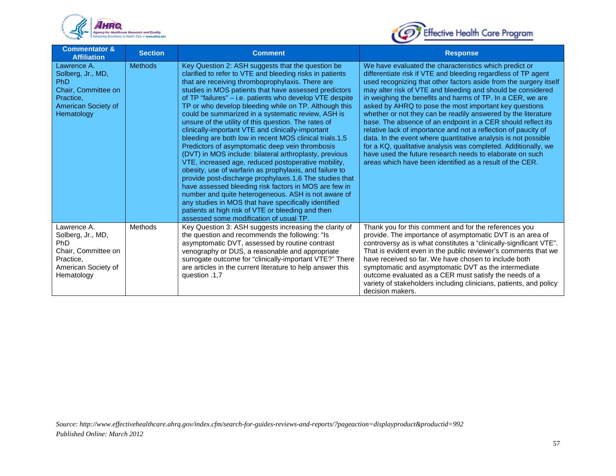



| <b>Commentator &amp;</b><br><b>Affiliation</b>                                                                          | <b>Section</b> | <b>Comment</b>                                                                                                                                                                                                                                                                                                                                                                                                                                                                                                                                                                                                                                                                                                                                                                                                                                                                                                                                                                                                                                                                                                                                  | <b>Response</b>                                                                                                                                                                                                                                                                                                                                                                                                                                                                                                                                                                                                                                                                                                                                                                                                                                    |
|-------------------------------------------------------------------------------------------------------------------------|----------------|-------------------------------------------------------------------------------------------------------------------------------------------------------------------------------------------------------------------------------------------------------------------------------------------------------------------------------------------------------------------------------------------------------------------------------------------------------------------------------------------------------------------------------------------------------------------------------------------------------------------------------------------------------------------------------------------------------------------------------------------------------------------------------------------------------------------------------------------------------------------------------------------------------------------------------------------------------------------------------------------------------------------------------------------------------------------------------------------------------------------------------------------------|----------------------------------------------------------------------------------------------------------------------------------------------------------------------------------------------------------------------------------------------------------------------------------------------------------------------------------------------------------------------------------------------------------------------------------------------------------------------------------------------------------------------------------------------------------------------------------------------------------------------------------------------------------------------------------------------------------------------------------------------------------------------------------------------------------------------------------------------------|
| Lawrence A.<br>Solberg, Jr., MD,<br>PhD<br>Chair, Committee on<br>Practice,<br>American Society of<br>Hematology        | <b>Methods</b> | Key Question 2: ASH suggests that the question be<br>clarified to refer to VTE and bleeding risks in patients<br>that are receiving thromboprophylaxis. There are<br>studies in MOS patients that have assessed predictors<br>of TP "failures" - i.e. patients who develop VTE despite<br>TP or who develop bleeding while on TP. Although this<br>could be summarized in a systematic review, ASH is<br>unsure of the utility of this question. The rates of<br>clinically-important VTE and clinically-important<br>bleeding are both low in recent MOS clinical trials.1,5<br>Predictors of asymptomatic deep vein thrombosis<br>(DVT) in MOS include: bilateral arthroplasty, previous<br>VTE, increased age, reduced postoperative mobility,<br>obesity, use of warfarin as prophylaxis, and failure to<br>provide post-discharge prophylaxis.1,6 The studies that<br>have assessed bleeding risk factors in MOS are few in<br>number and quite heterogeneous. ASH is not aware of<br>any studies in MOS that have specifically identified<br>patients at high risk of VTE or bleeding and then<br>assessed some modification of usual TP. | We have evaluated the characteristics which predict or<br>differentiate risk if VTE and bleeding regardless of TP agent<br>used recognizing that other factors aside from the surgery itself<br>may alter risk of VTE and bleeding and should be considered<br>in weighing the benefits and harms of TP. In a CER, we are<br>asked by AHRQ to pose the most important key questions<br>whether or not they can be readily answered by the literature<br>base. The absence of an endpoint in a CER should reflect its<br>relative lack of importance and not a reflection of paucity of<br>data. In the event where quantitative analysis is not possible<br>for a KQ, qualitative analysis was completed. Additionally, we<br>have used the future research needs to elaborate on such<br>areas which have been identified as a result of the CER. |
| Lawrence A.<br>Solberg, Jr., MD,<br><b>PhD</b><br>Chair, Committee on<br>Practice,<br>American Society of<br>Hematology | Methods        | Key Question 3: ASH suggests increasing the clarity of<br>the question and recommends the following: "Is<br>asymptomatic DVT, assessed by routine contrast<br>venography or DUS, a reasonable and appropriate<br>surrogate outcome for "clinically-important VTE?" There<br>are articles in the current literature to help answer this<br>question .1,7                                                                                                                                                                                                                                                                                                                                                                                                                                                                                                                                                                                                                                                                                                                                                                                         | Thank you for this comment and for the references you<br>provide. The importance of asymptomatic DVT is an area of<br>controversy as is what constitutes a "clinically-significant VTE".<br>That is evident even in the public reviewer's comments that we<br>have received so far. We have chosen to include both<br>symptomatic and asymptomatic DVT as the intermediate<br>outcome evaluated as a CER must satisfy the needs of a<br>variety of stakeholders including clinicians, patients, and policy<br>decision makers.                                                                                                                                                                                                                                                                                                                     |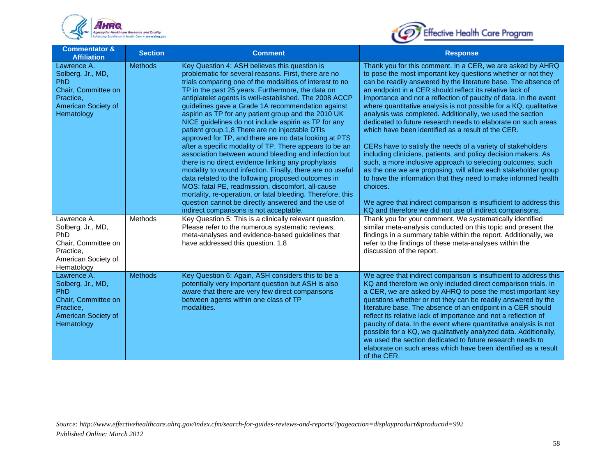



| <b>Commentator &amp;</b><br><b>Affiliation</b>                                                                          | <b>Section</b> | <b>Comment</b>                                                                                                                                                                                                                                                                                                                                                                                                                                                                                                                                                                                                                                                                                                                                                                                                                                                                                                                                                                                                                                                                     | <b>Response</b>                                                                                                                                                                                                                                                                                                                                                                                                                                                                                                                                                                                                                                                                                                                                                                                                                                                                                                                                                                                                                                                        |
|-------------------------------------------------------------------------------------------------------------------------|----------------|------------------------------------------------------------------------------------------------------------------------------------------------------------------------------------------------------------------------------------------------------------------------------------------------------------------------------------------------------------------------------------------------------------------------------------------------------------------------------------------------------------------------------------------------------------------------------------------------------------------------------------------------------------------------------------------------------------------------------------------------------------------------------------------------------------------------------------------------------------------------------------------------------------------------------------------------------------------------------------------------------------------------------------------------------------------------------------|------------------------------------------------------------------------------------------------------------------------------------------------------------------------------------------------------------------------------------------------------------------------------------------------------------------------------------------------------------------------------------------------------------------------------------------------------------------------------------------------------------------------------------------------------------------------------------------------------------------------------------------------------------------------------------------------------------------------------------------------------------------------------------------------------------------------------------------------------------------------------------------------------------------------------------------------------------------------------------------------------------------------------------------------------------------------|
| Lawrence A.<br>Solberg, Jr., MD,<br>PhD<br>Chair, Committee on<br>Practice,<br>American Society of<br>Hematology        | <b>Methods</b> | Key Question 4: ASH believes this question is<br>problematic for several reasons. First, there are no<br>trials comparing one of the modalities of interest to no<br>TP in the past 25 years. Furthermore, the data on<br>antiplatelet agents is well-established. The 2008 ACCP<br>guidelines gave a Grade 1A recommendation against<br>aspirin as TP for any patient group and the 2010 UK<br>NICE guidelines do not include aspirin as TP for any<br>patient group.1,8 There are no injectable DTIs<br>approved for TP, and there are no data looking at PTS<br>after a specific modality of TP. There appears to be an<br>association between wound bleeding and infection but<br>there is no direct evidence linking any prophylaxis<br>modality to wound infection. Finally, there are no useful<br>data related to the following proposed outcomes in<br>MOS: fatal PE, readmission, discomfort, all-cause<br>mortality, re-operation, or fatal bleeding. Therefore, this<br>question cannot be directly answered and the use of<br>indirect comparisons is not acceptable. | Thank you for this comment. In a CER, we are asked by AHRQ<br>to pose the most important key questions whether or not they<br>can be readily answered by the literature base. The absence of<br>an endpoint in a CER should reflect its relative lack of<br>importance and not a reflection of paucity of data. In the event<br>where quantitative analysis is not possible for a KQ, qualitative<br>analysis was completed. Additionally, we used the section<br>dedicated to future research needs to elaborate on such areas<br>which have been identified as a result of the CER.<br>CERs have to satisfy the needs of a variety of stakeholders<br>including clinicians, patients, and policy decision makers. As<br>such, a more inclusive approach to selecting outcomes, such<br>as the one we are proposing, will allow each stakeholder group<br>to have the information that they need to make informed health<br>choices.<br>We agree that indirect comparison is insufficient to address this<br>KQ and therefore we did not use of indirect comparisons. |
| Lawrence A.<br>Solberg, Jr., MD,<br><b>PhD</b><br>Chair, Committee on<br>Practice.<br>American Society of<br>Hematology | Methods        | Key Question 5: This is a clinically relevant question.<br>Please refer to the numerous systematic reviews,<br>meta-analyses and evidence-based guidelines that<br>have addressed this question. 1,8                                                                                                                                                                                                                                                                                                                                                                                                                                                                                                                                                                                                                                                                                                                                                                                                                                                                               | Thank you for your comment. We systematically identified<br>similar meta-analysis conducted on this topic and present the<br>findings in a summary table within the report. Additionally, we<br>refer to the findings of these meta-analyses within the<br>discussion of the report.                                                                                                                                                                                                                                                                                                                                                                                                                                                                                                                                                                                                                                                                                                                                                                                   |
| Lawrence A.<br>Solberg, Jr., MD,<br><b>PhD</b><br>Chair, Committee on<br>Practice,<br>American Society of<br>Hematology | <b>Methods</b> | Key Question 6: Again, ASH considers this to be a<br>potentially very important question but ASH is also<br>aware that there are very few direct comparisons<br>between agents within one class of TP<br>modalities.                                                                                                                                                                                                                                                                                                                                                                                                                                                                                                                                                                                                                                                                                                                                                                                                                                                               | We agree that indirect comparison is insufficient to address this<br>KQ and therefore we only included direct comparison trials. In<br>a CER, we are asked by AHRQ to pose the most important key<br>questions whether or not they can be readily answered by the<br>literature base. The absence of an endpoint in a CER should<br>reflect its relative lack of importance and not a reflection of<br>paucity of data. In the event where quantitative analysis is not<br>possible for a KQ, we qualitatively analyzed data. Additionally,<br>we used the section dedicated to future research needs to<br>elaborate on such areas which have been identified as a result<br>of the CER.                                                                                                                                                                                                                                                                                                                                                                              |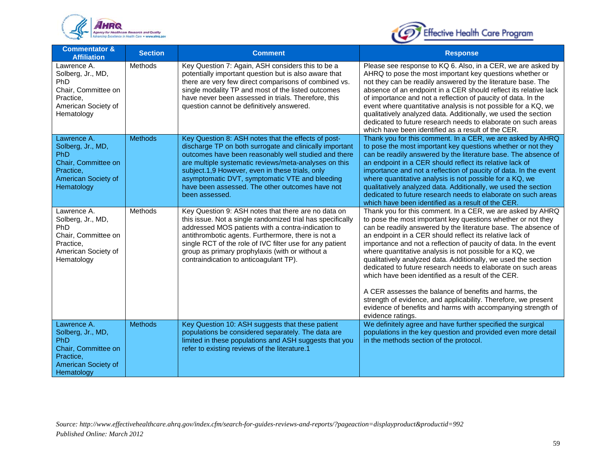



| <b>Commentator &amp;</b><br><b>Affiliation</b>                                                                          | <b>Section</b> | <b>Comment</b>                                                                                                                                                                                                                                                                                                                                                                                            | <b>Response</b>                                                                                                                                                                                                                                                                                                                                                                                                                                                                                                                                                                                                                                                                                                                                                                                   |
|-------------------------------------------------------------------------------------------------------------------------|----------------|-----------------------------------------------------------------------------------------------------------------------------------------------------------------------------------------------------------------------------------------------------------------------------------------------------------------------------------------------------------------------------------------------------------|---------------------------------------------------------------------------------------------------------------------------------------------------------------------------------------------------------------------------------------------------------------------------------------------------------------------------------------------------------------------------------------------------------------------------------------------------------------------------------------------------------------------------------------------------------------------------------------------------------------------------------------------------------------------------------------------------------------------------------------------------------------------------------------------------|
| Lawrence A.<br>Solberg, Jr., MD,<br><b>PhD</b><br>Chair, Committee on<br>Practice,<br>American Society of<br>Hematology | Methods        | Key Question 7: Again, ASH considers this to be a<br>potentially important question but is also aware that<br>there are very few direct comparisons of combined vs.<br>single modality TP and most of the listed outcomes<br>have never been assessed in trials. Therefore, this<br>question cannot be definitively answered.                                                                             | Please see response to KQ 6. Also, in a CER, we are asked by<br>AHRQ to pose the most important key questions whether or<br>not they can be readily answered by the literature base. The<br>absence of an endpoint in a CER should reflect its relative lack<br>of importance and not a reflection of paucity of data. In the<br>event where quantitative analysis is not possible for a KQ, we<br>qualitatively analyzed data. Additionally, we used the section<br>dedicated to future research needs to elaborate on such areas<br>which have been identified as a result of the CER.                                                                                                                                                                                                          |
| Lawrence A.<br>Solberg, Jr., MD,<br>PhD<br>Chair, Committee on<br>Practice,<br>American Society of<br>Hematology        | <b>Methods</b> | Key Question 8: ASH notes that the effects of post-<br>discharge TP on both surrogate and clinically important<br>outcomes have been reasonably well studied and there<br>are multiple systematic reviews/meta-analyses on this<br>subject.1,9 However, even in these trials, only<br>asymptomatic DVT, symptomatic VTE and bleeding<br>have been assessed. The other outcomes have not<br>been assessed. | Thank you for this comment. In a CER, we are asked by AHRQ<br>to pose the most important key questions whether or not they<br>can be readily answered by the literature base. The absence of<br>an endpoint in a CER should reflect its relative lack of<br>importance and not a reflection of paucity of data. In the event<br>where quantitative analysis is not possible for a KQ, we<br>qualitatively analyzed data. Additionally, we used the section<br>dedicated to future research needs to elaborate on such areas<br>which have been identified as a result of the CER.                                                                                                                                                                                                                 |
| Lawrence A.<br>Solberg, Jr., MD,<br><b>PhD</b><br>Chair, Committee on<br>Practice,<br>American Society of<br>Hematology | Methods        | Key Question 9: ASH notes that there are no data on<br>this issue. Not a single randomized trial has specifically<br>addressed MOS patients with a contra-indication to<br>antithrombotic agents. Furthermore, there is not a<br>single RCT of the role of IVC filter use for any patient<br>group as primary prophylaxis (with or without a<br>contraindication to anticoagulant TP).                    | Thank you for this comment. In a CER, we are asked by AHRQ<br>to pose the most important key questions whether or not they<br>can be readily answered by the literature base. The absence of<br>an endpoint in a CER should reflect its relative lack of<br>importance and not a reflection of paucity of data. In the event<br>where quantitative analysis is not possible for a KQ, we<br>qualitatively analyzed data. Additionally, we used the section<br>dedicated to future research needs to elaborate on such areas<br>which have been identified as a result of the CER.<br>A CER assesses the balance of benefits and harms, the<br>strength of evidence, and applicability. Therefore, we present<br>evidence of benefits and harms with accompanying strength of<br>evidence ratings. |
| Lawrence A.<br>Solberg, Jr., MD,<br>PhD<br>Chair, Committee on<br>Practice,<br>American Society of<br>Hematology        | <b>Methods</b> | Key Question 10: ASH suggests that these patient<br>populations be considered separately. The data are<br>limited in these populations and ASH suggests that you<br>refer to existing reviews of the literature.1                                                                                                                                                                                         | We definitely agree and have further specified the surgical<br>populations in the key question and provided even more detail<br>in the methods section of the protocol.                                                                                                                                                                                                                                                                                                                                                                                                                                                                                                                                                                                                                           |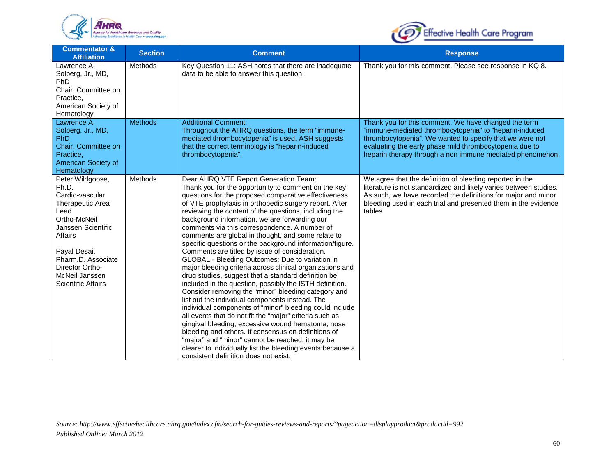



| <b>Commentator &amp;</b><br><b>Affiliation</b>                                                                                                                                                                                    | <b>Section</b> | <b>Comment</b>                                                                                                                                                                                                                                                                                                                                                                                                                                                                                                                                                                                                                                                                                                                                                                                                                                                                                                                                                                                                                                                                                                                                                                                                                                                                         | <b>Response</b>                                                                                                                                                                                                                                                                                    |
|-----------------------------------------------------------------------------------------------------------------------------------------------------------------------------------------------------------------------------------|----------------|----------------------------------------------------------------------------------------------------------------------------------------------------------------------------------------------------------------------------------------------------------------------------------------------------------------------------------------------------------------------------------------------------------------------------------------------------------------------------------------------------------------------------------------------------------------------------------------------------------------------------------------------------------------------------------------------------------------------------------------------------------------------------------------------------------------------------------------------------------------------------------------------------------------------------------------------------------------------------------------------------------------------------------------------------------------------------------------------------------------------------------------------------------------------------------------------------------------------------------------------------------------------------------------|----------------------------------------------------------------------------------------------------------------------------------------------------------------------------------------------------------------------------------------------------------------------------------------------------|
| Lawrence A.<br>Solberg, Jr., MD,<br><b>PhD</b><br>Chair, Committee on<br>Practice,<br>American Society of<br>Hematology                                                                                                           | Methods        | Key Question 11: ASH notes that there are inadequate<br>data to be able to answer this question.                                                                                                                                                                                                                                                                                                                                                                                                                                                                                                                                                                                                                                                                                                                                                                                                                                                                                                                                                                                                                                                                                                                                                                                       | Thank you for this comment. Please see response in KQ 8.                                                                                                                                                                                                                                           |
| Lawrence A.<br>Solberg, Jr., MD,<br><b>PhD</b><br>Chair, Committee on<br>Practice,<br>American Society of<br>Hematology                                                                                                           | <b>Methods</b> | <b>Additional Comment:</b><br>Throughout the AHRQ questions, the term "immune-<br>mediated thrombocytopenia" is used. ASH suggests<br>that the correct terminology is "heparin-induced<br>thrombocytopenia".                                                                                                                                                                                                                                                                                                                                                                                                                                                                                                                                                                                                                                                                                                                                                                                                                                                                                                                                                                                                                                                                           | Thank you for this comment. We have changed the term<br>"immune-mediated thrombocytopenia" to "heparin-induced<br>thrombocytopenia". We wanted to specify that we were not<br>evaluating the early phase mild thrombocytopenia due to<br>heparin therapy through a non immune mediated phenomenon. |
| Peter Wildgoose,<br>Ph.D.<br>Cardio-vascular<br>Therapeutic Area<br>Lead<br>Ortho-McNeil<br>Janssen Scientific<br>Affairs<br>Payal Desai,<br>Pharm.D. Associate<br>Director Ortho-<br>McNeil Janssen<br><b>Scientific Affairs</b> | <b>Methods</b> | Dear AHRQ VTE Report Generation Team:<br>Thank you for the opportunity to comment on the key<br>questions for the proposed comparative effectiveness<br>of VTE prophylaxis in orthopedic surgery report. After<br>reviewing the content of the questions, including the<br>background information, we are forwarding our<br>comments via this correspondence. A number of<br>comments are global in thought, and some relate to<br>specific questions or the background information/figure.<br>Comments are titled by issue of consideration.<br>GLOBAL - Bleeding Outcomes: Due to variation in<br>major bleeding criteria across clinical organizations and<br>drug studies, suggest that a standard definition be<br>included in the question, possibly the ISTH definition.<br>Consider removing the "minor" bleeding category and<br>list out the individual components instead. The<br>individual components of "minor" bleeding could include<br>all events that do not fit the "major" criteria such as<br>gingival bleeding, excessive wound hematoma, nose<br>bleeding and others. If consensus on definitions of<br>"major" and "minor" cannot be reached, it may be<br>clearer to individually list the bleeding events because a<br>consistent definition does not exist. | We agree that the definition of bleeding reported in the<br>literature is not standardized and likely varies between studies.<br>As such, we have recorded the definitions for major and minor<br>bleeding used in each trial and presented them in the evidence<br>tables.                        |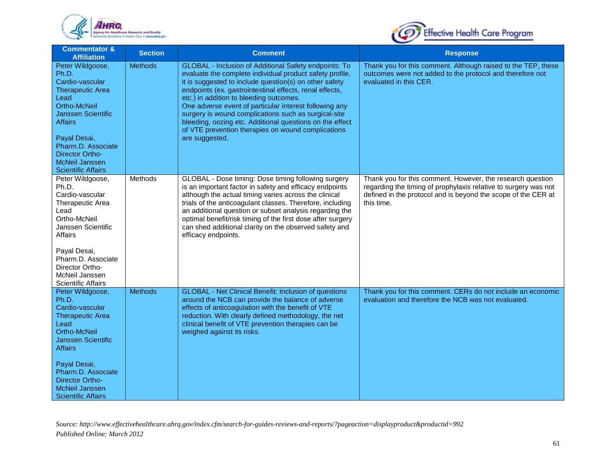



| <b>Commentator &amp;</b><br><b>Affiliation</b>                                                                                                                                                                                                                              | <b>Section</b> | <b>Comment</b>                                                                                                                                                                                                                                                                                                                                                                                                                                                                                                                          | <b>Response</b>                                                                                                                                                                                              |
|-----------------------------------------------------------------------------------------------------------------------------------------------------------------------------------------------------------------------------------------------------------------------------|----------------|-----------------------------------------------------------------------------------------------------------------------------------------------------------------------------------------------------------------------------------------------------------------------------------------------------------------------------------------------------------------------------------------------------------------------------------------------------------------------------------------------------------------------------------------|--------------------------------------------------------------------------------------------------------------------------------------------------------------------------------------------------------------|
| Peter Wildgoose,<br>Ph.D.<br>Cardio-vascular<br><b>Therapeutic Area</b><br>Lead<br><b>Ortho-McNeil</b><br><b>Janssen Scientific</b><br><b>Affairs</b><br>Payal Desai,<br>Pharm.D. Associate<br><b>Director Ortho-</b><br><b>McNeil Janssen</b><br><b>Scientific Affairs</b> | <b>Methods</b> | GLOBAL - Inclusion of Additional Safety endpoints: To<br>evaluate the complete individual product safety profile,<br>it is suggested to include question(s) on other safety<br>endpoints (ex. gastrointestinal effects, renal effects,<br>etc.) in addition to bleeding outcomes.<br>One adverse event of particular interest following any<br>surgery is wound complications such as surgical-site<br>bleeding, oozing etc. Additional questions on the effect<br>of VTE prevention therapies on wound complications<br>are suggested. | Thank you for this comment. Although raised to the TEP, these<br>outcomes were not added to the protocol and therefore not<br>evaluated in this CER.                                                         |
| Peter Wildgoose,<br>Ph.D.<br>Cardio-vascular<br><b>Therapeutic Area</b><br>Lead<br>Ortho-McNeil<br>Janssen Scientific<br>Affairs<br>Payal Desai,<br>Pharm.D. Associate<br>Director Ortho-<br>McNeil Janssen<br><b>Scientific Affairs</b>                                    | Methods        | GLOBAL - Dose timing: Dose timing following surgery<br>is an important factor in safety and efficacy endpoints<br>although the actual timing varies across the clinical<br>trials of the anticoagulant classes. Therefore, including<br>an additional question or subset analysis regarding the<br>optimal benefit/risk timing of the first dose after surgery<br>can shed additional clarity on the observed safety and<br>efficacy endpoints.                                                                                         | Thank you for this comment. However, the research question<br>regarding the timing of prophylaxis relative to surgery was not<br>defined in the protocol and is beyond the scope of the CER at<br>this time. |
| Peter Wildgoose,<br>Ph.D.<br>Cardio-vascular<br><b>Therapeutic Area</b><br>Lead<br>Ortho-McNeil<br><b>Janssen Scientific</b><br>Affairs<br>Payal Desai,<br>Pharm.D. Associate<br><b>Director Ortho-</b><br>McNeil Janssen<br>Scientific Affairs                             | <b>Methods</b> | <b>GLOBAL - Net Clinical Benefit: Inclusion of questions</b><br>around the NCB can provide the balance of adverse<br>effects of anticoagulation with the benefit of VTE<br>reduction. With clearly defined methodology, the net<br>clinical benefit of VTE prevention therapies can be<br>weighed against its risks.                                                                                                                                                                                                                    | Thank you for this comment. CERs do not include an economic<br>evaluation and therefore the NCB was not evaluated.                                                                                           |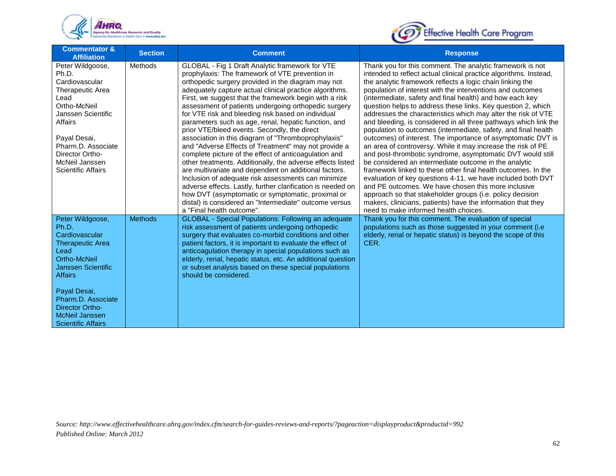



| <b>Commentator &amp;</b><br><b>Affiliation</b>                                                                                                                                                                                                               | <b>Section</b> | <b>Comment</b>                                                                                                                                                                                                                                                                                                                                                                                                                                                                                                                                                                                                                                                                                                                                                                                                                                                                                                                                                                                                                                                       | <b>Response</b>                                                                                                                                                                                                                                                                                                                                                                                                                                                                                                                                                                                                                                                                                                                                                                                                                                                                                                                                                                                                                                                                                                                                                                                                  |
|--------------------------------------------------------------------------------------------------------------------------------------------------------------------------------------------------------------------------------------------------------------|----------------|----------------------------------------------------------------------------------------------------------------------------------------------------------------------------------------------------------------------------------------------------------------------------------------------------------------------------------------------------------------------------------------------------------------------------------------------------------------------------------------------------------------------------------------------------------------------------------------------------------------------------------------------------------------------------------------------------------------------------------------------------------------------------------------------------------------------------------------------------------------------------------------------------------------------------------------------------------------------------------------------------------------------------------------------------------------------|------------------------------------------------------------------------------------------------------------------------------------------------------------------------------------------------------------------------------------------------------------------------------------------------------------------------------------------------------------------------------------------------------------------------------------------------------------------------------------------------------------------------------------------------------------------------------------------------------------------------------------------------------------------------------------------------------------------------------------------------------------------------------------------------------------------------------------------------------------------------------------------------------------------------------------------------------------------------------------------------------------------------------------------------------------------------------------------------------------------------------------------------------------------------------------------------------------------|
| Peter Wildgoose,<br>Ph.D.<br>Cardiovascular<br>Therapeutic Area<br>Lead<br>Ortho-McNeil<br>Janssen Scientific<br>Affairs<br>Payal Desai,<br>Pharm.D. Associate<br>Director Ortho-<br>McNeil Janssen<br><b>Scientific Affairs</b>                             | <b>Methods</b> | GLOBAL - Fig 1 Draft Analytic framework for VTE<br>prophylaxis: The framework of VTE prevention in<br>orthopedic surgery provided in the diagram may not<br>adequately capture actual clinical practice algorithms.<br>First, we suggest that the framework begin with a risk<br>assessment of patients undergoing orthopedic surgery<br>for VTE risk and bleeding risk based on individual<br>parameters such as age, renal, hepatic function, and<br>prior VTE/bleed events. Secondly, the direct<br>association in this diagram of "Thromboprophylaxis"<br>and "Adverse Effects of Treatment" may not provide a<br>complete picture of the effect of anticoagulation and<br>other treatments. Additionally, the adverse effects listed<br>are multivariate and dependent on additional factors.<br>Inclusion of adequate risk assessments can minimize<br>adverse effects. Lastly, further clarification is needed on<br>how DVT (asymptomatic or symptomatic, proximal or<br>distal) is considered an "Intermediate" outcome versus<br>a "Final health outcome". | Thank you for this comment. The analytic framework is not<br>intended to reflect actual clinical practice algorithms. Instead,<br>the analytic framework reflects a logic chain linking the<br>population of interest with the interventions and outcomes<br>(intermediate, safety and final health) and how each key<br>question helps to address these links. Key question 2, which<br>addresses the characteristics which may alter the risk of VTE<br>and bleeding, is considered in all three pathways which link the<br>population to outcomes (intermediate, safety, and final health<br>outcomes) of interest. The importance of asymptomatic DVT is<br>an area of controversy. While it may increase the risk of PE<br>and post-thrombotic syndrome, asymptomatic DVT would still<br>be considered an intermediate outcome in the analytic<br>framework linked to these other final health outcomes. In the<br>evaluation of key questions 4-11, we have included both DVT<br>and PE outcomes. We have chosen this more inclusive<br>approach so that stakeholder groups (i.e. policy decision<br>makers, clinicians, patients) have the information that they<br>need to make informed health choices. |
| Peter Wildgoose,<br>Ph.D.<br>Cardiovascular<br><b>Therapeutic Area</b><br>Lead<br>Ortho-McNeil<br><b>Janssen Scientific</b><br><b>Affairs</b><br>Payal Desai,<br>Pharm.D. Associate<br><b>Director Ortho-</b><br>McNeil Janssen<br><b>Scientific Affairs</b> | <b>Methods</b> | <b>GLOBAL</b> - Special Populations: Following an adequate<br>risk assessment of patients undergoing orthopedic<br>surgery that evaluates co-morbid conditions and other<br>patient factors, it is important to evaluate the effect of<br>anticoagulation therapy in special populations such as<br>elderly, renal, hepatic status, etc. An additional question<br>or subset analysis based on these special populations<br>should be considered.                                                                                                                                                                                                                                                                                                                                                                                                                                                                                                                                                                                                                    | Thank you for this comment. The evaluation of special<br>populations such as those suggested in your comment (i.e.<br>elderly, renal or hepatic status) is beyond the scope of this<br>CER.                                                                                                                                                                                                                                                                                                                                                                                                                                                                                                                                                                                                                                                                                                                                                                                                                                                                                                                                                                                                                      |